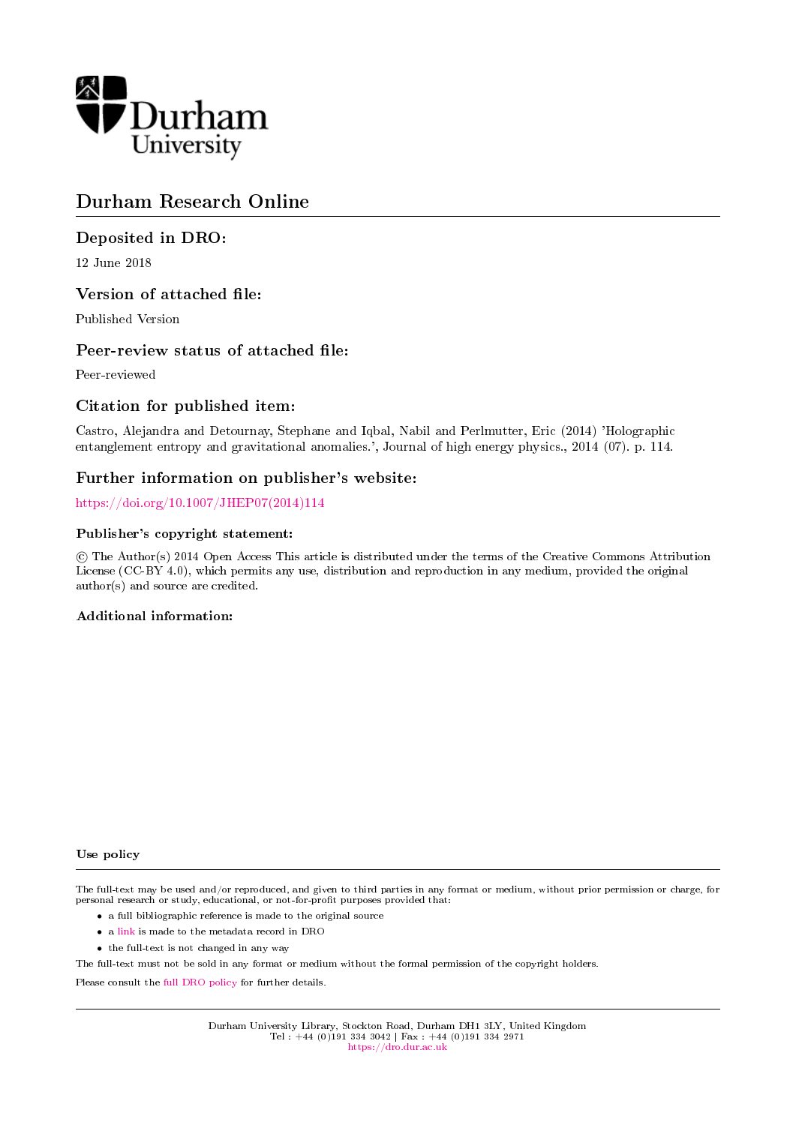

# Durham Research Online

# Deposited in DRO:

12 June 2018

# Version of attached file:

Published Version

# Peer-review status of attached file:

Peer-reviewed

# Citation for published item:

Castro, Alejandra and Detournay, Stephane and Iqbal, Nabil and Perlmutter, Eric (2014) 'Holographic entanglement entropy and gravitational anomalies.', Journal of high energy physics., 2014 (07). p. 114.

# Further information on publisher's website:

[https://doi.org/10.1007/JHEP07\(2014\)114](https://doi.org/10.1007/JHEP07(2014)114)

# Publisher's copyright statement:

 c The Author(s) 2014 Open Access This article is distributed under the terms of the Creative Commons Attribution License (CC-BY 4.0), which permits any use, distribution and reproduction in any medium, provided the original author(s) and source are credited.

# Additional information:

Use policy

The full-text may be used and/or reproduced, and given to third parties in any format or medium, without prior permission or charge, for personal research or study, educational, or not-for-profit purposes provided that:

- a full bibliographic reference is made to the original source
- a [link](http://dro.dur.ac.uk/25165/) is made to the metadata record in DRO
- the full-text is not changed in any way

The full-text must not be sold in any format or medium without the formal permission of the copyright holders.

Please consult the [full DRO policy](https://dro.dur.ac.uk/policies/usepolicy.pdf) for further details.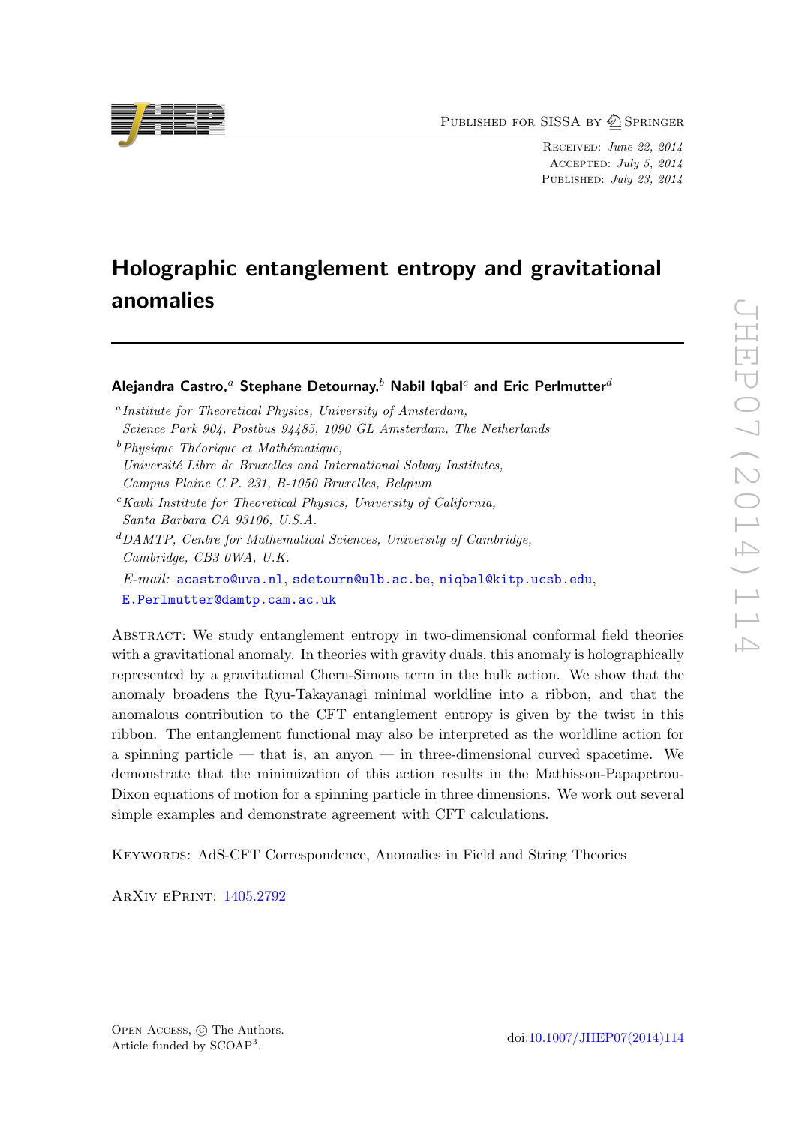PUBLISHED FOR SISSA BY  $\bigcircled{2}$  Springer

Received: June 22, 2014 Accepted: July 5, 2014 PUBLISHED: July 23, 2014

# Holographic entanglement entropy and gravitational anomalies

Aleiandra Castro.<sup>*a*</sup> Stephane Detournay.<sup>b</sup> Nabil Igbal<sup>c</sup> and Eric Perlmutter<sup>d</sup>

- a Institute for Theoretical Physics, University of Amsterdam, Science Park 904, Postbus 94485, 1090 GL Amsterdam, The Netherlands
- $b$ Physique Théorique et Mathématique, Université Libre de Bruxelles and International Solvay Institutes, Campus Plaine C.P. 231, B-1050 Bruxelles, Belgium
- $c$ Kavli Institute for Theoretical Physics, University of California, Santa Barbara CA 93106, U.S.A.
- ${}^{d}$ DAMTP, Centre for Mathematical Sciences, University of Cambridge, Cambridge, CB3 0WA, U.K.
- E-mail: [acastro@uva.nl](mailto:acastro@uva.nl), [sdetourn@ulb.ac.be](mailto:sdetourn@ulb.ac.be), [niqbal@kitp.ucsb.edu](mailto:niqbal@kitp.ucsb.edu), [E.Perlmutter@damtp.cam.ac.uk](mailto:E.Perlmutter@damtp.cam.ac.uk)

Abstract: We study entanglement entropy in two-dimensional conformal field theories with a gravitational anomaly. In theories with gravity duals, this anomaly is holographically represented by a gravitational Chern-Simons term in the bulk action. We show that the anomaly broadens the Ryu-Takayanagi minimal worldline into a ribbon, and that the anomalous contribution to the CFT entanglement entropy is given by the twist in this ribbon. The entanglement functional may also be interpreted as the worldline action for a spinning particle — that is, an anyon — in three-dimensional curved spacetime. We demonstrate that the minimization of this action results in the Mathisson-Papapetrou-Dixon equations of motion for a spinning particle in three dimensions. We work out several simple examples and demonstrate agreement with CFT calculations.

Keywords: AdS-CFT Correspondence, Anomalies in Field and String Theories

ArXiv ePrint: [1405.2792](http://arxiv.org/abs/1405.2792)

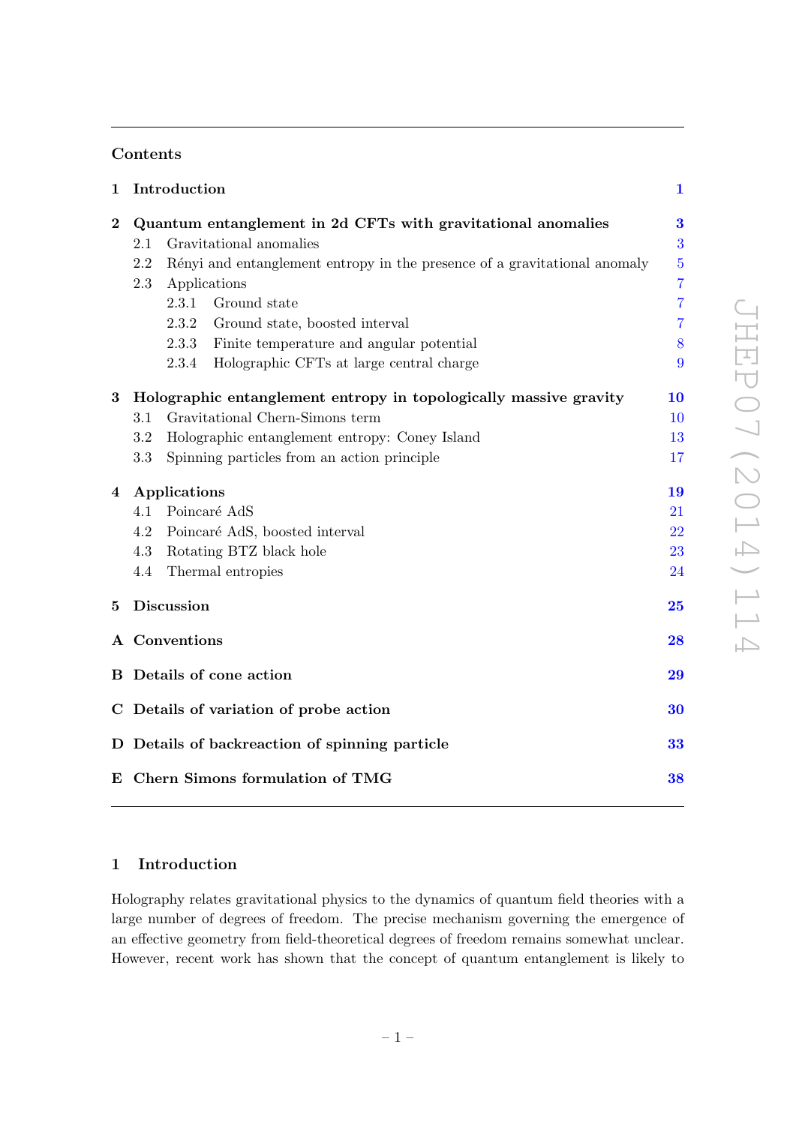# Contents

| $\mathbf{1}$ |                                                                   | Introduction                                                              | $\mathbf{1}$   |
|--------------|-------------------------------------------------------------------|---------------------------------------------------------------------------|----------------|
| $\bf{2}$     | Quantum entanglement in 2d CFTs with gravitational anomalies      |                                                                           | 3              |
|              | 2.1                                                               | Gravitational anomalies                                                   | 3              |
|              | 2.2                                                               | Rényi and entanglement entropy in the presence of a gravitational anomaly | $\overline{5}$ |
|              | 2.3                                                               | Applications                                                              | $\overline{7}$ |
|              |                                                                   | 2.3.1<br>Ground state                                                     | $\overline{7}$ |
|              |                                                                   | 2.3.2<br>Ground state, boosted interval                                   | 7              |
|              |                                                                   | Finite temperature and angular potential<br>2.3.3                         | 8              |
|              |                                                                   | Holographic CFTs at large central charge<br>2.3.4                         | 9              |
| $\bf{3}$     | Holographic entanglement entropy in topologically massive gravity |                                                                           | 10             |
|              | 3.1                                                               | Gravitational Chern-Simons term                                           | 10             |
|              | 3.2                                                               | Holographic entanglement entropy: Coney Island                            | 13             |
|              | 3.3                                                               | Spinning particles from an action principle                               | 17             |
| 4            | Applications                                                      |                                                                           | 19             |
|              | 4.1                                                               | Poincaré AdS                                                              | 21             |
|              | 4.2                                                               | Poincaré AdS, boosted interval                                            | 22             |
|              | 4.3                                                               | Rotating BTZ black hole                                                   | 23             |
|              | 4.4                                                               | Thermal entropies                                                         | 24             |
| 5            |                                                                   | Discussion                                                                | 25             |
|              | A Conventions                                                     |                                                                           | 28             |
|              |                                                                   | <b>B</b> Details of cone action                                           | 29             |
|              | C Details of variation of probe action                            |                                                                           | 30             |
|              | D Details of backreaction of spinning particle                    |                                                                           | 33             |
|              |                                                                   | E Chern Simons formulation of TMG                                         | 38             |
|              |                                                                   |                                                                           |                |

# <span id="page-2-0"></span>1 Introduction

Holography relates gravitational physics to the dynamics of quantum field theories with a large number of degrees of freedom. The precise mechanism governing the emergence of an effective geometry from field-theoretical degrees of freedom remains somewhat unclear. However, recent work has shown that the concept of quantum entanglement is likely to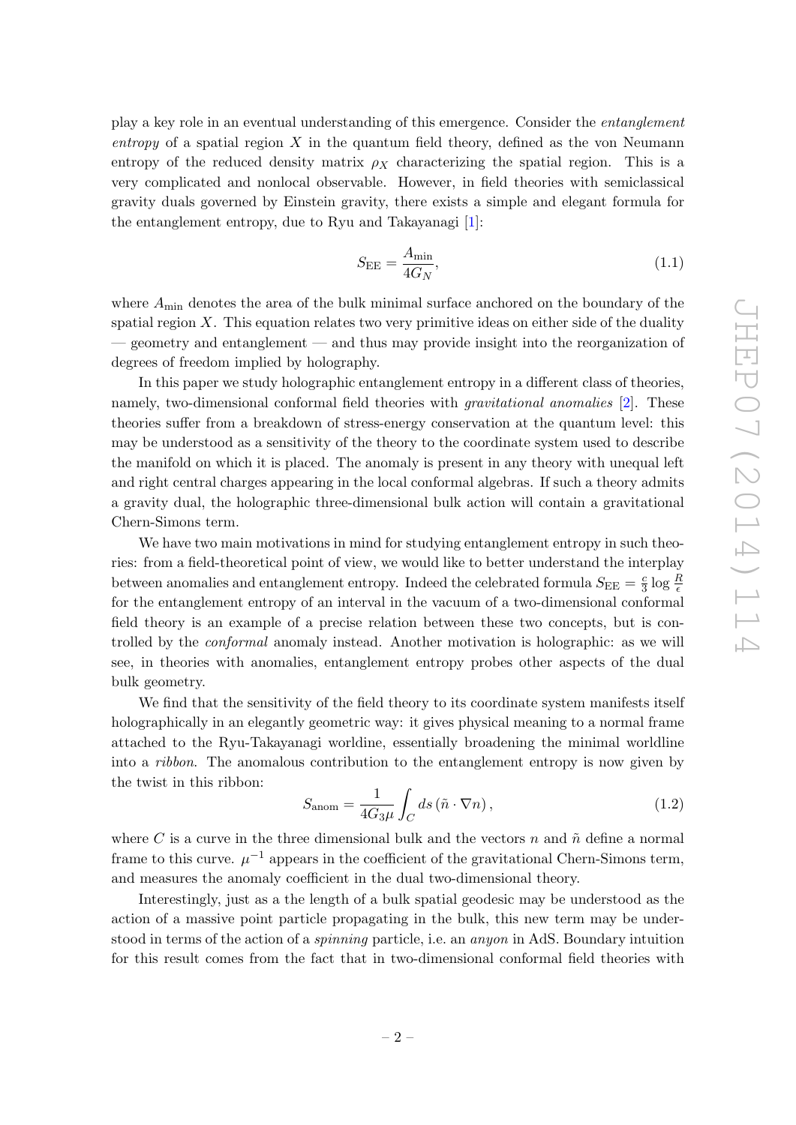play a key role in an eventual understanding of this emergence. Consider the entanglement entropy of a spatial region  $X$  in the quantum field theory, defined as the von Neumann entropy of the reduced density matrix  $\rho_X$  characterizing the spatial region. This is a very complicated and nonlocal observable. However, in field theories with semiclassical gravity duals governed by Einstein gravity, there exists a simple and elegant formula for the entanglement entropy, due to Ryu and Takayanagi [\[1\]](#page-47-0):

$$
S_{\rm EE} = \frac{A_{\rm min}}{4G_N},\tag{1.1}
$$

where  $A_{\text{min}}$  denotes the area of the bulk minimal surface anchored on the boundary of the spatial region  $X$ . This equation relates two very primitive ideas on either side of the duality — geometry and entanglement — and thus may provide insight into the reorganization of degrees of freedom implied by holography.

In this paper we study holographic entanglement entropy in a different class of theories, namely, two-dimensional conformal field theories with *gravitational anomalies* [\[2\]](#page-47-1). These theories suffer from a breakdown of stress-energy conservation at the quantum level: this may be understood as a sensitivity of the theory to the coordinate system used to describe the manifold on which it is placed. The anomaly is present in any theory with unequal left and right central charges appearing in the local conformal algebras. If such a theory admits a gravity dual, the holographic three-dimensional bulk action will contain a gravitational Chern-Simons term.

We have two main motivations in mind for studying entanglement entropy in such theories: from a field-theoretical point of view, we would like to better understand the interplay between anomalies and entanglement entropy. Indeed the celebrated formula  $S_{\text{EE}} = \frac{c}{3}$  $rac{c}{3} \log \frac{R}{\epsilon}$ for the entanglement entropy of an interval in the vacuum of a two-dimensional conformal field theory is an example of a precise relation between these two concepts, but is controlled by the conformal anomaly instead. Another motivation is holographic: as we will see, in theories with anomalies, entanglement entropy probes other aspects of the dual bulk geometry.

We find that the sensitivity of the field theory to its coordinate system manifests itself holographically in an elegantly geometric way: it gives physical meaning to a normal frame attached to the Ryu-Takayanagi worldine, essentially broadening the minimal worldline into a ribbon. The anomalous contribution to the entanglement entropy is now given by the twist in this ribbon:

<span id="page-3-0"></span>
$$
S_{\text{anom}} = \frac{1}{4G_3\mu} \int_C ds \left( \tilde{n} \cdot \nabla n \right),\tag{1.2}
$$

where C is a curve in the three dimensional bulk and the vectors n and  $\tilde{n}$  define a normal frame to this curve.  $\mu^{-1}$  appears in the coefficient of the gravitational Chern-Simons term, and measures the anomaly coefficient in the dual two-dimensional theory.

Interestingly, just as a the length of a bulk spatial geodesic may be understood as the action of a massive point particle propagating in the bulk, this new term may be understood in terms of the action of a *spinning* particle, i.e. an *anyon* in AdS. Boundary intuition for this result comes from the fact that in two-dimensional conformal field theories with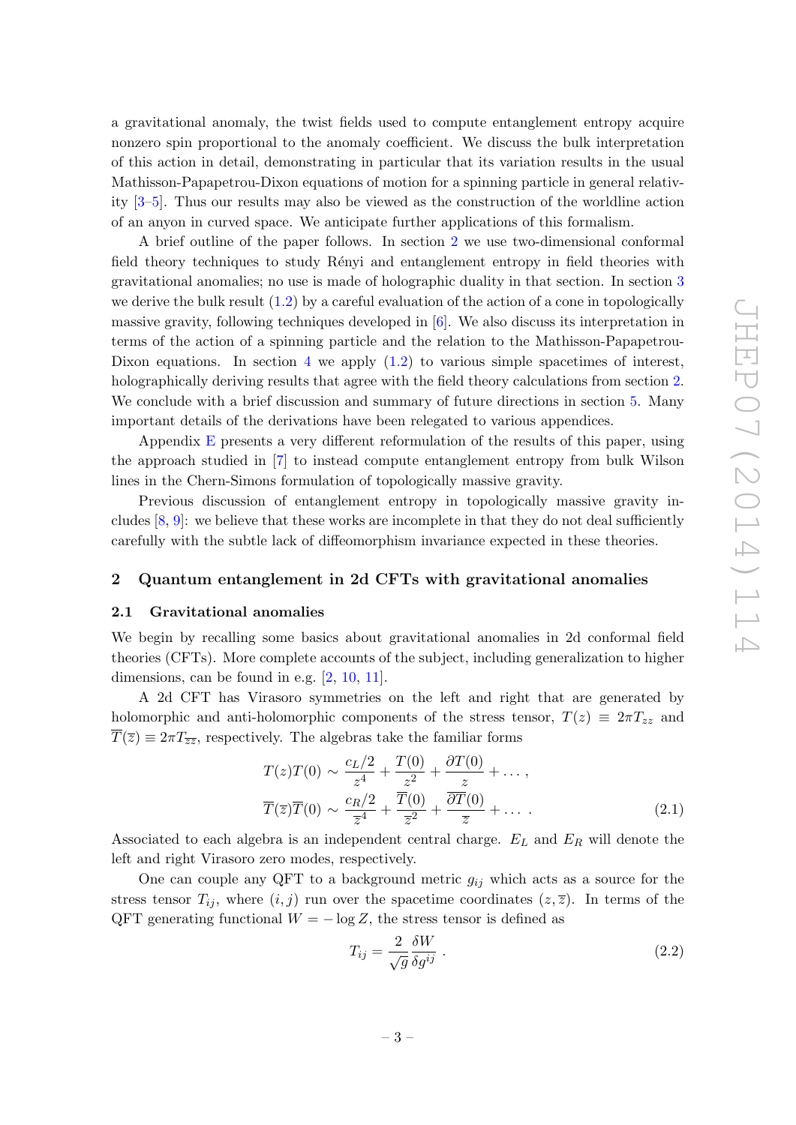a gravitational anomaly, the twist fields used to compute entanglement entropy acquire nonzero spin proportional to the anomaly coefficient. We discuss the bulk interpretation of this action in detail, demonstrating in particular that its variation results in the usual Mathisson-Papapetrou-Dixon equations of motion for a spinning particle in general relativity [\[3](#page-47-2)[–5\]](#page-47-3). Thus our results may also be viewed as the construction of the worldline action of an anyon in curved space. We anticipate further applications of this formalism.

A brief outline of the paper follows. In section [2](#page-4-0) we use two-dimensional conformal field theory techniques to study Rényi and entanglement entropy in field theories with gravitational anomalies; no use is made of holographic duality in that section. In section [3](#page-11-0) we derive the bulk result  $(1.2)$  by a careful evaluation of the action of a cone in topologically massive gravity, following techniques developed in [\[6\]](#page-47-4). We also discuss its interpretation in terms of the action of a spinning particle and the relation to the Mathisson-Papapetrou-Dixon equations. In section [4](#page-20-0) we apply  $(1.2)$  to various simple spacetimes of interest, holographically deriving results that agree with the field theory calculations from section [2.](#page-4-0) We conclude with a brief discussion and summary of future directions in section [5.](#page-26-0) Many important details of the derivations have been relegated to various appendices.

Appendix [E](#page-39-0) presents a very different reformulation of the results of this paper, using the approach studied in [\[7\]](#page-47-5) to instead compute entanglement entropy from bulk Wilson lines in the Chern-Simons formulation of topologically massive gravity.

Previous discussion of entanglement entropy in topologically massive gravity includes  $[8, 9]$  $[8, 9]$ : we believe that these works are incomplete in that they do not deal sufficiently carefully with the subtle lack of diffeomorphism invariance expected in these theories.

# <span id="page-4-0"></span>2 Quantum entanglement in 2d CFTs with gravitational anomalies

#### <span id="page-4-1"></span>2.1 Gravitational anomalies

We begin by recalling some basics about gravitational anomalies in 2d conformal field theories (CFTs). More complete accounts of the subject, including generalization to higher dimensions, can be found in e.g. [\[2,](#page-47-1) [10,](#page-47-8) [11\]](#page-47-9).

A 2d CFT has Virasoro symmetries on the left and right that are generated by holomorphic and anti-holomorphic components of the stress tensor,  $T(z) \equiv 2\pi T_{zz}$  and  $\overline{T}(\overline{z}) \equiv 2\pi T_{\overline{z}\overline{z}}$ , respectively. The algebras take the familiar forms

$$
T(z)T(0) \sim \frac{c_L/2}{z^4} + \frac{T(0)}{z^2} + \frac{\partial T(0)}{z} + \dots,
$$
  

$$
\overline{T}(\overline{z})\overline{T}(0) \sim \frac{c_R/2}{\overline{z}^4} + \frac{\overline{T}(0)}{\overline{z}^2} + \frac{\overline{\partial T}(0)}{\overline{z}} + \dots
$$
 (2.1)

Associated to each algebra is an independent central charge.  $E_L$  and  $E_R$  will denote the left and right Virasoro zero modes, respectively.

One can couple any QFT to a background metric  $g_{ij}$  which acts as a source for the stress tensor  $T_{ij}$ , where  $(i, j)$  run over the spacetime coordinates  $(z, \overline{z})$ . In terms of the QFT generating functional  $W = -\log Z$ , the stress tensor is defined as

$$
T_{ij} = \frac{2}{\sqrt{g}} \frac{\delta W}{\delta g^{ij}} \tag{2.2}
$$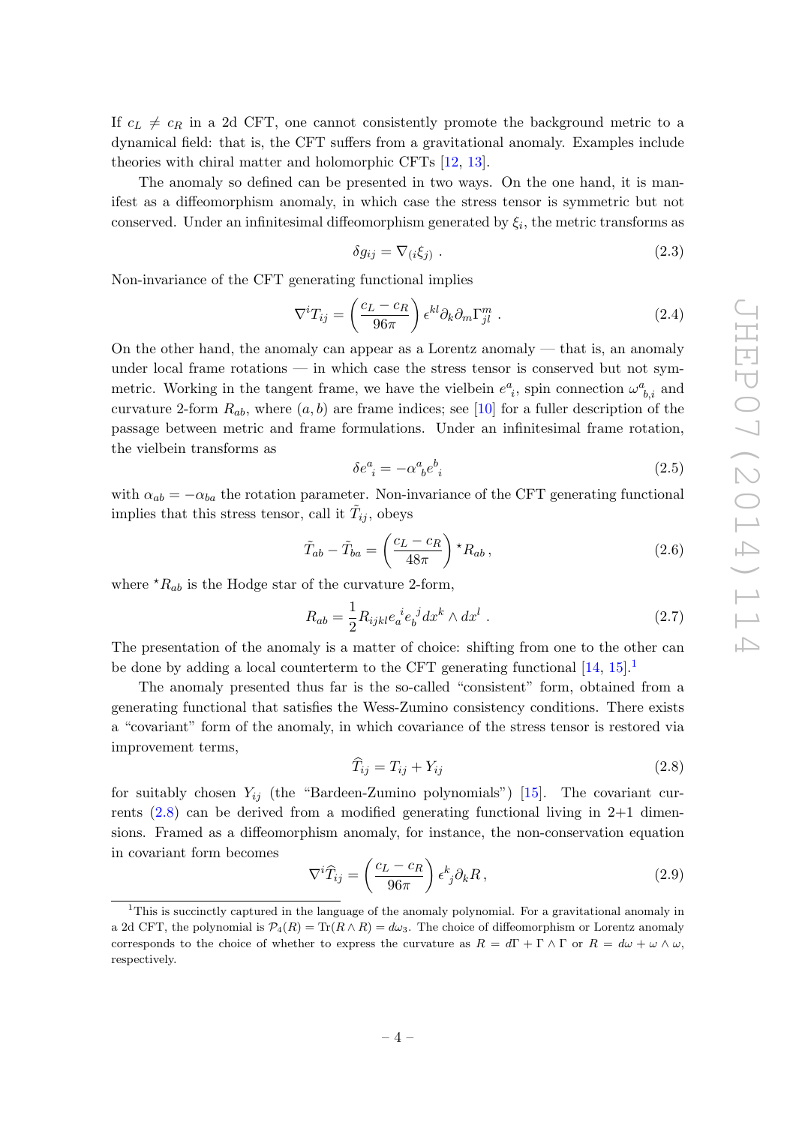If  $c_L \neq c_R$  in a 2d CFT, one cannot consistently promote the background metric to a dynamical field: that is, the CFT suffers from a gravitational anomaly. Examples include theories with chiral matter and holomorphic CFTs [\[12,](#page-47-10) [13\]](#page-48-0).

The anomaly so defined can be presented in two ways. On the one hand, it is manifest as a diffeomorphism anomaly, in which case the stress tensor is symmetric but not conserved. Under an infinitesimal diffeomorphism generated by  $\xi_i$ , the metric transforms as

$$
\delta g_{ij} = \nabla_{(i}\xi_j) \tag{2.3}
$$

Non-invariance of the CFT generating functional implies

<span id="page-5-2"></span>
$$
\nabla^i T_{ij} = \left(\frac{c_L - c_R}{96\pi}\right) \epsilon^{kl} \partial_k \partial_m \Gamma^m_{jl} \tag{2.4}
$$

On the other hand, the anomaly can appear as a Lorentz anomaly — that is, an anomaly under local frame rotations — in which case the stress tensor is conserved but not symmetric. Working in the tangent frame, we have the vielbein  $e^a_{i}$ , spin connection  $\omega^a_{b,i}$  and curvature 2-form  $R_{ab}$ , where  $(a, b)$  are frame indices; see [\[10\]](#page-47-8) for a fuller description of the passage between metric and frame formulations. Under an infinitesimal frame rotation, the vielbein transforms as

$$
\delta e^a_{\ i} = -\alpha^a_{\ b} e^b_{\ i} \tag{2.5}
$$

with  $\alpha_{ab} = -\alpha_{ba}$  the rotation parameter. Non-invariance of the CFT generating functional implies that this stress tensor, call it  $\tilde{T}_{ij}$ , obeys

$$
\tilde{T}_{ab} - \tilde{T}_{ba} = \left(\frac{c_L - c_R}{48\pi}\right) \star R_{ab},\tag{2.6}
$$

where  $^{\star}R_{ab}$  is the Hodge star of the curvature 2-form,

$$
R_{ab} = \frac{1}{2} R_{ijkl} e_a^{\ \ i} e_b^{\ j} dx^k \wedge dx^l \ . \tag{2.7}
$$

The presentation of the anomaly is a matter of choice: shifting from one to the other can be done by adding a local counterterm to the CFT generating functional  $[14, 15]$  $[14, 15]$ .

The anomaly presented thus far is the so-called "consistent" form, obtained from a generating functional that satisfies the Wess-Zumino consistency conditions. There exists a "covariant" form of the anomaly, in which covariance of the stress tensor is restored via improvement terms,

<span id="page-5-1"></span>
$$
\widehat{T}_{ij} = T_{ij} + Y_{ij} \tag{2.8}
$$

for suitably chosen  $Y_{ij}$  (the "Bardeen-Zumino polynomials") [\[15\]](#page-48-2). The covariant currents  $(2.8)$  can be derived from a modified generating functional living in 2+1 dimensions. Framed as a diffeomorphism anomaly, for instance, the non-conservation equation in covariant form becomes

$$
\nabla^i \widehat{T}_{ij} = \left(\frac{c_L - c_R}{96\pi}\right) \epsilon^k_{\ j} \partial_k R \,, \tag{2.9}
$$

<span id="page-5-0"></span><sup>&</sup>lt;sup>1</sup>This is succinctly captured in the language of the anomaly polynomial. For a gravitational anomaly in a 2d CFT, the polynomial is  $\mathcal{P}_4(R) = \text{Tr}(R \wedge R) = d\omega_3$ . The choice of diffeomorphism or Lorentz anomaly corresponds to the choice of whether to express the curvature as  $R = d\Gamma + \Gamma \wedge \Gamma$  or  $R = d\omega + \omega \wedge \omega$ , respectively.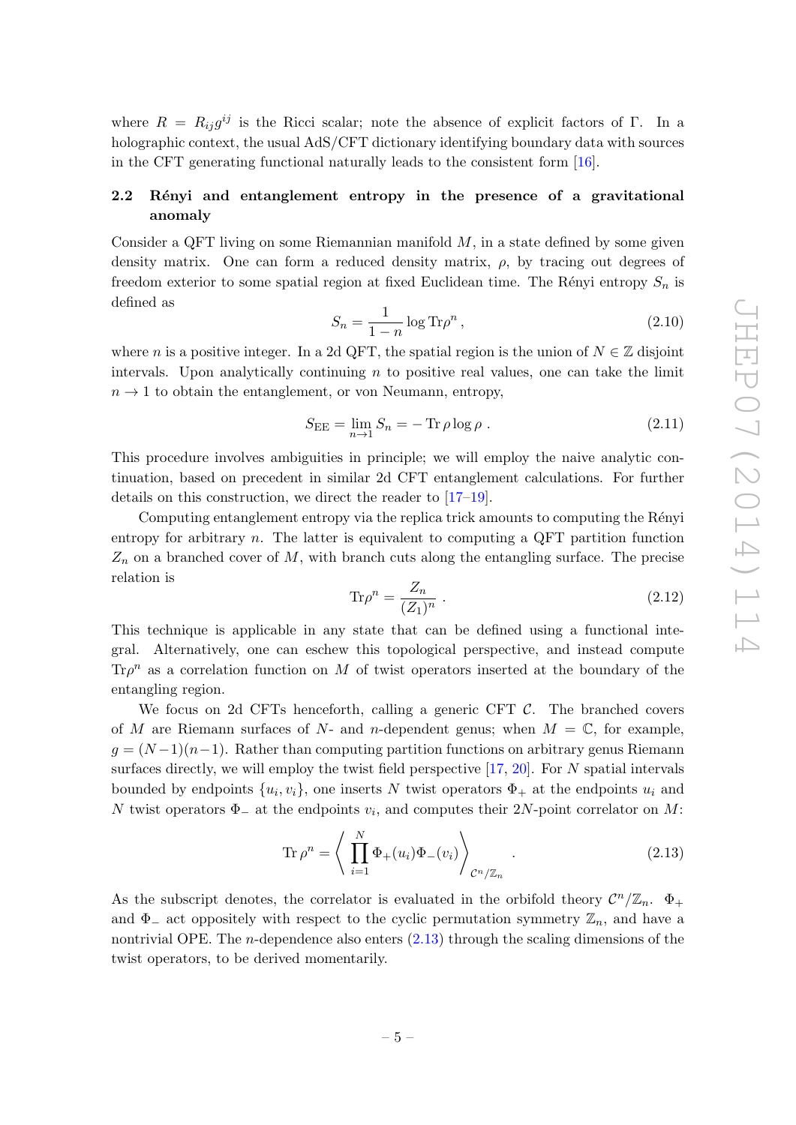where  $R = R_{ij}g^{ij}$  is the Ricci scalar; note the absence of explicit factors of Γ. In a holographic context, the usual AdS/CFT dictionary identifying boundary data with sources in the CFT generating functional naturally leads to the consistent form [\[16\]](#page-48-3).

# <span id="page-6-0"></span>2.2 Rényi and entanglement entropy in the presence of a gravitational anomaly

Consider a QFT living on some Riemannian manifold  $M$ , in a state defined by some given density matrix. One can form a reduced density matrix,  $\rho$ , by tracing out degrees of freedom exterior to some spatial region at fixed Euclidean time. The Rényi entropy  $S_n$  is defined as

$$
S_n = \frac{1}{1-n} \log \text{Tr} \rho^n ,\qquad (2.10)
$$

where n is a positive integer. In a 2d QFT, the spatial region is the union of  $N \in \mathbb{Z}$  disjoint intervals. Upon analytically continuing  $n$  to positive real values, one can take the limit  $n \to 1$  to obtain the entanglement, or von Neumann, entropy,

<span id="page-6-3"></span>
$$
S_{\rm EE} = \lim_{n \to 1} S_n = -\operatorname{Tr}\rho \log \rho \tag{2.11}
$$

This procedure involves ambiguities in principle; we will employ the naive analytic continuation, based on precedent in similar 2d CFT entanglement calculations. For further details on this construction, we direct the reader to [\[17](#page-48-4)[–19\]](#page-48-5).

Computing entanglement entropy via the replica trick amounts to computing the Rényi entropy for arbitrary  $n$ . The latter is equivalent to computing a QFT partition function  $Z_n$  on a branched cover of M, with branch cuts along the entangling surface. The precise relation is

<span id="page-6-2"></span>
$$
\text{Tr}\rho^n = \frac{Z_n}{(Z_1)^n} \tag{2.12}
$$

This technique is applicable in any state that can be defined using a functional integral. Alternatively, one can eschew this topological perspective, and instead compute  $\text{Tr}\rho^n$  as a correlation function on M of twist operators inserted at the boundary of the entangling region.

We focus on 2d CFTs henceforth, calling a generic CFT  $\mathcal{C}$ . The branched covers of M are Riemann surfaces of N- and n-dependent genus; when  $M = \mathbb{C}$ , for example,  $g = (N-1)(n-1)$ . Rather than computing partition functions on arbitrary genus Riemann surfaces directly, we will employ the twist field perspective  $[17, 20]$  $[17, 20]$ . For N spatial intervals bounded by endpoints  $\{u_i, v_i\}$ , one inserts N twist operators  $\Phi_+$  at the endpoints  $u_i$  and N twist operators  $\Phi_-\$  at the endpoints  $v_i$ , and computes their 2N-point correlator on M:

<span id="page-6-1"></span>
$$
\operatorname{Tr}\rho^n = \left\langle \prod_{i=1}^N \Phi_+(u_i)\Phi_-(v_i) \right\rangle_{\mathcal{C}^n/\mathbb{Z}_n}.
$$
\n(2.13)

As the subscript denotes, the correlator is evaluated in the orbifold theory  $\mathcal{C}^n/\mathbb{Z}_n$ .  $\Phi_+$ and  $\Phi_-\$  act oppositely with respect to the cyclic permutation symmetry  $\mathbb{Z}_n$ , and have a nontrivial OPE. The n-dependence also enters [\(2.13\)](#page-6-1) through the scaling dimensions of the twist operators, to be derived momentarily.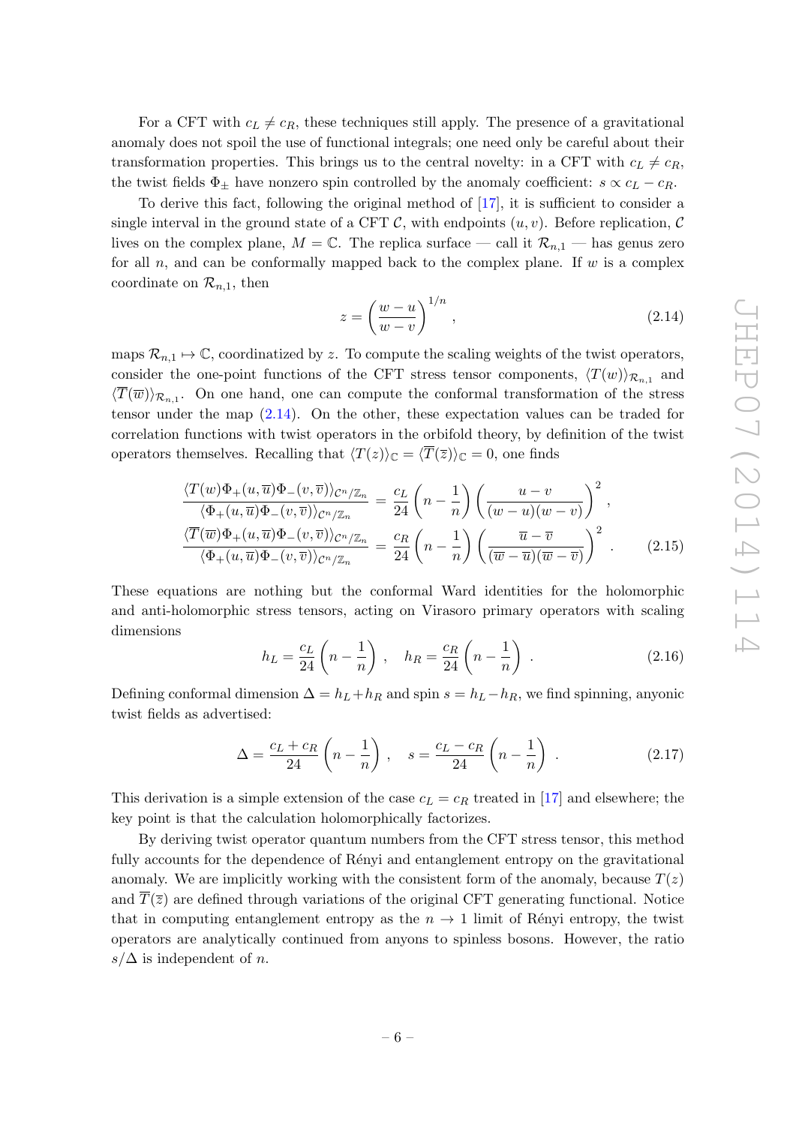For a CFT with  $c_L \neq c_R$ , these techniques still apply. The presence of a gravitational anomaly does not spoil the use of functional integrals; one need only be careful about their transformation properties. This brings us to the central novelty: in a CFT with  $c_L \neq c_R$ , the twist fields  $\Phi_{\pm}$  have nonzero spin controlled by the anomaly coefficient:  $s \propto c_L - c_R$ .

To derive this fact, following the original method of [\[17\]](#page-48-4), it is sufficient to consider a single interval in the ground state of a CFT C, with endpoints  $(u, v)$ . Before replication, C lives on the complex plane,  $M = \mathbb{C}$ . The replica surface — call it  $\mathcal{R}_{n,1}$  — has genus zero for all  $n$ , and can be conformally mapped back to the complex plane. If  $w$  is a complex coordinate on  $\mathcal{R}_{n,1}$ , then

<span id="page-7-0"></span>
$$
z = \left(\frac{w-u}{w-v}\right)^{1/n},\tag{2.14}
$$

maps  $\mathcal{R}_{n,1} \mapsto \mathbb{C}$ , coordinatized by z. To compute the scaling weights of the twist operators, consider the one-point functions of the CFT stress tensor components,  $\langle T(w) \rangle_{\mathcal{R}_{n,1}}$  and  $\langle T(\overline{w})\rangle_{\mathcal{R}_{n,1}}$ . On one hand, one can compute the conformal transformation of the stress tensor under the map [\(2.14\)](#page-7-0). On the other, these expectation values can be traded for correlation functions with twist operators in the orbifold theory, by definition of the twist operators themselves. Recalling that  $\langle T(z)\rangle_{\mathbb{C}} = \langle \overline{T}(\overline{z})\rangle_{\mathbb{C}} = 0$ , one finds

$$
\frac{\langle T(w)\Phi_{+}(u,\overline{u})\Phi_{-}(v,\overline{v})\rangle_{\mathcal{C}^{n}/\mathbb{Z}_{n}}}{\langle \Phi_{+}(u,\overline{u})\Phi_{-}(v,\overline{v})\rangle_{\mathcal{C}^{n}/\mathbb{Z}_{n}}} = \frac{c_{L}}{24}\left(n-\frac{1}{n}\right)\left(\frac{u-v}{(w-u)(w-v)}\right)^{2},
$$
\n
$$
\frac{\langle \overline{T}(\overline{w})\Phi_{+}(u,\overline{u})\Phi_{-}(v,\overline{v})\rangle_{\mathcal{C}^{n}/\mathbb{Z}_{n}}}{\langle \Phi_{+}(u,\overline{u})\Phi_{-}(v,\overline{v})\rangle_{\mathcal{C}^{n}/\mathbb{Z}_{n}}} = \frac{c_{R}}{24}\left(n-\frac{1}{n}\right)\left(\frac{\overline{u}-\overline{v}}{(\overline{w}-\overline{u})(\overline{w}-\overline{v})}\right)^{2}.
$$
\n(2.15)

These equations are nothing but the conformal Ward identities for the holomorphic and anti-holomorphic stress tensors, acting on Virasoro primary operators with scaling dimensions

$$
h_L = \frac{c_L}{24} \left( n - \frac{1}{n} \right) , \quad h_R = \frac{c_R}{24} \left( n - \frac{1}{n} \right) . \tag{2.16}
$$

Defining conformal dimension  $\Delta = h_L + h_R$  and spin  $s = h_L - h_R$ , we find spinning, anyonic twist fields as advertised:

<span id="page-7-1"></span>
$$
\Delta = \frac{c_L + c_R}{24} \left( n - \frac{1}{n} \right) , \quad s = \frac{c_L - c_R}{24} \left( n - \frac{1}{n} \right) . \tag{2.17}
$$

This derivation is a simple extension of the case  $c<sub>L</sub> = c<sub>R</sub>$  treated in [\[17\]](#page-48-4) and elsewhere; the key point is that the calculation holomorphically factorizes.

By deriving twist operator quantum numbers from the CFT stress tensor, this method fully accounts for the dependence of Renyi and entanglement entropy on the gravitational anomaly. We are implicitly working with the consistent form of the anomaly, because  $T(z)$ and  $\overline{T}(\overline{z})$  are defined through variations of the original CFT generating functional. Notice that in computing entanglement entropy as the  $n \to 1$  limit of Rényi entropy, the twist operators are analytically continued from anyons to spinless bosons. However, the ratio  $s/\Delta$  is independent of *n*.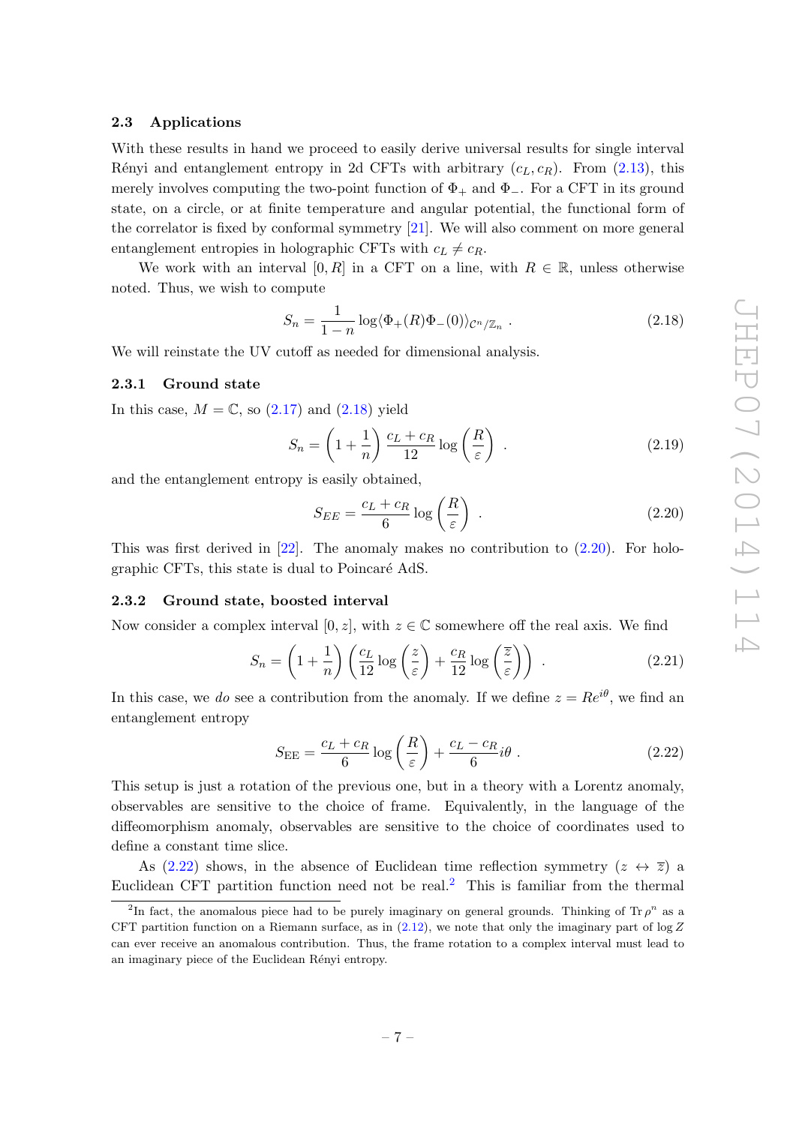## <span id="page-8-0"></span>2.3 Applications

With these results in hand we proceed to easily derive universal results for single interval Rényi and entanglement entropy in 2d CFTs with arbitrary  $(c_L, c_R)$ . From [\(2.13\)](#page-6-1), this merely involves computing the two-point function of  $\Phi_+$  and  $\Phi_-$ . For a CFT in its ground state, on a circle, or at finite temperature and angular potential, the functional form of the correlator is fixed by conformal symmetry [\[21\]](#page-48-7). We will also comment on more general entanglement entropies in holographic CFTs with  $c_L \neq c_R$ .

We work with an interval [0, R] in a CFT on a line, with  $R \in \mathbb{R}$ , unless otherwise noted. Thus, we wish to compute

<span id="page-8-3"></span>
$$
S_n = \frac{1}{1-n} \log \langle \Phi_+(R)\Phi_-(0) \rangle_{\mathcal{C}^n/\mathbb{Z}_n} . \tag{2.18}
$$

We will reinstate the UV cutoff as needed for dimensional analysis.

#### <span id="page-8-1"></span>2.3.1 Ground state

In this case,  $M = \mathbb{C}$ , so  $(2.17)$  and  $(2.18)$  yield

$$
S_n = \left(1 + \frac{1}{n}\right) \frac{c_L + c_R}{12} \log\left(\frac{R}{\varepsilon}\right) \tag{2.19}
$$

and the entanglement entropy is easily obtained,

<span id="page-8-4"></span>
$$
S_{EE} = \frac{c_L + c_R}{6} \log \left(\frac{R}{\varepsilon}\right) \tag{2.20}
$$

This was first derived in  $[22]$ . The anomaly makes no contribution to  $(2.20)$ . For holographic CFTs, this state is dual to Poincaré AdS.

## <span id="page-8-2"></span>2.3.2 Ground state, boosted interval

Now consider a complex interval [0, z], with  $z \in \mathbb{C}$  somewhere off the real axis. We find

$$
S_n = \left(1 + \frac{1}{n}\right) \left(\frac{c_L}{12} \log\left(\frac{z}{\varepsilon}\right) + \frac{c_R}{12} \log\left(\frac{\overline{z}}{\varepsilon}\right)\right) \tag{2.21}
$$

In this case, we do see a contribution from the anomaly. If we define  $z = Re^{i\theta}$ , we find an entanglement entropy

<span id="page-8-5"></span>
$$
S_{\rm EE} = \frac{c_L + c_R}{6} \log \left(\frac{R}{\varepsilon}\right) + \frac{c_L - c_R}{6} i\theta \; . \tag{2.22}
$$

This setup is just a rotation of the previous one, but in a theory with a Lorentz anomaly, observables are sensitive to the choice of frame. Equivalently, in the language of the diffeomorphism anomaly, observables are sensitive to the choice of coordinates used to define a constant time slice.

As [\(2.22\)](#page-8-5) shows, in the absence of Euclidean time reflection symmetry  $(z \leftrightarrow \overline{z})$  a Euclidean CFT partition function need not be real.<sup>[2](#page-8-6)</sup> This is familiar from the thermal

<span id="page-8-6"></span><sup>&</sup>lt;sup>2</sup>In fact, the anomalous piece had to be purely imaginary on general grounds. Thinking of Tr  $\rho^n$  as a CFT partition function on a Riemann surface, as in  $(2.12)$ , we note that only the imaginary part of log Z can ever receive an anomalous contribution. Thus, the frame rotation to a complex interval must lead to an imaginary piece of the Euclidean Rényi entropy.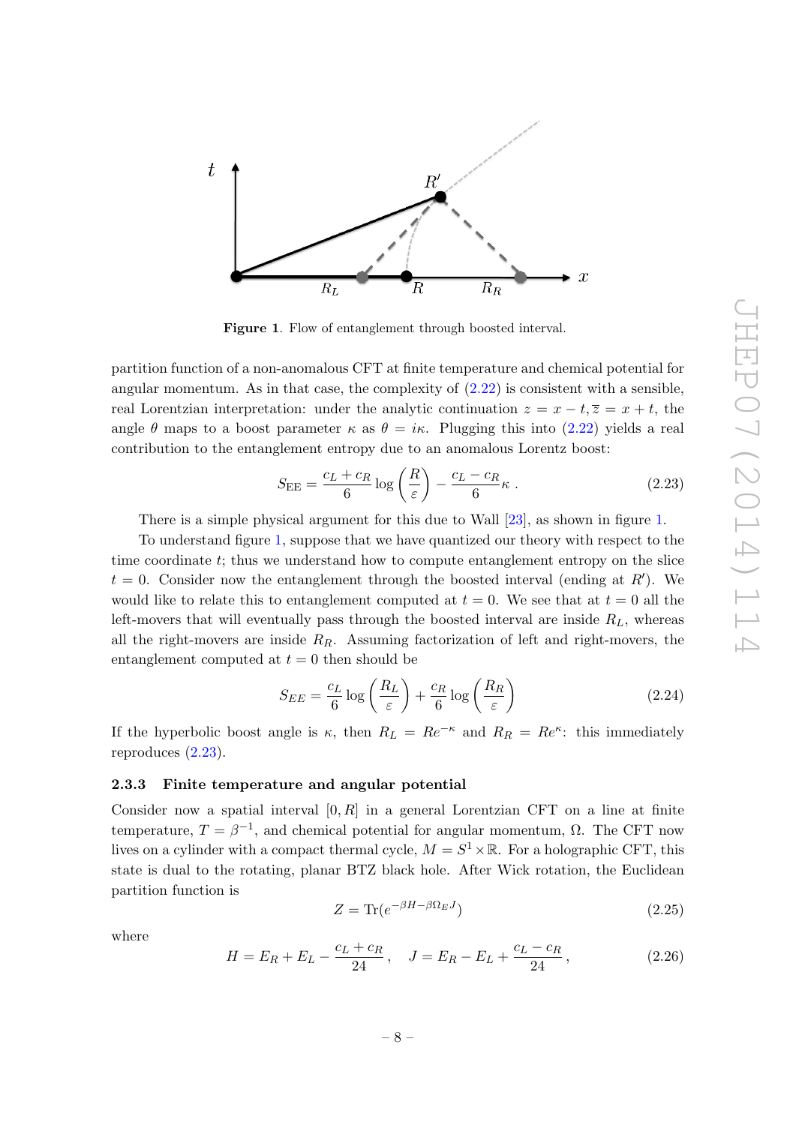

<span id="page-9-1"></span>Figure 1. Flow of entanglement through boosted interval.

partition function of a non-anomalous CFT at finite temperature and chemical potential for angular momentum. As in that case, the complexity of  $(2.22)$  is consistent with a sensible, real Lorentzian interpretation: under the analytic continuation  $z = x - t, \overline{z} = x + t$ , the angle  $\theta$  maps to a boost parameter  $\kappa$  as  $\theta = i\kappa$ . Plugging this into [\(2.22\)](#page-8-5) yields a real contribution to the entanglement entropy due to an anomalous Lorentz boost:

<span id="page-9-2"></span>
$$
S_{\rm EE} = \frac{c_L + c_R}{6} \log \left(\frac{R}{\varepsilon}\right) - \frac{c_L - c_R}{6} \kappa \tag{2.23}
$$

There is a simple physical argument for this due to Wall [\[23\]](#page-48-9), as shown in figure [1.](#page-9-1)

To understand figure [1,](#page-9-1) suppose that we have quantized our theory with respect to the time coordinate t; thus we understand how to compute entanglement entropy on the slice  $t = 0$ . Consider now the entanglement through the boosted interval (ending at  $R'$ ). We would like to relate this to entanglement computed at  $t = 0$ . We see that at  $t = 0$  all the left-movers that will eventually pass through the boosted interval are inside  $R_L$ , whereas all the right-movers are inside  $R_R$ . Assuming factorization of left and right-movers, the entanglement computed at  $t = 0$  then should be

$$
S_{EE} = \frac{c_L}{6} \log \left(\frac{R_L}{\varepsilon}\right) + \frac{c_R}{6} \log \left(\frac{R_R}{\varepsilon}\right) \tag{2.24}
$$

If the hyperbolic boost angle is  $\kappa$ , then  $R_L = Re^{-\kappa}$  and  $R_R = Re^{\kappa}$ : this immediately reproduces [\(2.23\)](#page-9-2).

## <span id="page-9-0"></span>2.3.3 Finite temperature and angular potential

Consider now a spatial interval  $[0, R]$  in a general Lorentzian CFT on a line at finite temperature,  $T = \beta^{-1}$ , and chemical potential for angular momentum,  $\Omega$ . The CFT now lives on a cylinder with a compact thermal cycle,  $M = S^1 \times \mathbb{R}$ . For a holographic CFT, this state is dual to the rotating, planar BTZ black hole. After Wick rotation, the Euclidean partition function is

$$
Z = \text{Tr}(e^{-\beta H - \beta \Omega_E J})\tag{2.25}
$$

where

$$
H = E_R + E_L - \frac{c_L + c_R}{24}, \quad J = E_R - E_L + \frac{c_L - c_R}{24}, \tag{2.26}
$$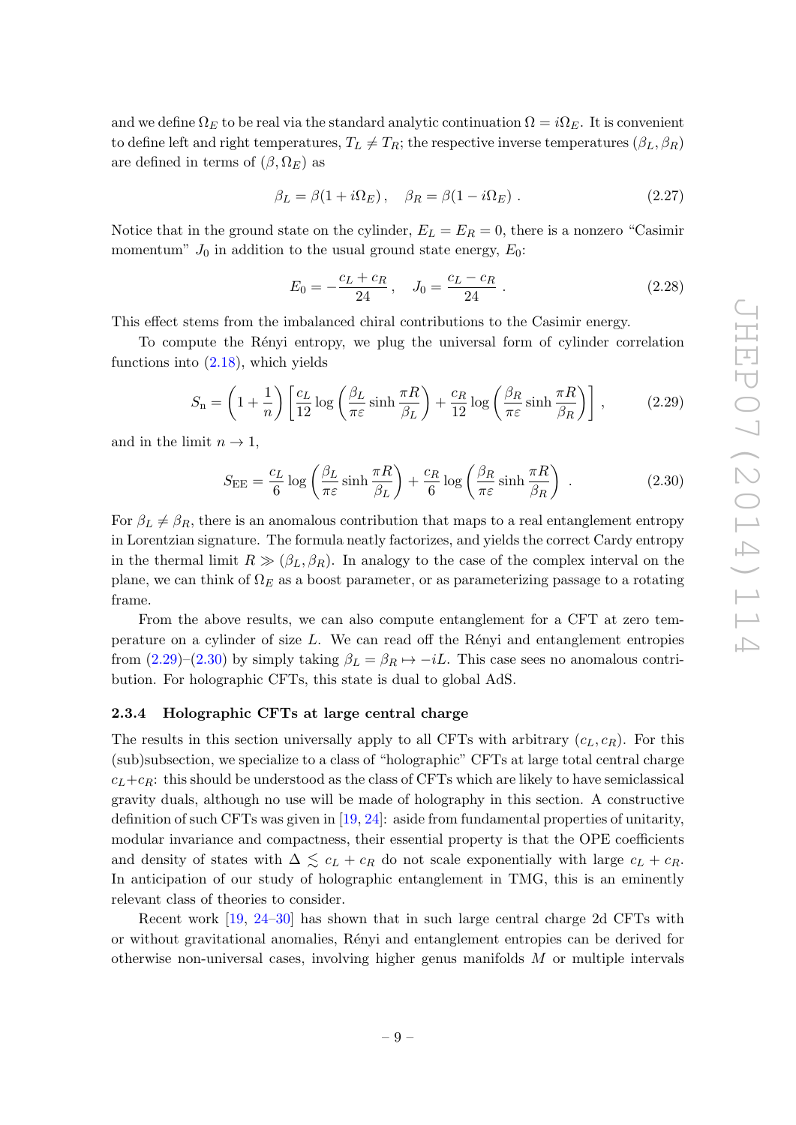and we define  $\Omega_E$  to be real via the standard analytic continuation  $\Omega = i\Omega_E$ . It is convenient to define left and right temperatures,  $T_L \neq T_R$ ; the respective inverse temperatures  $(\beta_L, \beta_R)$ are defined in terms of  $(\beta, \Omega_E)$  as

<span id="page-10-4"></span>
$$
\beta_L = \beta (1 + i \Omega_E), \quad \beta_R = \beta (1 - i \Omega_E). \tag{2.27}
$$

Notice that in the ground state on the cylinder,  $E_L = E_R = 0$ , there is a nonzero "Casimir" momentum"  $J_0$  in addition to the usual ground state energy,  $E_0$ :

<span id="page-10-3"></span>
$$
E_0 = -\frac{c_L + c_R}{24} \,, \quad J_0 = \frac{c_L - c_R}{24} \,. \tag{2.28}
$$

This effect stems from the imbalanced chiral contributions to the Casimir energy.

To compute the Rényi entropy, we plug the universal form of cylinder correlation functions into  $(2.18)$ , which yields

<span id="page-10-1"></span>
$$
S_{\rm n} = \left(1 + \frac{1}{n}\right) \left[ \frac{c_L}{12} \log \left( \frac{\beta_L}{\pi \varepsilon} \sinh \frac{\pi R}{\beta_L} \right) + \frac{c_R}{12} \log \left( \frac{\beta_R}{\pi \varepsilon} \sinh \frac{\pi R}{\beta_R} \right) \right],\tag{2.29}
$$

and in the limit  $n \to 1$ ,

<span id="page-10-2"></span>
$$
S_{\rm EE} = \frac{c_L}{6} \log \left( \frac{\beta_L}{\pi \varepsilon} \sinh \frac{\pi R}{\beta_L} \right) + \frac{c_R}{6} \log \left( \frac{\beta_R}{\pi \varepsilon} \sinh \frac{\pi R}{\beta_R} \right) \tag{2.30}
$$

For  $\beta_L \neq \beta_R$ , there is an anomalous contribution that maps to a real entanglement entropy in Lorentzian signature. The formula neatly factorizes, and yields the correct Cardy entropy in the thermal limit  $R \gg (\beta_L, \beta_R)$ . In analogy to the case of the complex interval on the plane, we can think of  $\Omega_E$  as a boost parameter, or as parameterizing passage to a rotating frame.

From the above results, we can also compute entanglement for a CFT at zero temperature on a cylinder of size  $L$ . We can read off the Rényi and entanglement entropies from  $(2.29)$ – $(2.30)$  by simply taking  $\beta_L = \beta_R \mapsto -iL$ . This case sees no anomalous contribution. For holographic CFTs, this state is dual to global AdS.

## <span id="page-10-0"></span>2.3.4 Holographic CFTs at large central charge

The results in this section universally apply to all CFTs with arbitrary  $(c<sub>L</sub>, c<sub>R</sub>)$ . For this (sub)subsection, we specialize to a class of "holographic" CFTs at large total central charge  $c_L+c_R$ : this should be understood as the class of CFTs which are likely to have semiclassical gravity duals, although no use will be made of holography in this section. A constructive definition of such CFTs was given in [\[19,](#page-48-5) [24\]](#page-48-10): aside from fundamental properties of unitarity, modular invariance and compactness, their essential property is that the OPE coefficients and density of states with  $\Delta \lesssim c_L + c_R$  do not scale exponentially with large  $c_L + c_R$ . In anticipation of our study of holographic entanglement in TMG, this is an eminently relevant class of theories to consider.

Recent work [\[19,](#page-48-5) [24](#page-48-10)[–30\]](#page-48-11) has shown that in such large central charge 2d CFTs with or without gravitational anomalies, R´enyi and entanglement entropies can be derived for otherwise non-universal cases, involving higher genus manifolds  $M$  or multiple intervals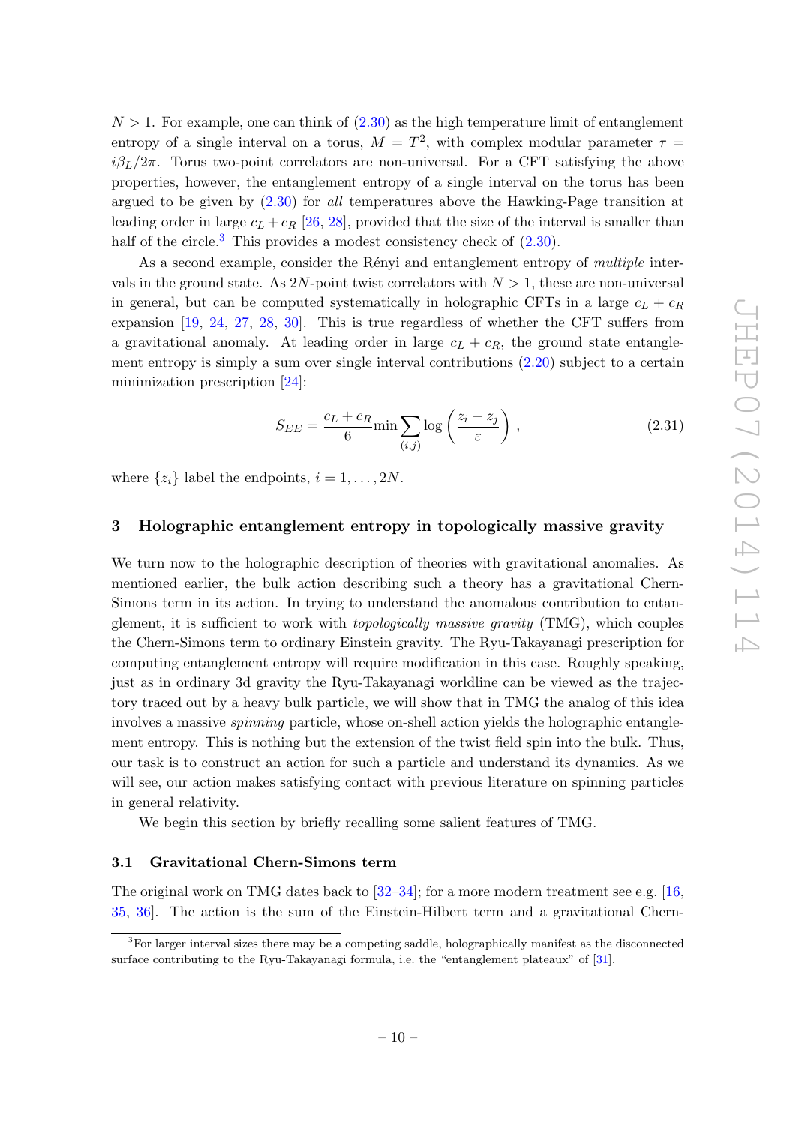$N > 1$ . For example, one can think of  $(2.30)$  as the high temperature limit of entanglement entropy of a single interval on a torus,  $M = T^2$ , with complex modular parameter  $\tau =$  $i\beta_L/2\pi$ . Torus two-point correlators are non-universal. For a CFT satisfying the above properties, however, the entanglement entropy of a single interval on the torus has been argued to be given by  $(2.30)$  for *all* temperatures above the Hawking-Page transition at leading order in large  $c_L + c_R$  [\[26,](#page-48-12) [28\]](#page-48-13), provided that the size of the interval is smaller than half of the circle.<sup>[3](#page-11-2)</sup> This provides a modest consistency check of  $(2.30)$ .

As a second example, consider the Rényi and entanglement entropy of multiple intervals in the ground state. As 2N-point twist correlators with  $N > 1$ , these are non-universal in general, but can be computed systematically in holographic CFTs in a large  $c_L + c_R$ expansion [\[19,](#page-48-5) [24,](#page-48-10) [27,](#page-48-14) [28,](#page-48-13) [30\]](#page-48-11). This is true regardless of whether the CFT suffers from a gravitational anomaly. At leading order in large  $c_L + c_R$ , the ground state entanglement entropy is simply a sum over single interval contributions [\(2.20\)](#page-8-4) subject to a certain minimization prescription [\[24\]](#page-48-10):

$$
S_{EE} = \frac{c_L + c_R}{6} \min \sum_{(i,j)} \log \left( \frac{z_i - z_j}{\varepsilon} \right), \qquad (2.31)
$$

where  $\{z_i\}$  label the endpoints,  $i = 1, \ldots, 2N$ .

# <span id="page-11-0"></span>3 Holographic entanglement entropy in topologically massive gravity

We turn now to the holographic description of theories with gravitational anomalies. As mentioned earlier, the bulk action describing such a theory has a gravitational Chern-Simons term in its action. In trying to understand the anomalous contribution to entanglement, it is sufficient to work with topologically massive gravity (TMG), which couples the Chern-Simons term to ordinary Einstein gravity. The Ryu-Takayanagi prescription for computing entanglement entropy will require modification in this case. Roughly speaking, just as in ordinary 3d gravity the Ryu-Takayanagi worldline can be viewed as the trajectory traced out by a heavy bulk particle, we will show that in TMG the analog of this idea involves a massive *spinning* particle, whose on-shell action yields the holographic entanglement entropy. This is nothing but the extension of the twist field spin into the bulk. Thus, our task is to construct an action for such a particle and understand its dynamics. As we will see, our action makes satisfying contact with previous literature on spinning particles in general relativity.

We begin this section by briefly recalling some salient features of TMG.

# <span id="page-11-1"></span>3.1 Gravitational Chern-Simons term

The original work on TMG dates back to  $[32-34]$ ; for a more modern treatment see e.g. [\[16,](#page-48-3) [35,](#page-49-1) [36\]](#page-49-2). The action is the sum of the Einstein-Hilbert term and a gravitational Chern-

<span id="page-11-2"></span><sup>3</sup>For larger interval sizes there may be a competing saddle, holographically manifest as the disconnected surface contributing to the Ryu-Takayanagi formula, i.e. the "entanglement plateaux" of [\[31\]](#page-48-16).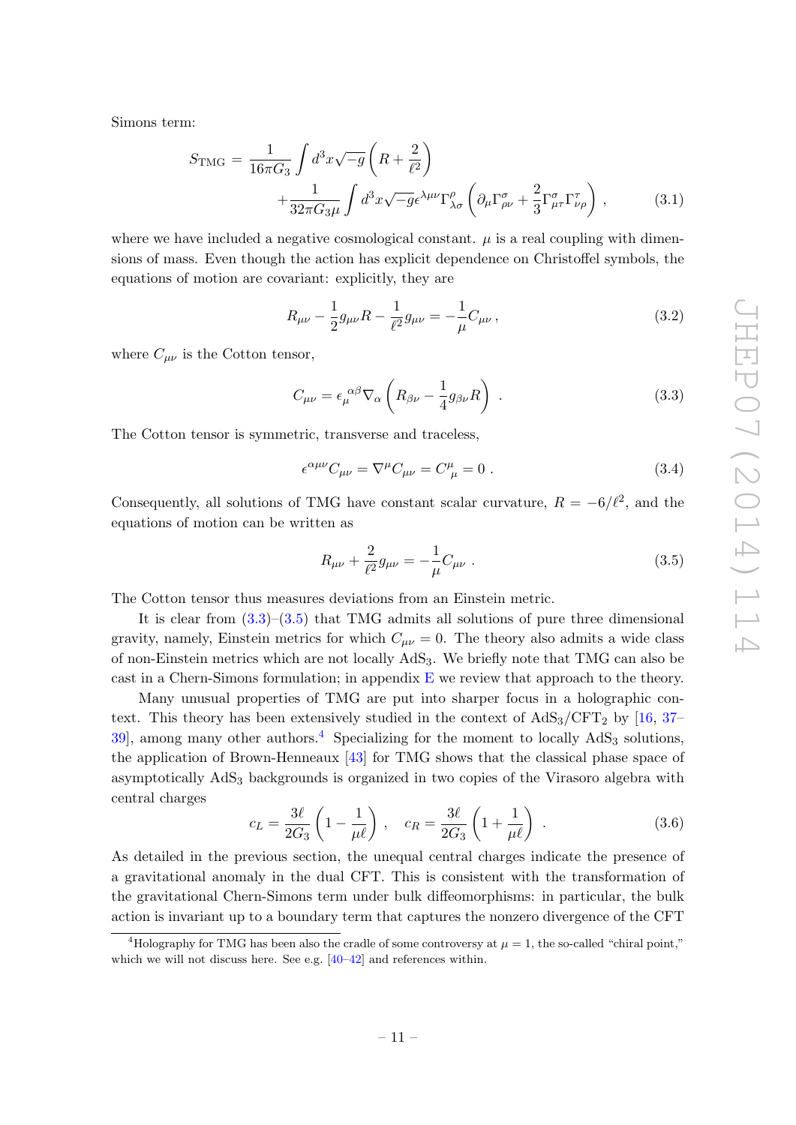Simons term:

<span id="page-12-4"></span>
$$
S_{\text{TMG}} = \frac{1}{16\pi G_3} \int d^3x \sqrt{-g} \left( R + \frac{2}{\ell^2} \right) + \frac{1}{32\pi G_3 \mu} \int d^3x \sqrt{-g} \epsilon^{\lambda\mu\nu} \Gamma^{\rho}_{\lambda\sigma} \left( \partial_{\mu} \Gamma^{\sigma}_{\rho\nu} + \frac{2}{3} \Gamma^{\sigma}_{\mu\tau} \Gamma^{\tau}_{\nu\rho} \right) , \qquad (3.1)
$$

where we have included a negative cosmological constant.  $\mu$  is a real coupling with dimensions of mass. Even though the action has explicit dependence on Christoffel symbols, the equations of motion are covariant: explicitly, they are

$$
R_{\mu\nu} - \frac{1}{2}g_{\mu\nu}R - \frac{1}{\ell^2}g_{\mu\nu} = -\frac{1}{\mu}C_{\mu\nu},
$$
\n(3.2)

where  $C_{\mu\nu}$  is the Cotton tensor,

<span id="page-12-0"></span>
$$
C_{\mu\nu} = \epsilon_{\mu}^{\ \alpha\beta} \nabla_{\alpha} \left( R_{\beta\nu} - \frac{1}{4} g_{\beta\nu} R \right) \ . \tag{3.3}
$$

The Cotton tensor is symmetric, transverse and traceless,

$$
\epsilon^{\alpha\mu\nu}C_{\mu\nu} = \nabla^{\mu}C_{\mu\nu} = C^{\mu}_{\ \mu} = 0. \tag{3.4}
$$

Consequently, all solutions of TMG have constant scalar curvature,  $R = -6/\ell^2$ , and the equations of motion can be written as

<span id="page-12-1"></span>
$$
R_{\mu\nu} + \frac{2}{\ell^2} g_{\mu\nu} = -\frac{1}{\mu} C_{\mu\nu} . \tag{3.5}
$$

The Cotton tensor thus measures deviations from an Einstein metric.

It is clear from  $(3.3)$ – $(3.5)$  that TMG admits all solutions of pure three dimensional gravity, namely, Einstein metrics for which  $C_{\mu\nu} = 0$ . The theory also admits a wide class of non-Einstein metrics which are not locally AdS3. We briefly note that TMG can also be cast in a Chern-Simons formulation; in appendix  $E$  we review that approach to the theory.

Many unusual properties of TMG are put into sharper focus in a holographic context. This theory has been extensively studied in the context of  $AdS_3/CFT_2$  by [\[16,](#page-48-3) [37–](#page-49-3) 39, among many other authors.<sup>[4](#page-12-2)</sup> Specializing for the moment to locally  $AdS_3$  solutions, the application of Brown-Henneaux [\[43\]](#page-49-5) for TMG shows that the classical phase space of asymptotically  $AdS<sub>3</sub>$  backgrounds is organized in two copies of the Virasoro algebra with central charges

<span id="page-12-3"></span>
$$
c_L = \frac{3\ell}{2G_3} \left( 1 - \frac{1}{\mu \ell} \right) , \quad c_R = \frac{3\ell}{2G_3} \left( 1 + \frac{1}{\mu \ell} \right) . \tag{3.6}
$$

As detailed in the previous section, the unequal central charges indicate the presence of a gravitational anomaly in the dual CFT. This is consistent with the transformation of the gravitational Chern-Simons term under bulk diffeomorphisms: in particular, the bulk action is invariant up to a boundary term that captures the nonzero divergence of the CFT

<span id="page-12-2"></span><sup>&</sup>lt;sup>4</sup>Holography for TMG has been also the cradle of some controversy at  $\mu = 1$ , the so-called "chiral point," which we will not discuss here. See e.g. [\[40–](#page-49-6)[42\]](#page-49-7) and references within.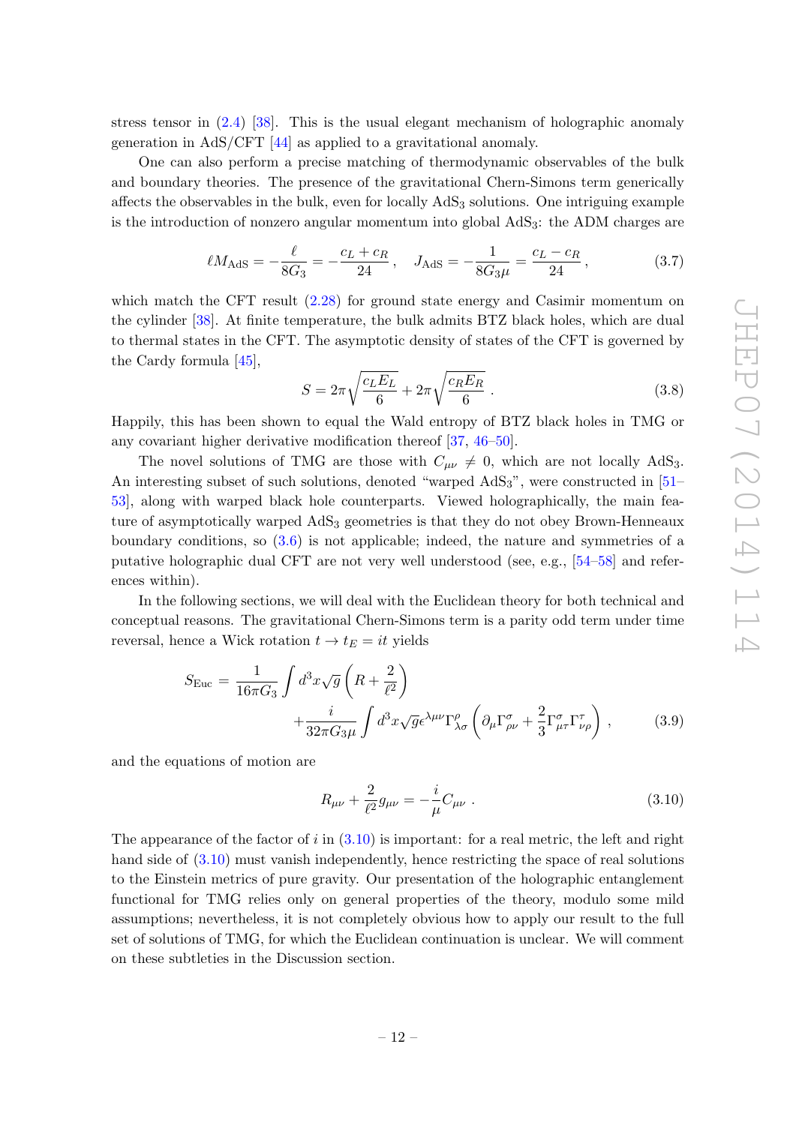stress tensor in [\(2.4\)](#page-5-2) [\[38\]](#page-49-8). This is the usual elegant mechanism of holographic anomaly generation in AdS/CFT [\[44\]](#page-49-9) as applied to a gravitational anomaly.

One can also perform a precise matching of thermodynamic observables of the bulk and boundary theories. The presence of the gravitational Chern-Simons term generically affects the observables in the bulk, even for locally  $AdS<sub>3</sub>$  solutions. One intriguing example is the introduction of nonzero angular momentum into global AdS3: the ADM charges are

$$
\ell M_{\rm AdS} = -\frac{\ell}{8G_3} = -\frac{c_L + c_R}{24} \,, \quad J_{\rm AdS} = -\frac{1}{8G_3\mu} = \frac{c_L - c_R}{24} \,, \tag{3.7}
$$

which match the CFT result  $(2.28)$  for ground state energy and Casimir momentum on the cylinder [\[38\]](#page-49-8). At finite temperature, the bulk admits BTZ black holes, which are dual to thermal states in the CFT. The asymptotic density of states of the CFT is governed by the Cardy formula [\[45\]](#page-49-10),

<span id="page-13-2"></span>
$$
S = 2\pi \sqrt{\frac{c_L E_L}{6}} + 2\pi \sqrt{\frac{c_R E_R}{6}}.
$$
 (3.8)

Happily, this has been shown to equal the Wald entropy of BTZ black holes in TMG or any covariant higher derivative modification thereof [\[37,](#page-49-3) [46](#page-49-11)[–50\]](#page-49-12).

The novel solutions of TMG are those with  $C_{\mu\nu} \neq 0$ , which are not locally AdS<sub>3</sub>. An interesting subset of such solutions, denoted "warped  $AdS_3$ ", were constructed in [\[51–](#page-49-13) [53\]](#page-50-0), along with warped black hole counterparts. Viewed holographically, the main feature of asymptotically warped AdS<sub>3</sub> geometries is that they do not obey Brown-Henneaux boundary conditions, so [\(3.6\)](#page-12-3) is not applicable; indeed, the nature and symmetries of a putative holographic dual CFT are not very well understood (see, e.g., [\[54](#page-50-1)[–58\]](#page-50-2) and references within).

In the following sections, we will deal with the Euclidean theory for both technical and conceptual reasons. The gravitational Chern-Simons term is a parity odd term under time reversal, hence a Wick rotation  $t \to t_E = it$  yields

<span id="page-13-1"></span>
$$
S_{\text{Euc}} = \frac{1}{16\pi G_3} \int d^3x \sqrt{g} \left( R + \frac{2}{\ell^2} \right) + \frac{i}{32\pi G_3 \mu} \int d^3x \sqrt{g} \epsilon^{\lambda\mu\nu} \Gamma^{\rho}_{\lambda\sigma} \left( \partial_{\mu} \Gamma^{\sigma}_{\rho\nu} + \frac{2}{3} \Gamma^{\sigma}_{\mu\tau} \Gamma^{\tau}_{\nu\rho} \right) , \tag{3.9}
$$

and the equations of motion are

<span id="page-13-0"></span>
$$
R_{\mu\nu} + \frac{2}{\ell^2} g_{\mu\nu} = -\frac{i}{\mu} C_{\mu\nu} . \tag{3.10}
$$

The appearance of the factor of  $i$  in  $(3.10)$  is important: for a real metric, the left and right hand side of  $(3.10)$  must vanish independently, hence restricting the space of real solutions to the Einstein metrics of pure gravity. Our presentation of the holographic entanglement functional for TMG relies only on general properties of the theory, modulo some mild assumptions; nevertheless, it is not completely obvious how to apply our result to the full set of solutions of TMG, for which the Euclidean continuation is unclear. We will comment on these subtleties in the Discussion section.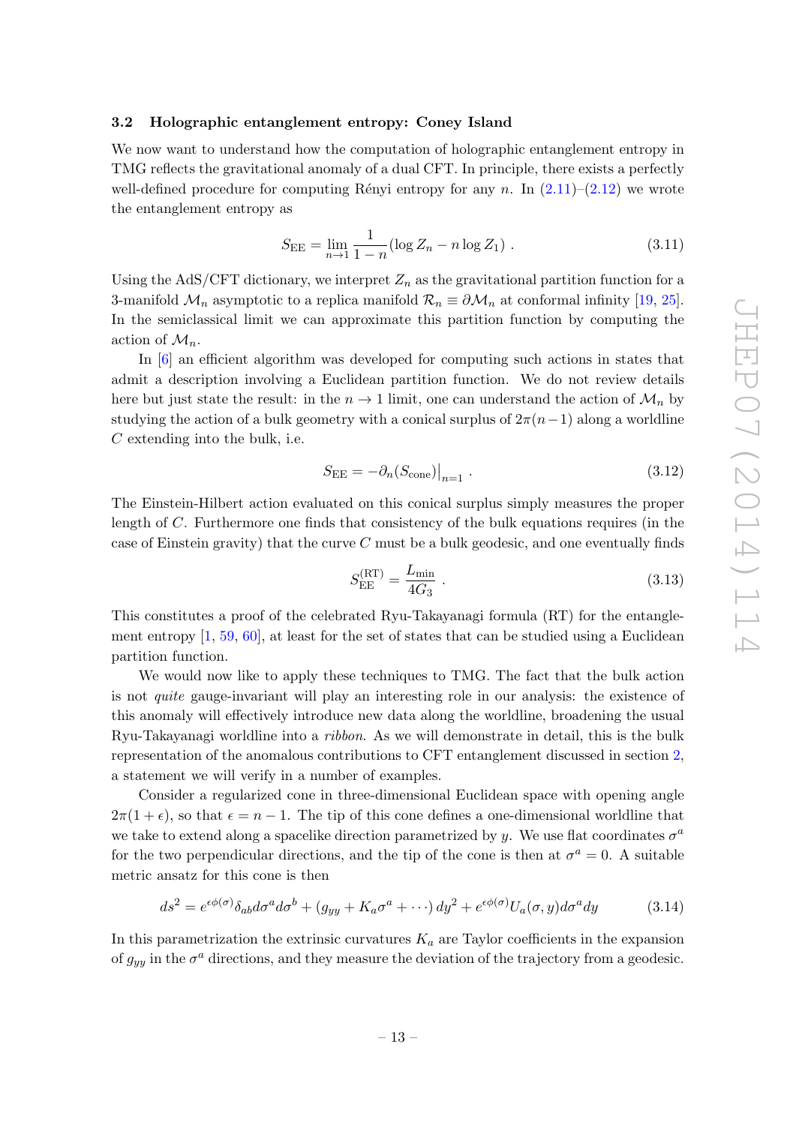## <span id="page-14-0"></span>3.2 Holographic entanglement entropy: Coney Island

We now want to understand how the computation of holographic entanglement entropy in TMG reflects the gravitational anomaly of a dual CFT. In principle, there exists a perfectly well-defined procedure for computing Rényi entropy for any n. In  $(2.11)$ – $(2.12)$  we wrote the entanglement entropy as

$$
S_{\rm EE} = \lim_{n \to 1} \frac{1}{1 - n} (\log Z_n - n \log Z_1) \tag{3.11}
$$

Using the AdS/CFT dictionary, we interpret  $Z_n$  as the gravitational partition function for a 3-manifold  $\mathcal{M}_n$  asymptotic to a replica manifold  $\mathcal{R}_n \equiv \partial \mathcal{M}_n$  at conformal infinity [\[19,](#page-48-5) [25\]](#page-48-17). In the semiclassical limit we can approximate this partition function by computing the action of  $\mathcal{M}_n$ .

In [\[6\]](#page-47-4) an efficient algorithm was developed for computing such actions in states that admit a description involving a Euclidean partition function. We do not review details here but just state the result: in the  $n \to 1$  limit, one can understand the action of  $\mathcal{M}_n$  by studying the action of a bulk geometry with a conical surplus of  $2\pi(n-1)$  along a worldline C extending into the bulk, i.e.

<span id="page-14-2"></span>
$$
S_{\rm EE} = -\partial_n (S_{\rm cone})\big|_{n=1} \tag{3.12}
$$

The Einstein-Hilbert action evaluated on this conical surplus simply measures the proper length of C. Furthermore one finds that consistency of the bulk equations requires (in the case of Einstein gravity) that the curve  $C$  must be a bulk geodesic, and one eventually finds

$$
S_{\rm EE}^{\rm (RT)} = \frac{L_{\rm min}}{4G_3} \ . \tag{3.13}
$$

This constitutes a proof of the celebrated Ryu-Takayanagi formula (RT) for the entanglement entropy  $[1, 59, 60]$  $[1, 59, 60]$  $[1, 59, 60]$  $[1, 59, 60]$ , at least for the set of states that can be studied using a Euclidean partition function.

We would now like to apply these techniques to TMG. The fact that the bulk action is not quite gauge-invariant will play an interesting role in our analysis: the existence of this anomaly will effectively introduce new data along the worldline, broadening the usual Ryu-Takayanagi worldline into a ribbon. As we will demonstrate in detail, this is the bulk representation of the anomalous contributions to CFT entanglement discussed in section [2,](#page-4-0) a statement we will verify in a number of examples.

Consider a regularized cone in three-dimensional Euclidean space with opening angle  $2\pi(1+\epsilon)$ , so that  $\epsilon = n-1$ . The tip of this cone defines a one-dimensional worldline that we take to extend along a spacelike direction parametrized by y. We use flat coordinates  $\sigma^a$ for the two perpendicular directions, and the tip of the cone is then at  $\sigma^a = 0$ . A suitable metric ansatz for this cone is then

<span id="page-14-1"></span>
$$
ds^{2} = e^{\epsilon\phi(\sigma)}\delta_{ab}d\sigma^{a}d\sigma^{b} + (g_{yy} + K_{a}\sigma^{a} + \cdots) dy^{2} + e^{\epsilon\phi(\sigma)}U_{a}(\sigma, y)d\sigma^{a}dy
$$
(3.14)

In this parametrization the extrinsic curvatures  $K_a$  are Taylor coefficients in the expansion of  $g_{yy}$  in the  $\sigma^a$  directions, and they measure the deviation of the trajectory from a geodesic.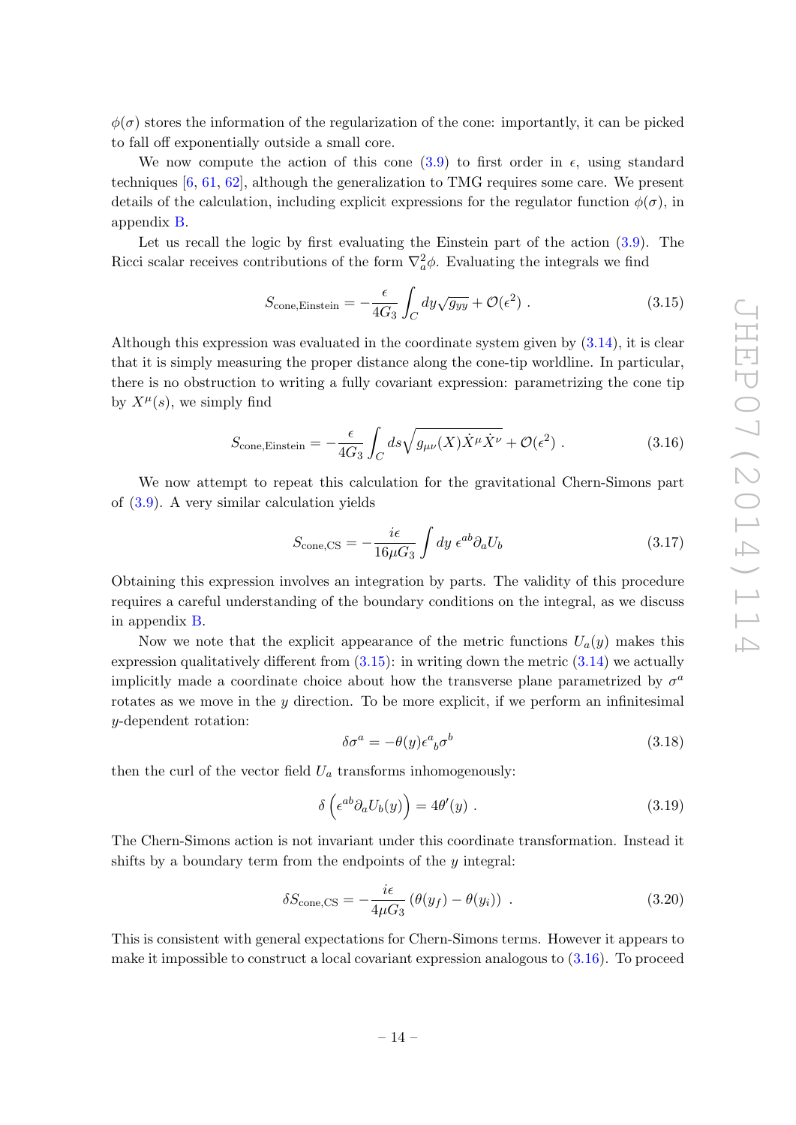$\phi(\sigma)$  stores the information of the regularization of the cone: importantly, it can be picked to fall off exponentially outside a small core.

We now compute the action of this cone [\(3.9\)](#page-13-1) to first order in  $\epsilon$ , using standard techniques  $[6, 61, 62]$  $[6, 61, 62]$  $[6, 61, 62]$  $[6, 61, 62]$ , although the generalization to TMG requires some care. We present details of the calculation, including explicit expressions for the regulator function  $\phi(\sigma)$ , in appendix [B.](#page-30-0)

Let us recall the logic by first evaluating the Einstein part of the action [\(3.9\)](#page-13-1). The Ricci scalar receives contributions of the form  $\nabla_a^2 \phi$ . Evaluating the integrals we find

<span id="page-15-0"></span>
$$
S_{\text{cone,Einstein}} = -\frac{\epsilon}{4G_3} \int_C dy \sqrt{g_{yy}} + \mathcal{O}(\epsilon^2) \tag{3.15}
$$

Although this expression was evaluated in the coordinate system given by [\(3.14\)](#page-14-1), it is clear that it is simply measuring the proper distance along the cone-tip worldline. In particular, there is no obstruction to writing a fully covariant expression: parametrizing the cone tip by  $X^{\mu}(s)$ , we simply find

<span id="page-15-1"></span>
$$
S_{\text{cone,Einstein}} = -\frac{\epsilon}{4G_3} \int_C ds \sqrt{g_{\mu\nu}(X)\dot{X}^\mu \dot{X}^\nu} + \mathcal{O}(\epsilon^2) \tag{3.16}
$$

We now attempt to repeat this calculation for the gravitational Chern-Simons part of [\(3.9\)](#page-13-1). A very similar calculation yields

<span id="page-15-2"></span>
$$
S_{\text{cone,CS}} = -\frac{i\epsilon}{16\mu G_3} \int dy \ \epsilon^{ab} \partial_a U_b \tag{3.17}
$$

Obtaining this expression involves an integration by parts. The validity of this procedure requires a careful understanding of the boundary conditions on the integral, as we discuss in appendix [B.](#page-30-0)

Now we note that the explicit appearance of the metric functions  $U_a(y)$  makes this expression qualitatively different from  $(3.15)$ : in writing down the metric  $(3.14)$  we actually implicitly made a coordinate choice about how the transverse plane parametrized by  $\sigma^a$ rotates as we move in the  $y$  direction. To be more explicit, if we perform an infinitesimal y-dependent rotation:

$$
\delta \sigma^a = -\theta(y)\epsilon^a{}_b \sigma^b \tag{3.18}
$$

then the curl of the vector field  $U_a$  transforms inhomogenously:

<span id="page-15-3"></span>
$$
\delta\left(\epsilon^{ab}\partial_a U_b(y)\right) = 4\theta'(y) \ . \tag{3.19}
$$

The Chern-Simons action is not invariant under this coordinate transformation. Instead it shifts by a boundary term from the endpoints of the  $y$  integral:

$$
\delta S_{\text{cone,CS}} = -\frac{i\epsilon}{4\mu G_3} \left( \theta(y_f) - \theta(y_i) \right) \tag{3.20}
$$

This is consistent with general expectations for Chern-Simons terms. However it appears to make it impossible to construct a local covariant expression analogous to  $(3.16)$ . To proceed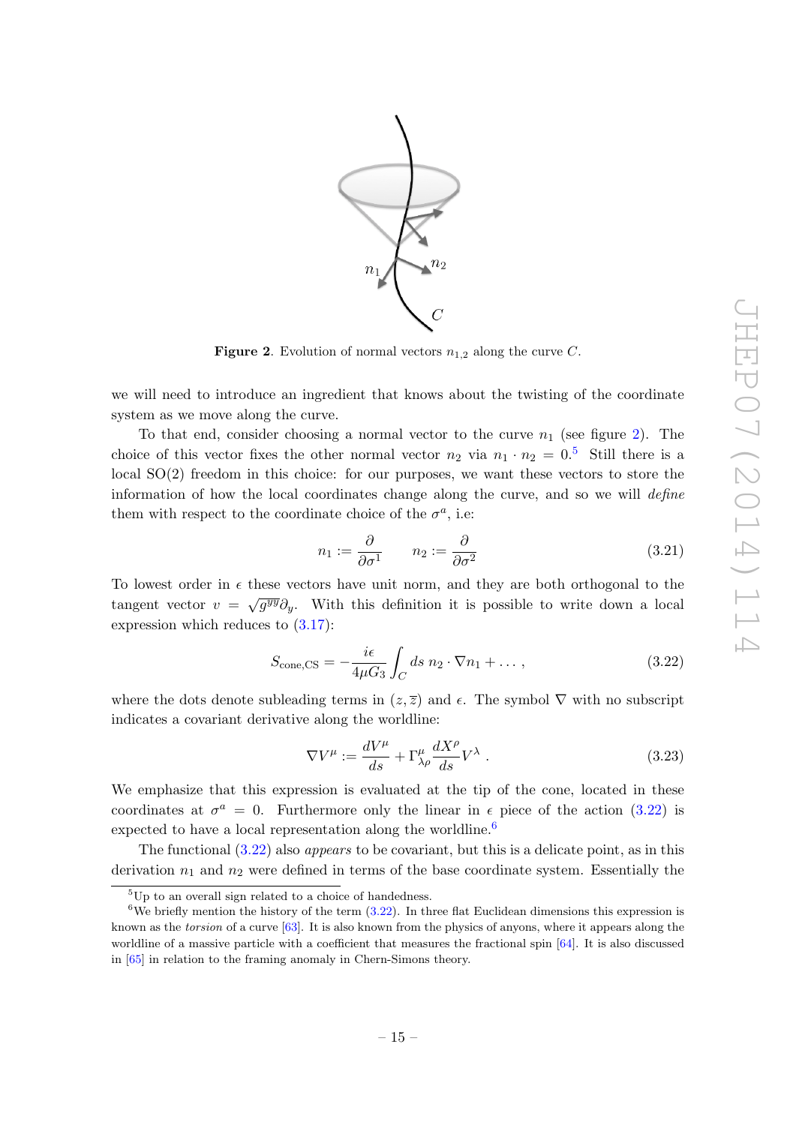

<span id="page-16-0"></span>**Figure 2.** Evolution of normal vectors  $n_{1,2}$  along the curve C.

we will need to introduce an ingredient that knows about the twisting of the coordinate system as we move along the curve.

To that end, consider choosing a normal vector to the curve  $n_1$  (see figure [2\)](#page-16-0). The choice of this vector fixes the other normal vector  $n_2$  via  $n_1 \cdot n_2 = 0.5$  $n_1 \cdot n_2 = 0.5$  Still there is a local SO(2) freedom in this choice: for our purposes, we want these vectors to store the information of how the local coordinates change along the curve, and so we will define them with respect to the coordinate choice of the  $\sigma^a$ , i.e.

<span id="page-16-4"></span>
$$
n_1 := \frac{\partial}{\partial \sigma^1} \qquad n_2 := \frac{\partial}{\partial \sigma^2} \tag{3.21}
$$

To lowest order in  $\epsilon$  these vectors have unit norm, and they are both orthogonal to the tangent vector  $v = \sqrt{g^{yy}} \partial_y$ . With this definition it is possible to write down a local expression which reduces to [\(3.17\)](#page-15-2):

<span id="page-16-2"></span>
$$
S_{\text{cone,CS}} = -\frac{i\epsilon}{4\mu G_3} \int_C ds \ n_2 \cdot \nabla n_1 + \dots \,, \tag{3.22}
$$

where the dots denote subleading terms in  $(z, \overline{z})$  and  $\epsilon$ . The symbol  $\nabla$  with no subscript indicates a covariant derivative along the worldline:

$$
\nabla V^{\mu} := \frac{dV^{\mu}}{ds} + \Gamma^{\mu}_{\lambda\rho} \frac{dX^{\rho}}{ds} V^{\lambda} . \qquad (3.23)
$$

We emphasize that this expression is evaluated at the tip of the cone, located in these coordinates at  $\sigma^a = 0$ . Furthermore only the linear in  $\epsilon$  piece of the action [\(3.22\)](#page-16-2) is expected to have a local representation along the worldline.<sup>[6](#page-16-3)</sup>

The functional [\(3.22\)](#page-16-2) also appears to be covariant, but this is a delicate point, as in this derivation  $n_1$  and  $n_2$  were defined in terms of the base coordinate system. Essentially the

<span id="page-16-3"></span><span id="page-16-1"></span> ${}^{5}$ Up to an overall sign related to a choice of handedness.

<sup>&</sup>lt;sup>6</sup>We briefly mention the history of the term  $(3.22)$ . In three flat Euclidean dimensions this expression is known as the torsion of a curve [\[63\]](#page-50-7). It is also known from the physics of anyons, where it appears along the worldline of a massive particle with a coefficient that measures the fractional spin  $[64]$ . It is also discussed in [\[65\]](#page-50-9) in relation to the framing anomaly in Chern-Simons theory.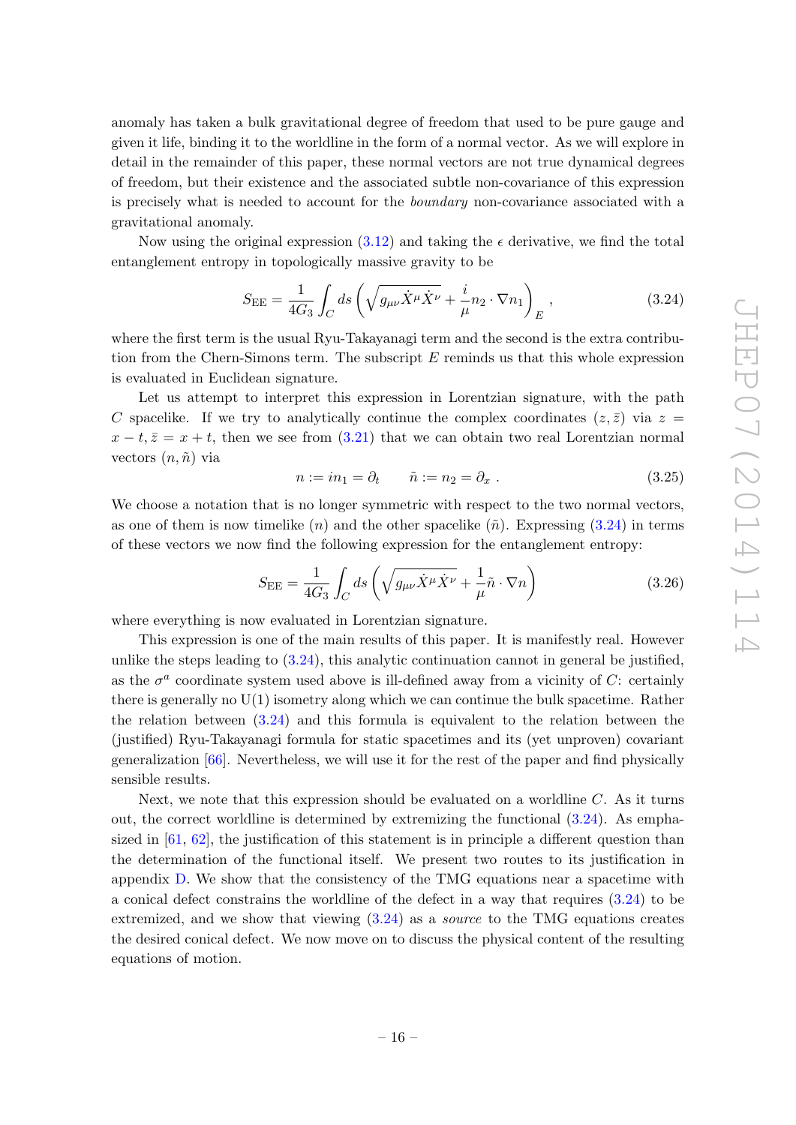anomaly has taken a bulk gravitational degree of freedom that used to be pure gauge and given it life, binding it to the worldline in the form of a normal vector. As we will explore in detail in the remainder of this paper, these normal vectors are not true dynamical degrees of freedom, but their existence and the associated subtle non-covariance of this expression is precisely what is needed to account for the boundary non-covariance associated with a gravitational anomaly.

Now using the original expression  $(3.12)$  and taking the  $\epsilon$  derivative, we find the total entanglement entropy in topologically massive gravity to be

<span id="page-17-0"></span>
$$
S_{\rm EE} = \frac{1}{4G_3} \int_C ds \left( \sqrt{g_{\mu\nu} \dot{X}^\mu \dot{X}^\nu} + \frac{i}{\mu} n_2 \cdot \nabla n_1 \right)_E , \qquad (3.24)
$$

where the first term is the usual Ryu-Takayanagi term and the second is the extra contribution from the Chern-Simons term. The subscript  $E$  reminds us that this whole expression is evaluated in Euclidean signature.

Let us attempt to interpret this expression in Lorentzian signature, with the path C spacelike. If we try to analytically continue the complex coordinates  $(z, \bar{z})$  via  $z =$  $x - t$ ,  $\overline{z} = x + t$ , then we see from [\(3.21\)](#page-16-4) that we can obtain two real Lorentzian normal vectors  $(n, \tilde{n})$  via

<span id="page-17-2"></span>
$$
n := in_1 = \partial_t \qquad \tilde{n} := n_2 = \partial_x \ . \tag{3.25}
$$

We choose a notation that is no longer symmetric with respect to the two normal vectors, as one of them is now timelike  $(n)$  and the other spacelike  $(\tilde{n})$ . Expressing [\(3.24\)](#page-17-0) in terms of these vectors we now find the following expression for the entanglement entropy:

<span id="page-17-1"></span>
$$
S_{\rm EE} = \frac{1}{4G_3} \int_C ds \left( \sqrt{g_{\mu\nu} \dot{X}^\mu \dot{X}^\nu} + \frac{1}{\mu} \tilde{n} \cdot \nabla n \right) \tag{3.26}
$$

where everything is now evaluated in Lorentzian signature.

This expression is one of the main results of this paper. It is manifestly real. However unlike the steps leading to  $(3.24)$ , this analytic continuation cannot in general be justified, as the  $\sigma^a$  coordinate system used above is ill-defined away from a vicinity of C: certainly there is generally no  $U(1)$  isometry along which we can continue the bulk spacetime. Rather the relation between [\(3.24\)](#page-17-0) and this formula is equivalent to the relation between the (justified) Ryu-Takayanagi formula for static spacetimes and its (yet unproven) covariant generalization [\[66\]](#page-50-10). Nevertheless, we will use it for the rest of the paper and find physically sensible results.

Next, we note that this expression should be evaluated on a worldline  $C$ . As it turns out, the correct worldline is determined by extremizing the functional [\(3.24\)](#page-17-0). As emphasized in [\[61,](#page-50-5) [62\]](#page-50-6), the justification of this statement is in principle a different question than the determination of the functional itself. We present two routes to its justification in appendix [D.](#page-34-0) We show that the consistency of the TMG equations near a spacetime with a conical defect constrains the worldline of the defect in a way that requires [\(3.24\)](#page-17-0) to be extremized, and we show that viewing  $(3.24)$  as a *source* to the TMG equations creates the desired conical defect. We now move on to discuss the physical content of the resulting equations of motion.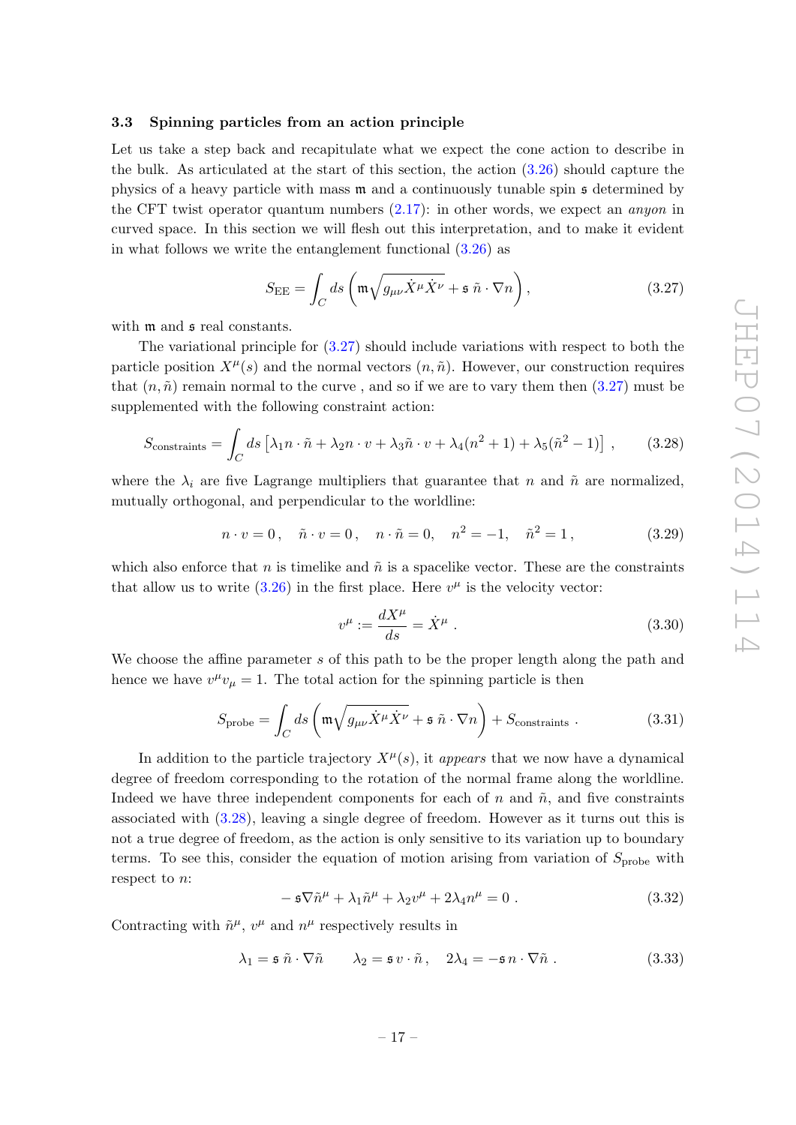## <span id="page-18-0"></span>3.3 Spinning particles from an action principle

Let us take a step back and recapitulate what we expect the cone action to describe in the bulk. As articulated at the start of this section, the action [\(3.26\)](#page-17-1) should capture the physics of a heavy particle with mass m and a continuously tunable spin s determined by the CFT twist operator quantum numbers  $(2.17)$ : in other words, we expect an *anyon* in curved space. In this section we will flesh out this interpretation, and to make it evident in what follows we write the entanglement functional [\(3.26\)](#page-17-1) as

<span id="page-18-1"></span>
$$
S_{\rm EE} = \int_C ds \left( \mathfrak{m} \sqrt{g_{\mu\nu} \dot{X}^\mu \dot{X}^\nu} + \mathfrak{s} \tilde{n} \cdot \nabla n \right), \qquad (3.27)
$$

with  $m$  and  $s$  real constants.

The variational principle for [\(3.27\)](#page-18-1) should include variations with respect to both the particle position  $X^{\mu}(s)$  and the normal vectors  $(n, \tilde{n})$ . However, our construction requires that  $(n, \tilde{n})$  remain normal to the curve, and so if we are to vary them then  $(3.27)$  must be supplemented with the following constraint action:

<span id="page-18-2"></span>
$$
S_{\text{constraints}} = \int_C ds \left[ \lambda_1 n \cdot \tilde{n} + \lambda_2 n \cdot v + \lambda_3 \tilde{n} \cdot v + \lambda_4 (n^2 + 1) + \lambda_5 (\tilde{n}^2 - 1) \right], \quad (3.28)
$$

where the  $\lambda_i$  are five Lagrange multipliers that guarantee that n and  $\tilde{n}$  are normalized, mutually orthogonal, and perpendicular to the worldline:

<span id="page-18-5"></span>
$$
n \cdot v = 0
$$
,  $\tilde{n} \cdot v = 0$ ,  $n \cdot \tilde{n} = 0$ ,  $n^2 = -1$ ,  $\tilde{n}^2 = 1$ , (3.29)

which also enforce that n is timelike and  $\tilde{n}$  is a spacelike vector. These are the constraints that allow us to write  $(3.26)$  in the first place. Here  $v^{\mu}$  is the velocity vector:

$$
v^{\mu} := \frac{dX^{\mu}}{ds} = \dot{X}^{\mu} . \tag{3.30}
$$

We choose the affine parameter s of this path to be the proper length along the path and hence we have  $v^{\mu}v_{\mu} = 1$ . The total action for the spinning particle is then

<span id="page-18-4"></span>
$$
S_{\text{probe}} = \int_C ds \left( \mathfrak{m} \sqrt{g_{\mu\nu} \dot{X}^\mu \dot{X}^\nu} + \mathfrak{s} \tilde{n} \cdot \nabla n \right) + S_{\text{constraints}} \,. \tag{3.31}
$$

In addition to the particle trajectory  $X^{\mu}(s)$ , it appears that we now have a dynamical degree of freedom corresponding to the rotation of the normal frame along the worldline. Indeed we have three independent components for each of  $n$  and  $\tilde{n}$ , and five constraints associated with [\(3.28\)](#page-18-2), leaving a single degree of freedom. However as it turns out this is not a true degree of freedom, as the action is only sensitive to its variation up to boundary terms. To see this, consider the equation of motion arising from variation of  $S_{\text{probe}}$  with respect to n:

$$
-\mathfrak{s}\nabla \tilde{n}^{\mu} + \lambda_1 \tilde{n}^{\mu} + \lambda_2 v^{\mu} + 2\lambda_4 n^{\mu} = 0.
$$
 (3.32)

Contracting with  $\tilde{n}^{\mu}$ ,  $v^{\mu}$  and  $n^{\mu}$  respectively results in

<span id="page-18-3"></span>
$$
\lambda_1 = \mathfrak{s} \tilde{n} \cdot \nabla \tilde{n} \qquad \lambda_2 = \mathfrak{s} \, v \cdot \tilde{n}, \quad 2\lambda_4 = -\mathfrak{s} \, n \cdot \nabla \tilde{n} \; . \tag{3.33}
$$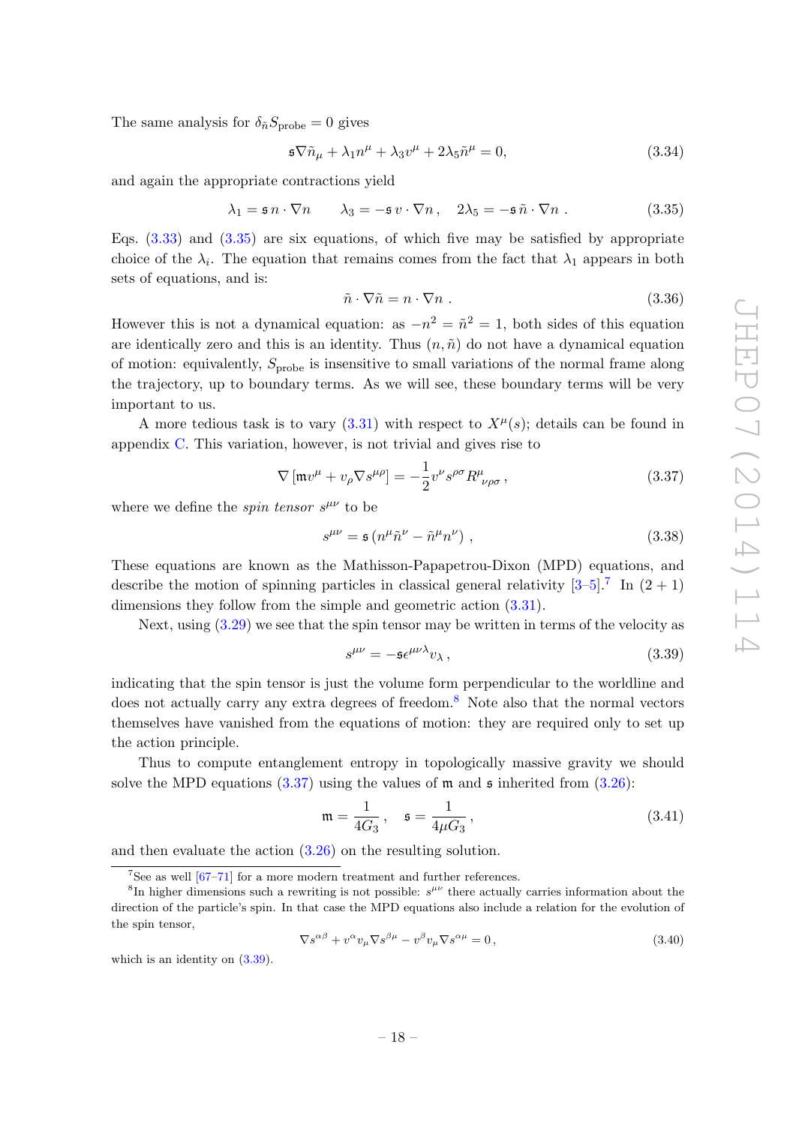The same analysis for  $\delta_{\tilde{n}} S_{\text{probe}} = 0$  gives

$$
\mathfrak{s}\nabla \tilde{n}_{\mu} + \lambda_1 n^{\mu} + \lambda_3 v^{\mu} + 2\lambda_5 \tilde{n}^{\mu} = 0, \qquad (3.34)
$$

and again the appropriate contractions yield

<span id="page-19-0"></span>
$$
\lambda_1 = \mathfrak{s} \, n \cdot \nabla n \qquad \lambda_3 = -\mathfrak{s} \, v \cdot \nabla n \,, \quad 2\lambda_5 = -\mathfrak{s} \, \tilde{n} \cdot \nabla n \,. \tag{3.35}
$$

Eqs.  $(3.33)$  and  $(3.35)$  are six equations, of which five may be satisfied by appropriate choice of the  $\lambda_i$ . The equation that remains comes from the fact that  $\lambda_1$  appears in both sets of equations, and is:

$$
\tilde{n} \cdot \nabla \tilde{n} = n \cdot \nabla n \tag{3.36}
$$

However this is not a dynamical equation: as  $-n^2 = \tilde{n}^2 = 1$ , both sides of this equation are identically zero and this is an identity. Thus  $(n, \tilde{n})$  do not have a dynamical equation of motion: equivalently,  $S_{\text{probe}}$  is insensitive to small variations of the normal frame along the trajectory, up to boundary terms. As we will see, these boundary terms will be very important to us.

A more tedious task is to vary  $(3.31)$  with respect to  $X^{\mu}(s)$ ; details can be found in appendix [C.](#page-31-0) This variation, however, is not trivial and gives rise to

<span id="page-19-3"></span>
$$
\nabla \left[ \mathfrak{m} v^{\mu} + v_{\rho} \nabla s^{\mu \rho} \right] = -\frac{1}{2} v^{\nu} s^{\rho \sigma} R^{\mu}_{\ \nu \rho \sigma} , \qquad (3.37)
$$

where we define the *spin tensor*  $s^{\mu\nu}$  to be

<span id="page-19-6"></span>
$$
s^{\mu\nu} = \mathfrak{s} \left( n^{\mu} \tilde{n}^{\nu} - \tilde{n}^{\mu} n^{\nu} \right) , \qquad (3.38)
$$

These equations are known as the Mathisson-Papapetrou-Dixon (MPD) equations, and describe the motion of spinning particles in classical general relativity  $[3-5]$  $[3-5]$ .<sup>[7](#page-19-1)</sup> In  $(2 + 1)$ dimensions they follow from the simple and geometric action [\(3.31\)](#page-18-4).

Next, using [\(3.29\)](#page-18-5) we see that the spin tensor may be written in terms of the velocity as

<span id="page-19-4"></span>
$$
s^{\mu\nu} = -\mathfrak{s}\epsilon^{\mu\nu\lambda}v_{\lambda},\tag{3.39}
$$

indicating that the spin tensor is just the volume form perpendicular to the worldline and does not actually carry any extra degrees of freedom.<sup>[8](#page-19-2)</sup> Note also that the normal vectors themselves have vanished from the equations of motion: they are required only to set up the action principle.

Thus to compute entanglement entropy in topologically massive gravity we should solve the MPD equations  $(3.37)$  using the values of m and s inherited from  $(3.26)$ :

<span id="page-19-5"></span>
$$
\mathfrak{m} = \frac{1}{4G_3}, \quad \mathfrak{s} = \frac{1}{4\mu G_3}, \tag{3.41}
$$

and then evaluate the action [\(3.26\)](#page-17-1) on the resulting solution.

$$
\nabla s^{\alpha\beta} + v^{\alpha} v_{\mu} \nabla s^{\beta\mu} - v^{\beta} v_{\mu} \nabla s^{\alpha\mu} = 0, \qquad (3.40)
$$

which is an identity on  $(3.39)$ .

<span id="page-19-2"></span><span id="page-19-1"></span> $7$ See as well  $[67-71]$  $[67-71]$  for a more modern treatment and further references.

<sup>&</sup>lt;sup>8</sup>In higher dimensions such a rewriting is not possible:  $s^{\mu\nu}$  there actually carries information about the direction of the particle's spin. In that case the MPD equations also include a relation for the evolution of the spin tensor,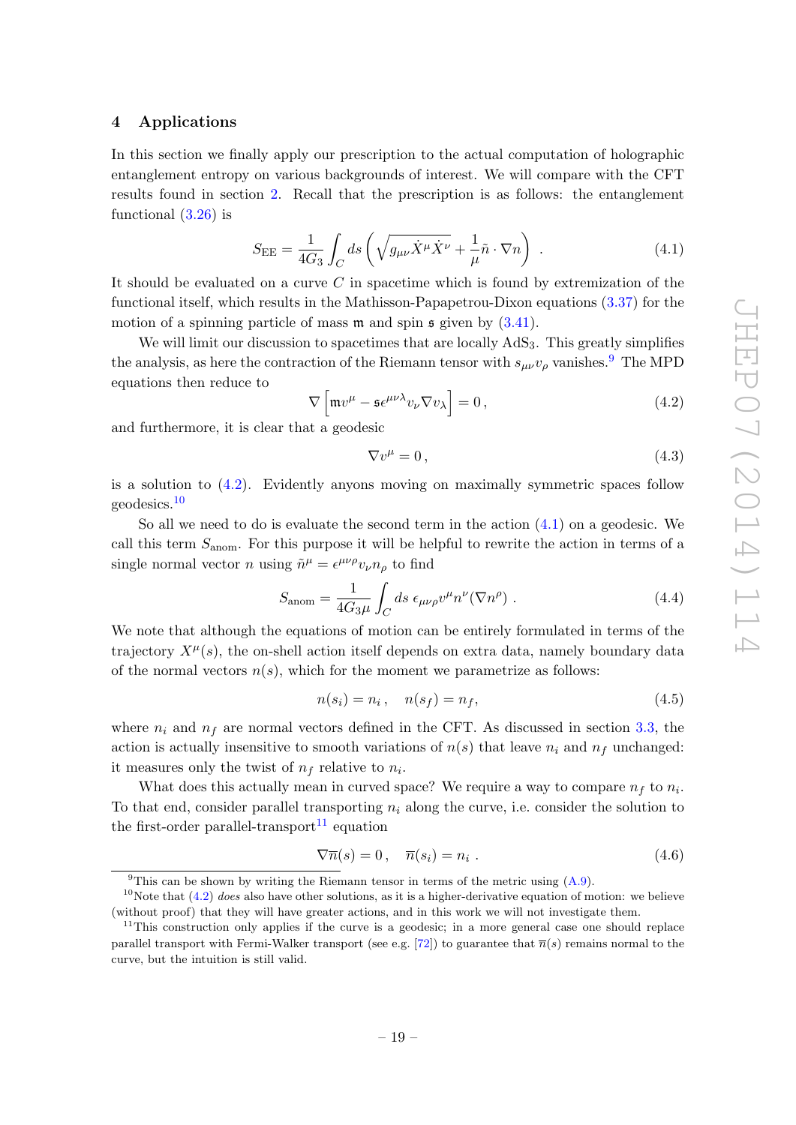## <span id="page-20-0"></span>4 Applications

In this section we finally apply our prescription to the actual computation of holographic entanglement entropy on various backgrounds of interest. We will compare with the CFT results found in section [2.](#page-4-0) Recall that the prescription is as follows: the entanglement functional  $(3.26)$  is

<span id="page-20-4"></span>
$$
S_{\rm EE} = \frac{1}{4G_3} \int_C ds \left( \sqrt{g_{\mu\nu} \dot{X}^\mu \dot{X}^\nu} + \frac{1}{\mu} \tilde{n} \cdot \nabla n \right) . \tag{4.1}
$$

It should be evaluated on a curve  $C$  in spacetime which is found by extremization of the functional itself, which results in the Mathisson-Papapetrou-Dixon equations [\(3.37\)](#page-19-3) for the motion of a spinning particle of mass  $m$  and spin  $\frak{s}$  given by  $(3.41)$ .

We will limit our discussion to spacetimes that are locally  $AdS_3$ . This greatly simplifies the analysis, as here the contraction of the Riemann tensor with  $s_{\mu\nu}v_{\rho}$  vanishes.<sup>[9](#page-20-1)</sup> The MPD equations then reduce to

<span id="page-20-2"></span>
$$
\nabla \left[ \mathfrak{m} v^{\mu} - \mathfrak{s} \epsilon^{\mu \nu \lambda} v_{\nu} \nabla v_{\lambda} \right] = 0, \qquad (4.2)
$$

and furthermore, it is clear that a geodesic

$$
\nabla v^{\mu} = 0, \qquad (4.3)
$$

is a solution to [\(4.2\)](#page-20-2). Evidently anyons moving on maximally symmetric spaces follow geodesics.[10](#page-20-3)

So all we need to do is evaluate the second term in the action [\(4.1\)](#page-20-4) on a geodesic. We call this term  $S_{\text{anom}}$ . For this purpose it will be helpful to rewrite the action in terms of a single normal vector *n* using  $\tilde{n}^{\mu} = \epsilon^{\mu\nu\rho} v_{\nu} n_{\rho}$  to find

<span id="page-20-7"></span>
$$
S_{\text{anom}} = \frac{1}{4G_3\mu} \int_C ds \ \epsilon_{\mu\nu\rho} v^{\mu} n^{\nu} (\nabla n^{\rho}) \ . \tag{4.4}
$$

We note that although the equations of motion can be entirely formulated in terms of the trajectory  $X^{\mu}(s)$ , the on-shell action itself depends on extra data, namely boundary data of the normal vectors  $n(s)$ , which for the moment we parametrize as follows:

<span id="page-20-8"></span>
$$
n(s_i) = n_i, \quad n(s_f) = n_f,
$$
\n(4.5)

where  $n_i$  and  $n_f$  are normal vectors defined in the CFT. As discussed in section [3.3,](#page-18-0) the action is actually insensitive to smooth variations of  $n(s)$  that leave  $n_i$  and  $n_f$  unchanged: it measures only the twist of  $n_f$  relative to  $n_i$ .

What does this actually mean in curved space? We require a way to compare  $n_f$  to  $n_i$ . To that end, consider parallel transporting  $n_i$  along the curve, i.e. consider the solution to the first-order parallel-transport<sup>[11](#page-20-5)</sup> equation

<span id="page-20-6"></span>
$$
\nabla \overline{n}(s) = 0, \quad \overline{n}(s_i) = n_i. \tag{4.6}
$$

<span id="page-20-3"></span><span id="page-20-1"></span><sup>&</sup>lt;sup>9</sup>This can be shown by writing the Riemann tensor in terms of the metric using  $(A.9)$ .

<sup>&</sup>lt;sup>10</sup>Note that  $(4.2)$  does also have other solutions, as it is a higher-derivative equation of motion: we believe (without proof) that they will have greater actions, and in this work we will not investigate them.

<span id="page-20-5"></span><sup>&</sup>lt;sup>11</sup>This construction only applies if the curve is a geodesic; in a more general case one should replace parallel transport with Fermi-Walker transport (see e.g. [\[72\]](#page-50-13)) to guarantee that  $\bar{n}(s)$  remains normal to the curve, but the intuition is still valid.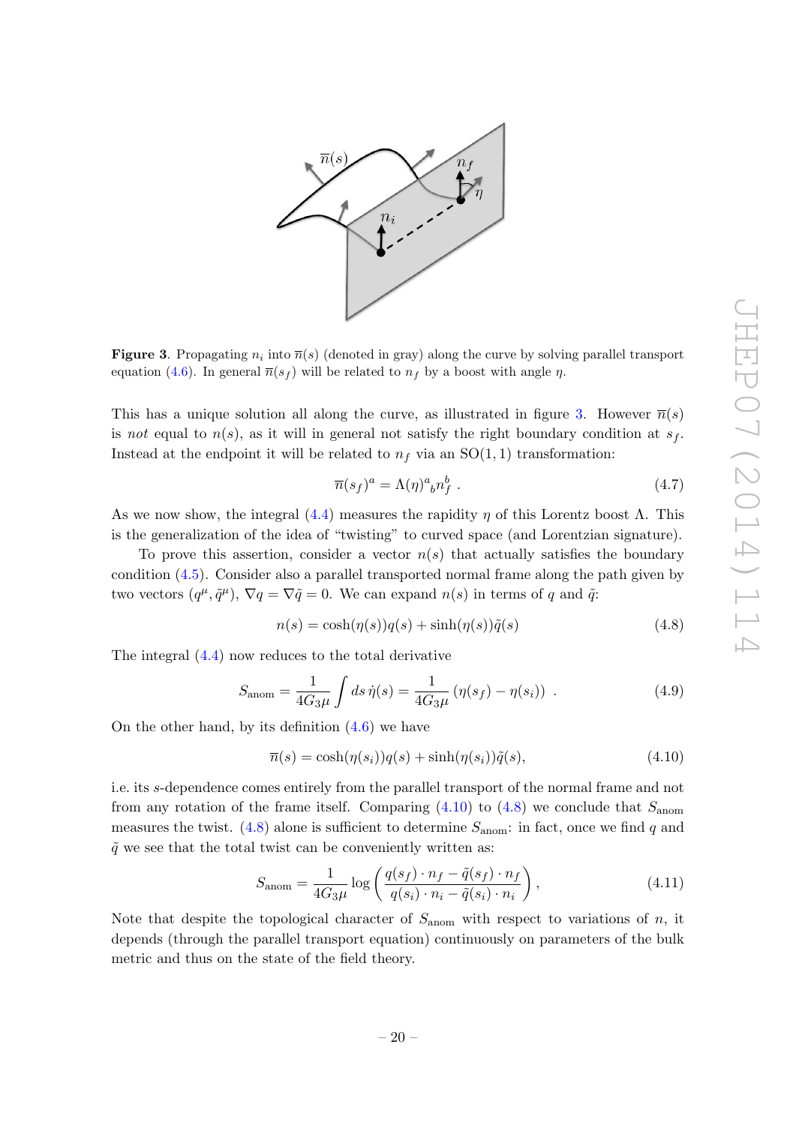

<span id="page-21-0"></span>**Figure 3**. Propagating  $n_i$  into  $\overline{n}(s)$  (denoted in gray) along the curve by solving parallel transport equation [\(4.6\)](#page-20-6). In general  $\overline{n}(s_f)$  will be related to  $n_f$  by a boost with angle  $\eta$ .

This has a unique solution all along the curve, as illustrated in figure [3.](#page-21-0) However  $\bar{n}(s)$ is not equal to  $n(s)$ , as it will in general not satisfy the right boundary condition at  $s_f$ . Instead at the endpoint it will be related to  $n_f$  via an  $SO(1, 1)$  transformation:

$$
\overline{n}(s_f)^a = \Lambda(\eta)^a{}_b n_f^b . \tag{4.7}
$$

As we now show, the integral  $(4.4)$  measures the rapidity  $\eta$  of this Lorentz boost  $\Lambda$ . This is the generalization of the idea of "twisting" to curved space (and Lorentzian signature).

To prove this assertion, consider a vector  $n(s)$  that actually satisfies the boundary condition [\(4.5\)](#page-20-8). Consider also a parallel transported normal frame along the path given by two vectors  $(q^{\mu}, \tilde{q}^{\mu})$ ,  $\nabla q = \nabla \tilde{q} = 0$ . We can expand  $n(s)$  in terms of q and  $\tilde{q}$ :

<span id="page-21-2"></span>
$$
n(s) = \cosh(\eta(s))q(s) + \sinh(\eta(s))\tilde{q}(s)
$$
\n(4.8)

The integral [\(4.4\)](#page-20-7) now reduces to the total derivative

$$
S_{\text{anom}} = \frac{1}{4G_3\mu} \int ds \,\dot{\eta}(s) = \frac{1}{4G_3\mu} \left( \eta(s_f) - \eta(s_i) \right) \,. \tag{4.9}
$$

On the other hand, by its definition  $(4.6)$  we have

<span id="page-21-1"></span>
$$
\overline{n}(s) = \cosh(\eta(s_i))q(s) + \sinh(\eta(s_i))\tilde{q}(s),\tag{4.10}
$$

i.e. its s-dependence comes entirely from the parallel transport of the normal frame and not from any rotation of the frame itself. Comparing  $(4.10)$  to  $(4.8)$  we conclude that  $S_{\text{anom}}$ measures the twist. [\(4.8\)](#page-21-2) alone is sufficient to determine  $S_{\text{anom}}$ : in fact, once we find q and  $\tilde{q}$  we see that the total twist can be conveniently written as:

<span id="page-21-3"></span>
$$
S_{\text{anom}} = \frac{1}{4G_3\mu} \log \left( \frac{q(s_f) \cdot n_f - \tilde{q}(s_f) \cdot n_f}{q(s_i) \cdot n_i - \tilde{q}(s_i) \cdot n_i} \right),\tag{4.11}
$$

Note that despite the topological character of  $S_{\text{anom}}$  with respect to variations of n, it depends (through the parallel transport equation) continuously on parameters of the bulk metric and thus on the state of the field theory.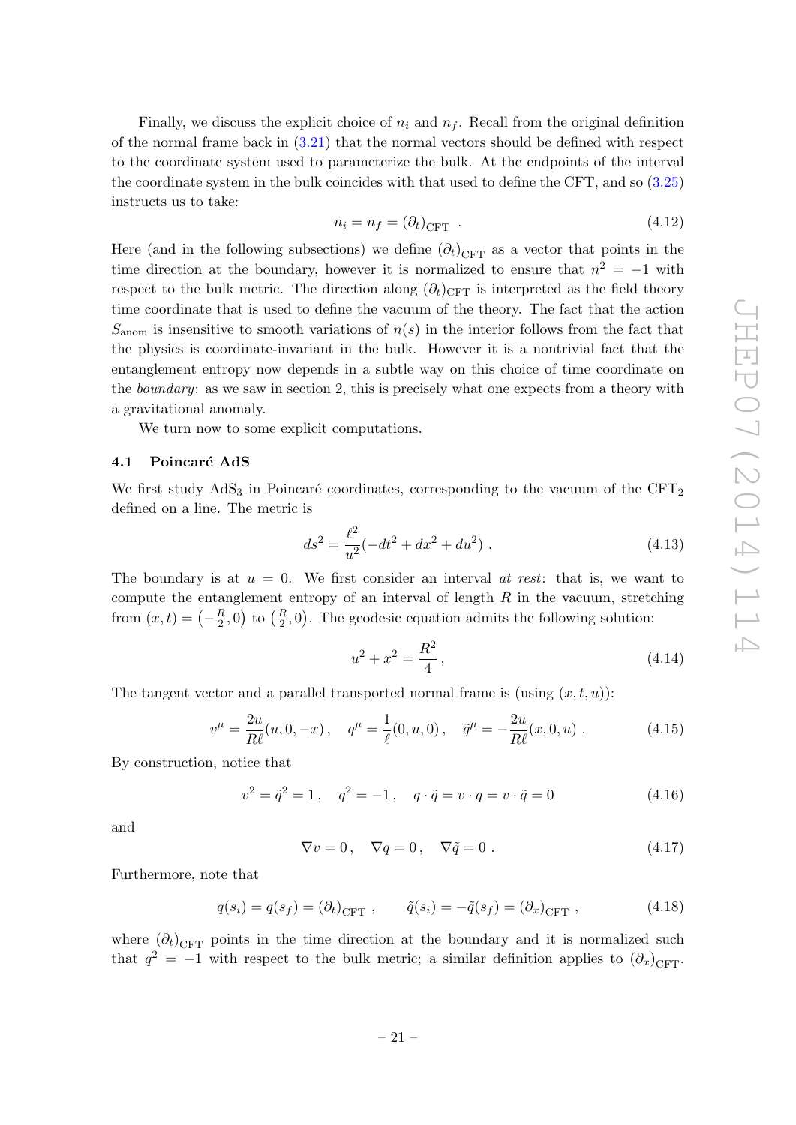Finally, we discuss the explicit choice of  $n_i$  and  $n_f$ . Recall from the original definition of the normal frame back in  $(3.21)$  that the normal vectors should be defined with respect to the coordinate system used to parameterize the bulk. At the endpoints of the interval the coordinate system in the bulk coincides with that used to define the CFT, and so [\(3.25\)](#page-17-2) instructs us to take:

<span id="page-22-1"></span>
$$
n_i = n_f = (\partial_t)_{\text{CFT}} \tag{4.12}
$$

Here (and in the following subsections) we define  $(\partial_t)_{\text{CFT}}$  as a vector that points in the time direction at the boundary, however it is normalized to ensure that  $n^2 = -1$  with respect to the bulk metric. The direction along  $(\partial_t)_{\text{CFT}}$  is interpreted as the field theory time coordinate that is used to define the vacuum of the theory. The fact that the action  $S<sub>anom</sub>$  is insensitive to smooth variations of  $n(s)$  in the interior follows from the fact that the physics is coordinate-invariant in the bulk. However it is a nontrivial fact that the entanglement entropy now depends in a subtle way on this choice of time coordinate on the *boundary*: as we saw in section 2, this is precisely what one expects from a theory with a gravitational anomaly.

We turn now to some explicit computations.

## <span id="page-22-0"></span>4.1 Poincaré AdS

We first study  $AdS_3$  in Poincaré coordinates, corresponding to the vacuum of the CFT<sub>2</sub> defined on a line. The metric is

<span id="page-22-2"></span>
$$
ds^{2} = \frac{\ell^{2}}{u^{2}}(-dt^{2} + dx^{2} + du^{2}).
$$
\n(4.13)

The boundary is at  $u = 0$ . We first consider an interval *at rest*: that is, we want to compute the entanglement entropy of an interval of length  $R$  in the vacuum, stretching from  $(x,t) = \left(-\frac{R}{2}\right)$  $(\frac{R}{2}, 0)$  to  $(\frac{R}{2}, 0)$ . The geodesic equation admits the following solution:

$$
u^2 + x^2 = \frac{R^2}{4},\tag{4.14}
$$

The tangent vector and a parallel transported normal frame is (using  $(x, t, u)$ ):

<span id="page-22-3"></span>
$$
v^{\mu} = \frac{2u}{R\ell}(u, 0, -x), \quad q^{\mu} = \frac{1}{\ell}(0, u, 0), \quad \tilde{q}^{\mu} = -\frac{2u}{R\ell}(x, 0, u).
$$
 (4.15)

By construction, notice that

$$
v^{2} = \tilde{q}^{2} = 1, \quad q^{2} = -1, \quad q \cdot \tilde{q} = v \cdot q = v \cdot \tilde{q} = 0 \tag{4.16}
$$

and

$$
\nabla v = 0, \quad \nabla q = 0, \quad \nabla \tilde{q} = 0.
$$
\n(4.17)

Furthermore, note that

$$
q(s_i) = q(s_f) = (\partial_t)_{\text{CFT}} , \qquad \tilde{q}(s_i) = -\tilde{q}(s_f) = (\partial_x)_{\text{CFT}} , \qquad (4.18)
$$

where  $(\partial_t)_{\text{CFT}}$  points in the time direction at the boundary and it is normalized such that  $q^2 = -1$  with respect to the bulk metric; a similar definition applies to  $(\partial_x)_{\text{CFT}}$ .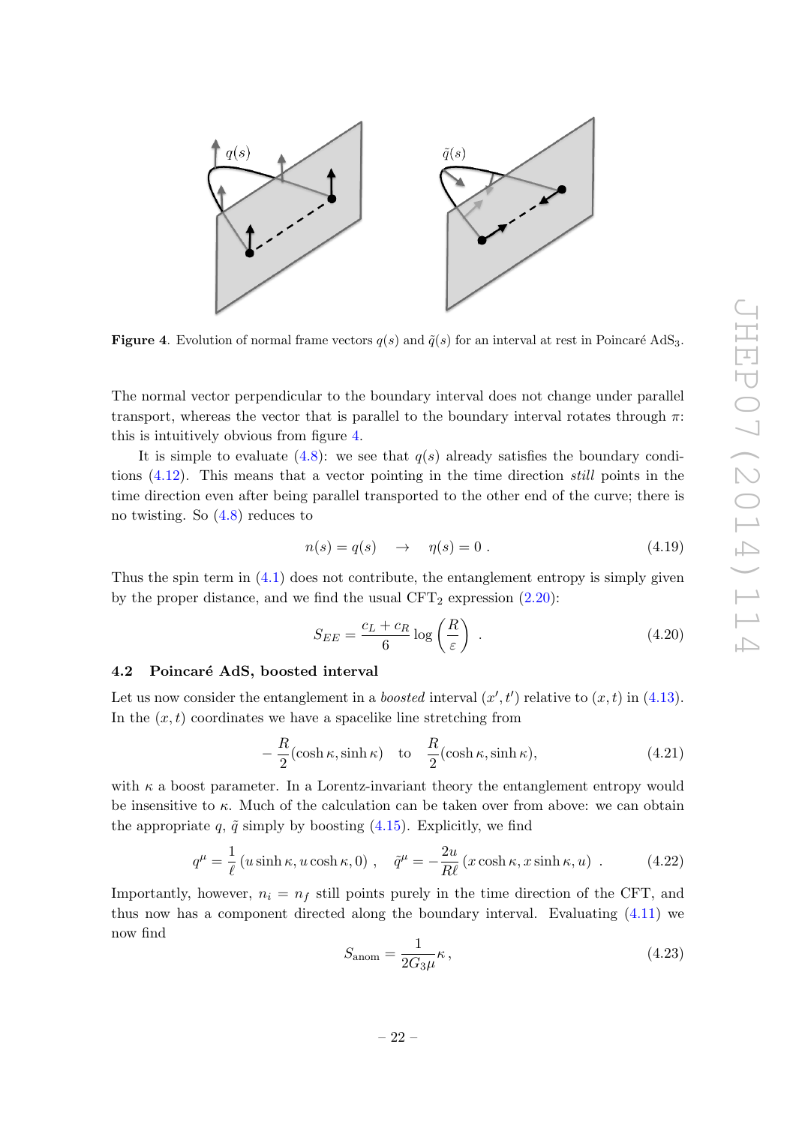

<span id="page-23-1"></span>**Figure 4.** Evolution of normal frame vectors  $q(s)$  and  $\tilde{q}(s)$  for an interval at rest in Poincaré AdS<sub>3</sub>.

The normal vector perpendicular to the boundary interval does not change under parallel transport, whereas the vector that is parallel to the boundary interval rotates through  $\pi$ : this is intuitively obvious from figure [4.](#page-23-1)

It is simple to evaluate  $(4.8)$ : we see that  $q(s)$  already satisfies the boundary conditions [\(4.12\)](#page-22-1). This means that a vector pointing in the time direction still points in the time direction even after being parallel transported to the other end of the curve; there is no twisting. So [\(4.8\)](#page-21-2) reduces to

$$
n(s) = q(s) \quad \to \quad \eta(s) = 0 \tag{4.19}
$$

Thus the spin term in  $(4.1)$  does not contribute, the entanglement entropy is simply given by the proper distance, and we find the usual  $CFT_2$  expression  $(2.20)$ :

$$
S_{EE} = \frac{c_L + c_R}{6} \log \left(\frac{R}{\varepsilon}\right) \tag{4.20}
$$

# <span id="page-23-0"></span>4.2 Poincaré AdS, boosted interval

Let us now consider the entanglement in a *boosted* interval  $(x', t')$  relative to  $(x, t)$  in [\(4.13\)](#page-22-2). In the  $(x, t)$  coordinates we have a spacelike line stretching from

$$
-\frac{R}{2}(\cosh \kappa, \sinh \kappa) \quad \text{to} \quad \frac{R}{2}(\cosh \kappa, \sinh \kappa), \tag{4.21}
$$

with  $\kappa$  a boost parameter. In a Lorentz-invariant theory the entanglement entropy would be insensitive to  $\kappa$ . Much of the calculation can be taken over from above: we can obtain the appropriate q,  $\tilde{q}$  simply by boosting [\(4.15\)](#page-22-3). Explicitly, we find

<span id="page-23-2"></span>
$$
q^{\mu} = \frac{1}{\ell} \left( u \sinh \kappa, u \cosh \kappa, 0 \right) , \quad \tilde{q}^{\mu} = -\frac{2u}{R\ell} \left( x \cosh \kappa, x \sinh \kappa, u \right) . \tag{4.22}
$$

Importantly, however,  $n_i = n_f$  still points purely in the time direction of the CFT, and thus now has a component directed along the boundary interval. Evaluating [\(4.11\)](#page-21-3) we now find

$$
S_{\text{anom}} = \frac{1}{2G_3\mu}\kappa\,,\tag{4.23}
$$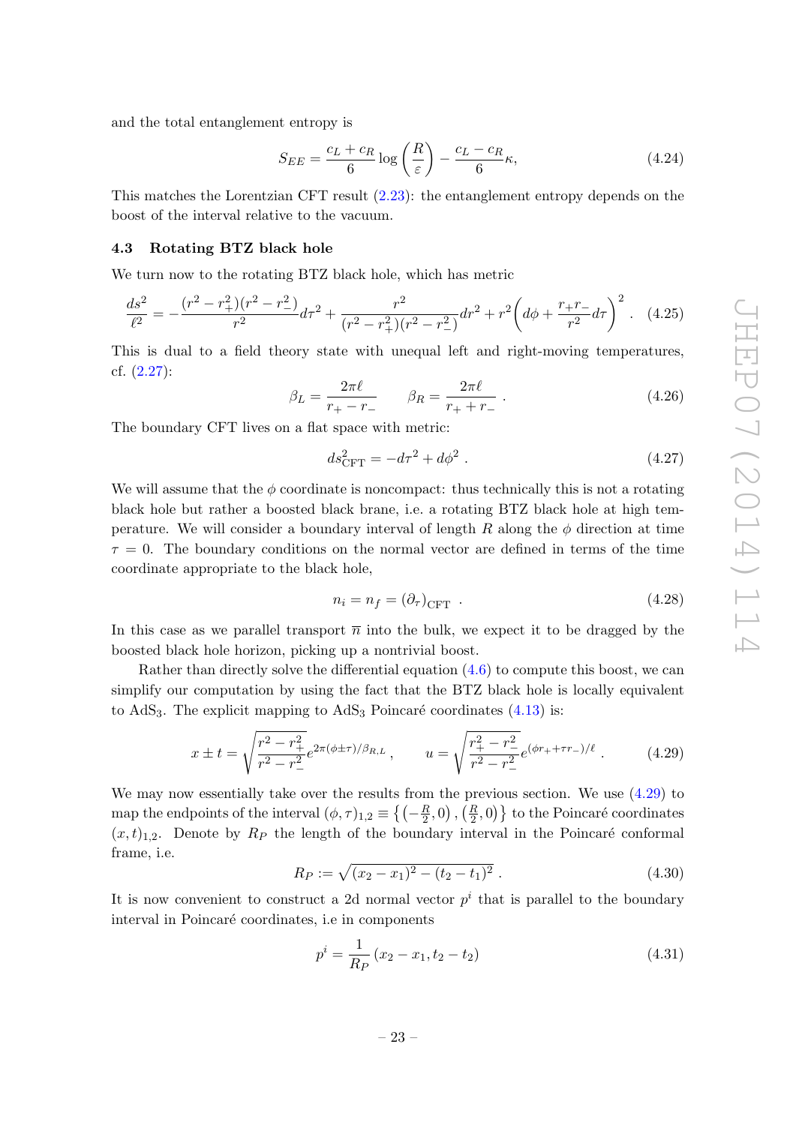and the total entanglement entropy is

$$
S_{EE} = \frac{c_L + c_R}{6} \log \left(\frac{R}{\varepsilon}\right) - \frac{c_L - c_R}{6} \kappa,\tag{4.24}
$$

This matches the Lorentzian CFT result [\(2.23\)](#page-9-2): the entanglement entropy depends on the boost of the interval relative to the vacuum.

## <span id="page-24-0"></span>4.3 Rotating BTZ black hole

We turn now to the rotating BTZ black hole, which has metric

<span id="page-24-3"></span>
$$
\frac{ds^2}{\ell^2} = -\frac{(r^2 - r_+^2)(r^2 - r_-^2)}{r^2}d\tau^2 + \frac{r^2}{(r^2 - r_+^2)(r^2 - r_-^2)}dr^2 + r^2\left(d\phi + \frac{r_+r_-}{r^2}d\tau\right)^2.
$$
 (4.25)

This is dual to a field theory state with unequal left and right-moving temperatures, cf. [\(2.27\)](#page-10-4):

$$
\beta_L = \frac{2\pi\ell}{r_+ - r_-} \qquad \beta_R = \frac{2\pi\ell}{r_+ + r_-} \ . \tag{4.26}
$$

The boundary CFT lives on a flat space with metric:

$$
ds_{\text{CFT}}^2 = -d\tau^2 + d\phi^2 \,. \tag{4.27}
$$

We will assume that the  $\phi$  coordinate is noncompact: thus technically this is not a rotating black hole but rather a boosted black brane, i.e. a rotating BTZ black hole at high temperature. We will consider a boundary interval of length R along the  $\phi$  direction at time  $\tau = 0$ . The boundary conditions on the normal vector are defined in terms of the time coordinate appropriate to the black hole,

<span id="page-24-2"></span>
$$
n_i = n_f = (\partial_\tau)_{\text{CFT}} \tag{4.28}
$$

In this case as we parallel transport  $\overline{n}$  into the bulk, we expect it to be dragged by the boosted black hole horizon, picking up a nontrivial boost.

Rather than directly solve the differential equation [\(4.6\)](#page-20-6) to compute this boost, we can simplify our computation by using the fact that the BTZ black hole is locally equivalent to  $AdS<sub>3</sub>$ . The explicit mapping to  $AdS<sub>3</sub>$  Poincaré coordinates [\(4.13\)](#page-22-2) is:

<span id="page-24-1"></span>
$$
x \pm t = \sqrt{\frac{r^2 - r_+^2}{r^2 - r_-^2}} e^{2\pi(\phi \pm \tau)/\beta_{R,L}}, \qquad u = \sqrt{\frac{r_+^2 - r_-^2}{r^2 - r_-^2}} e^{(\phi r_+ + \tau r_-)/\ell}.
$$
 (4.29)

We may now essentially take over the results from the previous section. We use [\(4.29\)](#page-24-1) to map the endpoints of the interval  $(\phi, \tau)_{1,2} \equiv \left\{ \left( -\frac{R}{2} \right) \right\}$  $(\frac{R}{2},0)$  ,  $(\frac{R}{2},0)\}$  to the Poincaré coordinates  $(x, t)_{1,2}$ . Denote by  $R_P$  the length of the boundary interval in the Poincaré conformal frame, i.e.

$$
R_P := \sqrt{(x_2 - x_1)^2 - (t_2 - t_1)^2} \ . \tag{4.30}
$$

It is now convenient to construct a 2d normal vector  $p^i$  that is parallel to the boundary interval in Poincaré coordinates, i.e in components

$$
p^i = \frac{1}{R_P} (x_2 - x_1, t_2 - t_2)
$$
\n(4.31)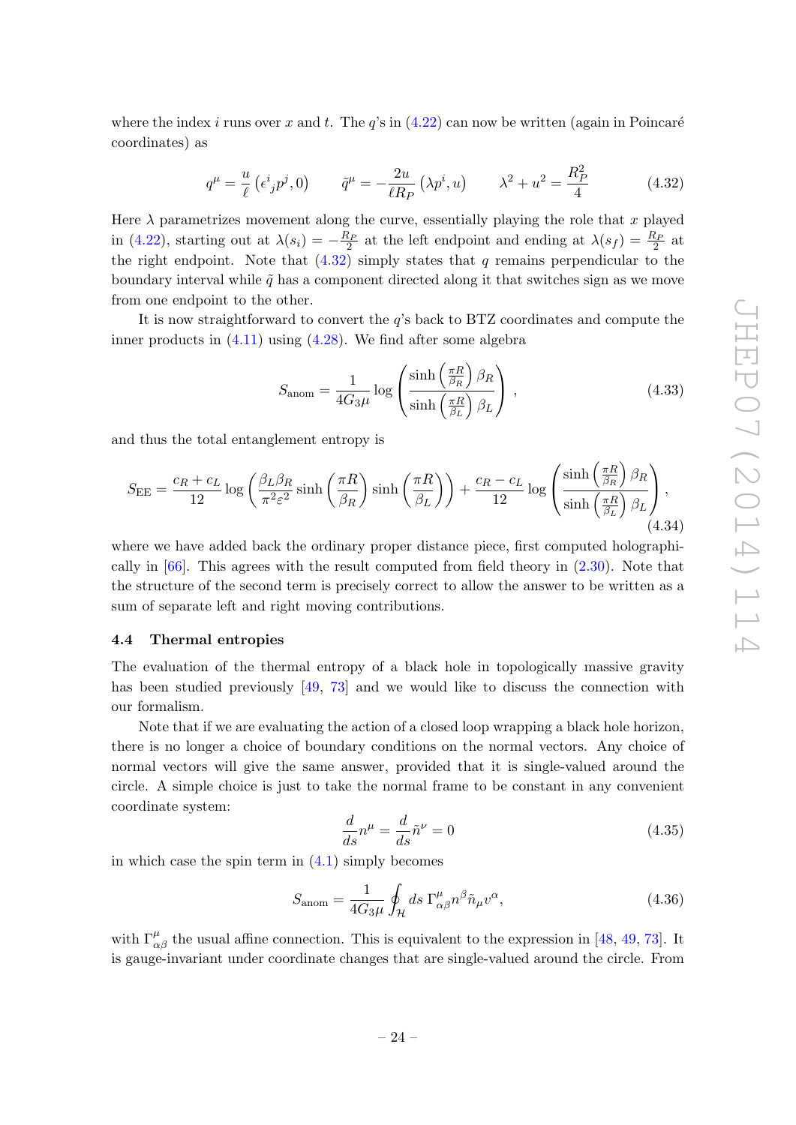where the index i runs over x and t. The  $q$ 's in  $(4.22)$  can now be written (again in Poincaré coordinates) as

<span id="page-25-1"></span>
$$
q^{\mu} = \frac{u}{\ell} \left( \epsilon^{i}{}_{j} p^{j}, 0 \right) \qquad \tilde{q}^{\mu} = -\frac{2u}{\ell R_{P}} \left( \lambda p^{i}, u \right) \qquad \lambda^{2} + u^{2} = \frac{R_{P}^{2}}{4} \tag{4.32}
$$

Here  $\lambda$  parametrizes movement along the curve, essentially playing the role that x played in [\(4.22\)](#page-23-2), starting out at  $\lambda(s_i) = -\frac{R_P}{2}$  at the left endpoint and ending at  $\lambda(s_f) = \frac{R_P}{2}$  at the right endpoint. Note that  $(4.32)$  simply states that q remains perpendicular to the boundary interval while  $\tilde{q}$  has a component directed along it that switches sign as we move from one endpoint to the other.

It is now straightforward to convert the q's back to BTZ coordinates and compute the inner products in [\(4.11\)](#page-21-3) using [\(4.28\)](#page-24-2). We find after some algebra

$$
S_{\text{anom}} = \frac{1}{4G_3\mu} \log \left( \frac{\sinh\left(\frac{\pi R}{\beta_R}\right)\beta_R}{\sinh\left(\frac{\pi R}{\beta_L}\right)\beta_L} \right),\tag{4.33}
$$

and thus the total entanglement entropy is

<span id="page-25-4"></span>
$$
S_{\rm EE} = \frac{c_R + c_L}{12} \log \left( \frac{\beta_L \beta_R}{\pi^2 \varepsilon^2} \sinh \left( \frac{\pi R}{\beta_R} \right) \sinh \left( \frac{\pi R}{\beta_L} \right) \right) + \frac{c_R - c_L}{12} \log \left( \frac{\sinh \left( \frac{\pi R}{\beta_R} \right) \beta_R}{\sinh \left( \frac{\pi R}{\beta_L} \right) \beta_L} \right),\tag{4.34}
$$

where we have added back the ordinary proper distance piece, first computed holographically in [\[66\]](#page-50-10). This agrees with the result computed from field theory in [\(2.30\)](#page-10-2). Note that the structure of the second term is precisely correct to allow the answer to be written as a sum of separate left and right moving contributions.

#### <span id="page-25-0"></span>4.4 Thermal entropies

The evaluation of the thermal entropy of a black hole in topologically massive gravity has been studied previously [\[49,](#page-49-14) [73\]](#page-51-0) and we would like to discuss the connection with our formalism.

Note that if we are evaluating the action of a closed loop wrapping a black hole horizon, there is no longer a choice of boundary conditions on the normal vectors. Any choice of normal vectors will give the same answer, provided that it is single-valued around the circle. A simple choice is just to take the normal frame to be constant in any convenient coordinate system:

<span id="page-25-2"></span>
$$
\frac{d}{ds}n^{\mu} = \frac{d}{ds}\tilde{n}^{\nu} = 0\tag{4.35}
$$

in which case the spin term in  $(4.1)$  simply becomes

<span id="page-25-3"></span>
$$
S_{\text{anom}} = \frac{1}{4G_3\mu} \oint_{\mathcal{H}} ds \ \Gamma^{\mu}_{\alpha\beta} n^{\beta} \tilde{n}_{\mu} v^{\alpha},\tag{4.36}
$$

with  $\Gamma^{\mu}_{\alpha\beta}$  the usual affine connection. This is equivalent to the expression in [\[48,](#page-49-15) [49,](#page-49-14) [73\]](#page-51-0). It is gauge-invariant under coordinate changes that are single-valued around the circle. From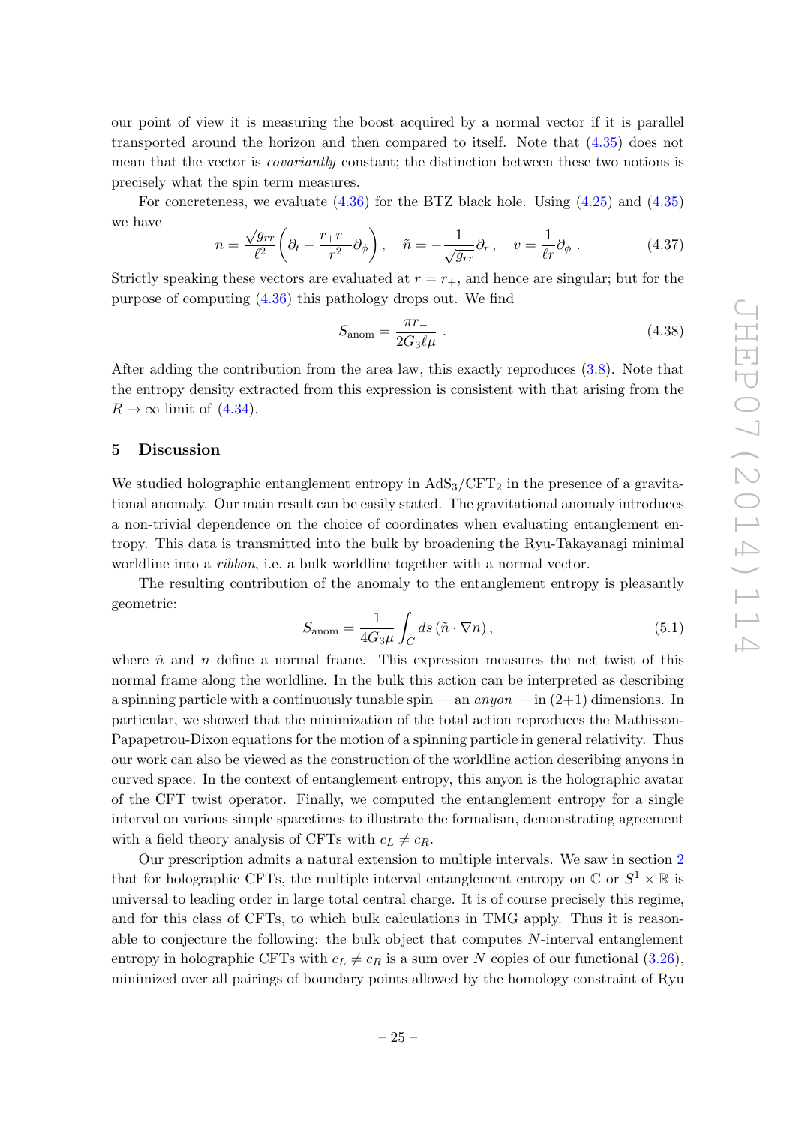our point of view it is measuring the boost acquired by a normal vector if it is parallel transported around the horizon and then compared to itself. Note that [\(4.35\)](#page-25-2) does not mean that the vector is *covariantly* constant; the distinction between these two notions is precisely what the spin term measures.

For concreteness, we evaluate [\(4.36\)](#page-25-3) for the BTZ black hole. Using [\(4.25\)](#page-24-3) and [\(4.35\)](#page-25-2) we have

$$
n = \frac{\sqrt{g_{rr}}}{\ell^2} \left( \partial_t - \frac{r_+ r_-}{r^2} \partial_\phi \right), \quad \tilde{n} = -\frac{1}{\sqrt{g_{rr}}} \partial_r, \quad v = \frac{1}{\ell r} \partial_\phi \ . \tag{4.37}
$$

Strictly speaking these vectors are evaluated at  $r = r_{+}$ , and hence are singular; but for the purpose of computing [\(4.36\)](#page-25-3) this pathology drops out. We find

$$
S_{\text{anom}} = \frac{\pi r_{-}}{2G_3 \ell \mu} \tag{4.38}
$$

After adding the contribution from the area law, this exactly reproduces [\(3.8\)](#page-13-2). Note that the entropy density extracted from this expression is consistent with that arising from the  $R \rightarrow \infty$  limit of [\(4.34\)](#page-25-4).

#### <span id="page-26-0"></span>5 Discussion

We studied holographic entanglement entropy in  $AdS_3/CFT_2$  in the presence of a gravitational anomaly. Our main result can be easily stated. The gravitational anomaly introduces a non-trivial dependence on the choice of coordinates when evaluating entanglement entropy. This data is transmitted into the bulk by broadening the Ryu-Takayanagi minimal worldline into a *ribbon*, i.e. a bulk worldline together with a normal vector.

The resulting contribution of the anomaly to the entanglement entropy is pleasantly geometric:

<span id="page-26-1"></span>
$$
S_{\text{anom}} = \frac{1}{4G_3\mu} \int_C ds \left(\tilde{n} \cdot \nabla n\right),\tag{5.1}
$$

where  $\tilde{n}$  and n define a normal frame. This expression measures the net twist of this normal frame along the worldline. In the bulk this action can be interpreted as describing a spinning particle with a continuously tunable spin — an  $\textit{anyon}$  — in  $(2+1)$  dimensions. In particular, we showed that the minimization of the total action reproduces the Mathisson-Papapetrou-Dixon equations for the motion of a spinning particle in general relativity. Thus our work can also be viewed as the construction of the worldline action describing anyons in curved space. In the context of entanglement entropy, this anyon is the holographic avatar of the CFT twist operator. Finally, we computed the entanglement entropy for a single interval on various simple spacetimes to illustrate the formalism, demonstrating agreement with a field theory analysis of CFTs with  $c_L \neq c_R$ .

Our prescription admits a natural extension to multiple intervals. We saw in section [2](#page-4-0) that for holographic CFTs, the multiple interval entanglement entropy on  $\mathbb{C}$  or  $S^1 \times \mathbb{R}$  is universal to leading order in large total central charge. It is of course precisely this regime, and for this class of CFTs, to which bulk calculations in TMG apply. Thus it is reasonable to conjecture the following: the bulk object that computes  $N$ -interval entanglement entropy in holographic CFTs with  $c_L \neq c_R$  is a sum over N copies of our functional [\(3.26\)](#page-17-1), minimized over all pairings of boundary points allowed by the homology constraint of Ryu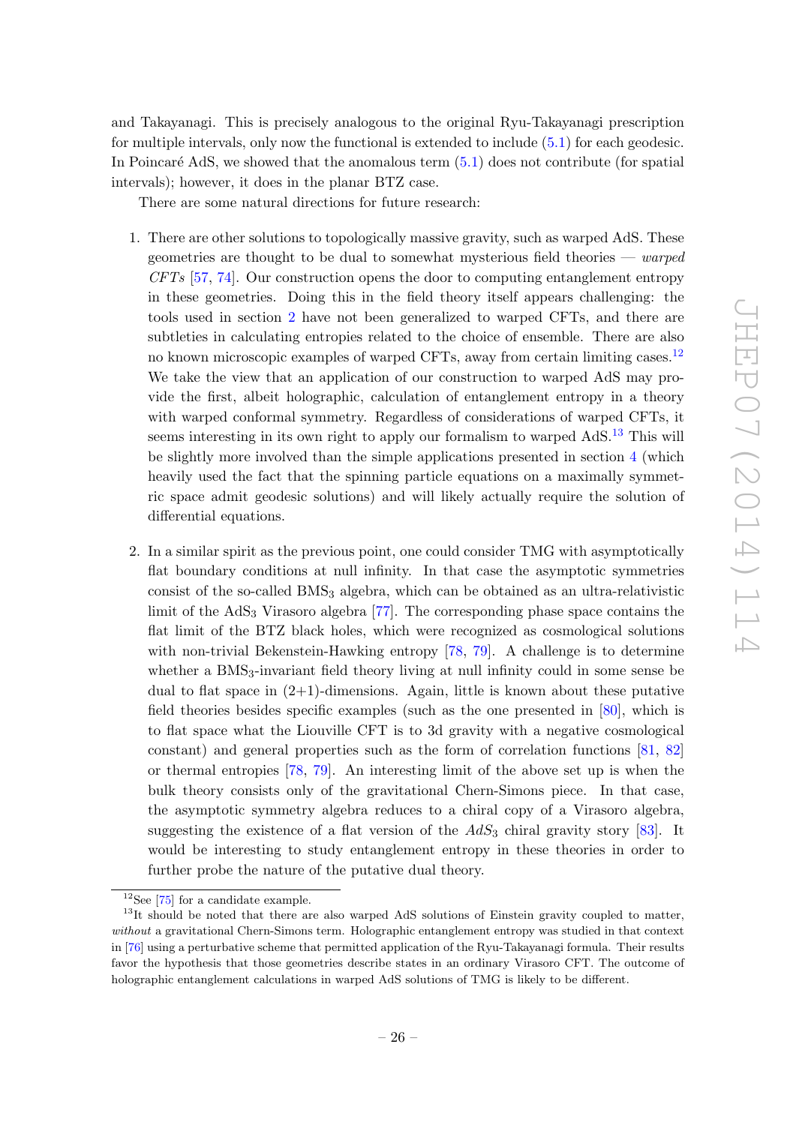and Takayanagi. This is precisely analogous to the original Ryu-Takayanagi prescription for multiple intervals, only now the functional is extended to include [\(5.1\)](#page-26-1) for each geodesic. In Poincaré AdS, we showed that the anomalous term  $(5.1)$  does not contribute (for spatial intervals); however, it does in the planar BTZ case.

There are some natural directions for future research:

- 1. There are other solutions to topologically massive gravity, such as warped AdS. These geometries are thought to be dual to somewhat mysterious field theories —  $warped$  $CFTs$  [\[57,](#page-50-14) [74\]](#page-51-1). Our construction opens the door to computing entanglement entropy in these geometries. Doing this in the field theory itself appears challenging: the tools used in section [2](#page-4-0) have not been generalized to warped CFTs, and there are subtleties in calculating entropies related to the choice of ensemble. There are also no known microscopic examples of warped CFTs, away from certain limiting cases.[12](#page-27-0) We take the view that an application of our construction to warped AdS may provide the first, albeit holographic, calculation of entanglement entropy in a theory with warped conformal symmetry. Regardless of considerations of warped CFTs, it seems interesting in its own right to apply our formalism to warped AdS.<sup>[13](#page-27-1)</sup> This will be slightly more involved than the simple applications presented in section [4](#page-20-0) (which heavily used the fact that the spinning particle equations on a maximally symmetric space admit geodesic solutions) and will likely actually require the solution of differential equations.
- 2. In a similar spirit as the previous point, one could consider TMG with asymptotically flat boundary conditions at null infinity. In that case the asymptotic symmetries consist of the so-called BMS<sup>3</sup> algebra, which can be obtained as an ultra-relativistic limit of the  $AdS_3$  Virasoro algebra [\[77\]](#page-51-2). The corresponding phase space contains the flat limit of the BTZ black holes, which were recognized as cosmological solutions with non-trivial Bekenstein-Hawking entropy [\[78,](#page-51-3) [79\]](#page-51-4). A challenge is to determine whether a BMS<sub>3</sub>-invariant field theory living at null infinity could in some sense be dual to flat space in  $(2+1)$ -dimensions. Again, little is known about these putative field theories besides specific examples (such as the one presented in [\[80\]](#page-51-5), which is to flat space what the Liouville CFT is to 3d gravity with a negative cosmological constant) and general properties such as the form of correlation functions [\[81,](#page-51-6) [82\]](#page-51-7) or thermal entropies [\[78,](#page-51-3) [79\]](#page-51-4). An interesting limit of the above set up is when the bulk theory consists only of the gravitational Chern-Simons piece. In that case, the asymptotic symmetry algebra reduces to a chiral copy of a Virasoro algebra, suggesting the existence of a flat version of the  $AdS_3$  chiral gravity story [\[83\]](#page-51-8). It would be interesting to study entanglement entropy in these theories in order to further probe the nature of the putative dual theory.

<span id="page-27-1"></span><span id="page-27-0"></span> $12$ See [\[75\]](#page-51-9) for a candidate example.

<sup>&</sup>lt;sup>13</sup>It should be noted that there are also warped AdS solutions of Einstein gravity coupled to matter, without a gravitational Chern-Simons term. Holographic entanglement entropy was studied in that context in [\[76\]](#page-51-10) using a perturbative scheme that permitted application of the Ryu-Takayanagi formula. Their results favor the hypothesis that those geometries describe states in an ordinary Virasoro CFT. The outcome of holographic entanglement calculations in warped AdS solutions of TMG is likely to be different.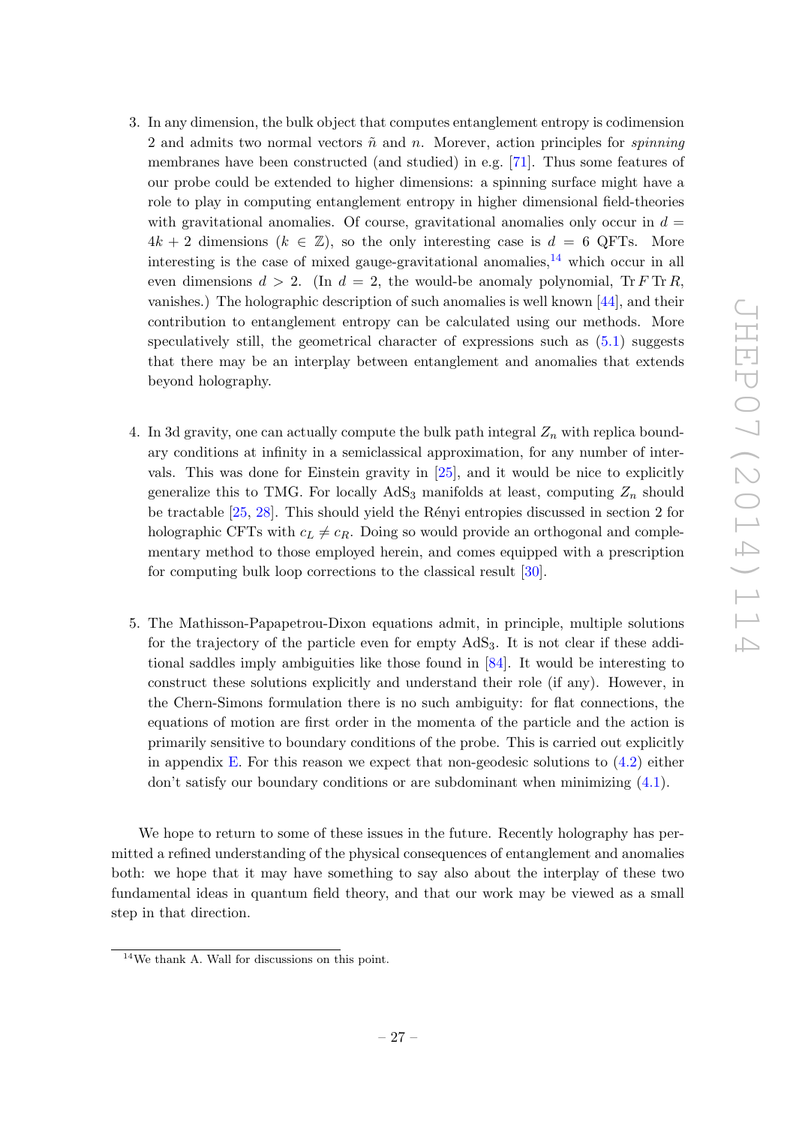- 3. In any dimension, the bulk object that computes entanglement entropy is codimension 2 and admits two normal vectors  $\tilde{n}$  and n. Morever, action principles for *spinning* membranes have been constructed (and studied) in e.g. [\[71\]](#page-50-12). Thus some features of our probe could be extended to higher dimensions: a spinning surface might have a role to play in computing entanglement entropy in higher dimensional field-theories with gravitational anomalies. Of course, gravitational anomalies only occur in  $d =$  $4k + 2$  dimensions  $(k \in \mathbb{Z})$ , so the only interesting case is  $d = 6$  QFTs. More interesting is the case of mixed gauge-gravitational anomalies, $^{14}$  $^{14}$  $^{14}$  which occur in all even dimensions  $d > 2$ . (In  $d = 2$ , the would-be anomaly polynomial, Tr F Tr R, vanishes.) The holographic description of such anomalies is well known [\[44\]](#page-49-9), and their contribution to entanglement entropy can be calculated using our methods. More speculatively still, the geometrical character of expressions such as [\(5.1\)](#page-26-1) suggests that there may be an interplay between entanglement and anomalies that extends beyond holography.
- 4. In 3d gravity, one can actually compute the bulk path integral  $Z_n$  with replica boundary conditions at infinity in a semiclassical approximation, for any number of intervals. This was done for Einstein gravity in [\[25\]](#page-48-17), and it would be nice to explicitly generalize this to TMG. For locally  $AdS_3$  manifolds at least, computing  $Z_n$  should be tractable  $[25, 28]$  $[25, 28]$ . This should yield the Rényi entropies discussed in section 2 for holographic CFTs with  $c_L \neq c_R$ . Doing so would provide an orthogonal and complementary method to those employed herein, and comes equipped with a prescription for computing bulk loop corrections to the classical result [\[30\]](#page-48-11).
- 5. The Mathisson-Papapetrou-Dixon equations admit, in principle, multiple solutions for the trajectory of the particle even for empty  $AdS_3$ . It is not clear if these additional saddles imply ambiguities like those found in [\[84\]](#page-51-11). It would be interesting to construct these solutions explicitly and understand their role (if any). However, in the Chern-Simons formulation there is no such ambiguity: for flat connections, the equations of motion are first order in the momenta of the particle and the action is primarily sensitive to boundary conditions of the probe. This is carried out explicitly in appendix [E.](#page-39-0) For this reason we expect that non-geodesic solutions to  $(4.2)$  either  $\gamma$  don't satisfy our boundary conditions or are subdominant when minimizing  $(4.1)$ .

We hope to return to some of these issues in the future. Recently holography has permitted a refined understanding of the physical consequences of entanglement and anomalies both: we hope that it may have something to say also about the interplay of these two fundamental ideas in quantum field theory, and that our work may be viewed as a small step in that direction.

<span id="page-28-0"></span><sup>14</sup>We thank A. Wall for discussions on this point.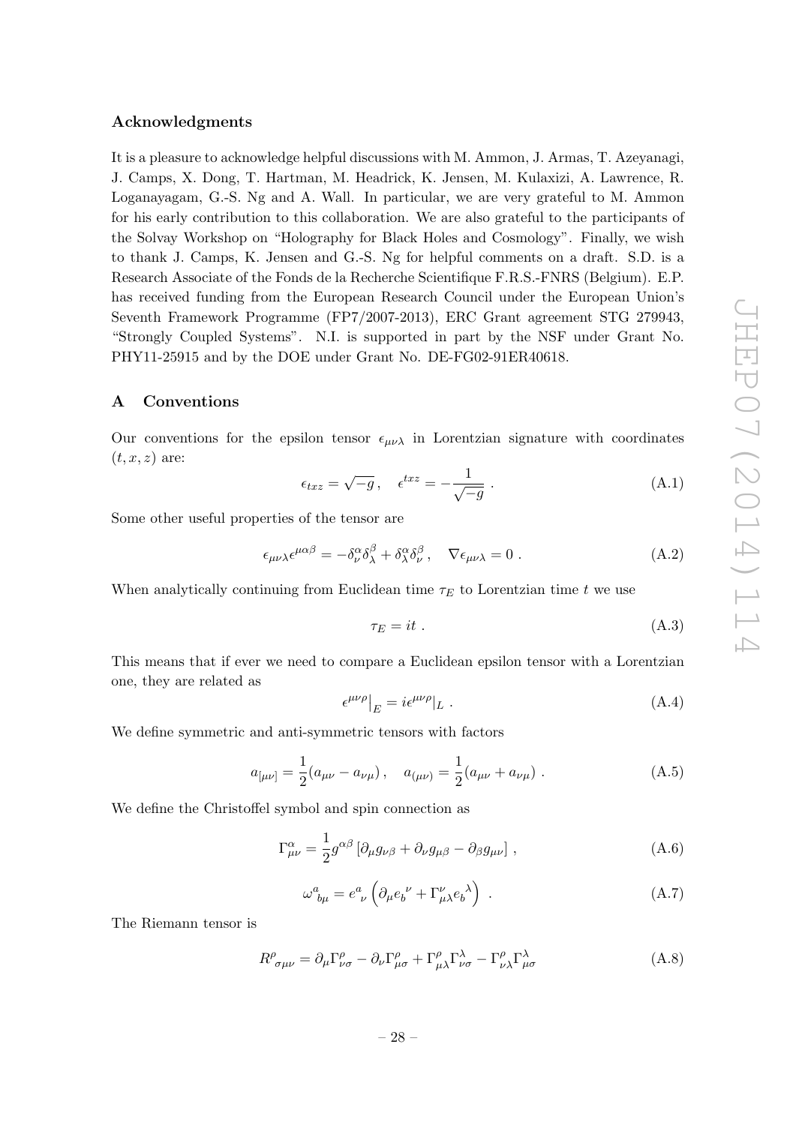## Acknowledgments

It is a pleasure to acknowledge helpful discussions with M. Ammon, J. Armas, T. Azeyanagi, J. Camps, X. Dong, T. Hartman, M. Headrick, K. Jensen, M. Kulaxizi, A. Lawrence, R. Loganayagam, G.-S. Ng and A. Wall. In particular, we are very grateful to M. Ammon for his early contribution to this collaboration. We are also grateful to the participants of the Solvay Workshop on "Holography for Black Holes and Cosmology". Finally, we wish to thank J. Camps, K. Jensen and G.-S. Ng for helpful comments on a draft. S.D. is a Research Associate of the Fonds de la Recherche Scientifique F.R.S.-FNRS (Belgium). E.P. has received funding from the European Research Council under the European Union's Seventh Framework Programme (FP7/2007-2013), ERC Grant agreement STG 279943, "Strongly Coupled Systems". N.I. is supported in part by the NSF under Grant No. PHY11-25915 and by the DOE under Grant No. DE-FG02-91ER40618.

# <span id="page-29-0"></span>A Conventions

Our conventions for the epsilon tensor  $\epsilon_{\mu\nu\lambda}$  in Lorentzian signature with coordinates  $(t, x, z)$  are:

$$
\epsilon_{txz} = \sqrt{-g} \,, \quad \epsilon^{txz} = -\frac{1}{\sqrt{-g}} \,. \tag{A.1}
$$

Some other useful properties of the tensor are

$$
\epsilon_{\mu\nu\lambda}\epsilon^{\mu\alpha\beta} = -\delta^{\alpha}_{\nu}\delta^{\beta}_{\lambda} + \delta^{\alpha}_{\lambda}\delta^{\beta}_{\nu}, \quad \nabla \epsilon_{\mu\nu\lambda} = 0.
$$
\n(A.2)

When analytically continuing from Euclidean time  $\tau_E$  to Lorentzian time t we use

$$
\tau_E = it \tag{A.3}
$$

This means that if ever we need to compare a Euclidean epsilon tensor with a Lorentzian one, they are related as

$$
\left. \epsilon^{\mu\nu\rho} \right|_{E} = i \epsilon^{\mu\nu\rho} |_{L} \tag{A.4}
$$

We define symmetric and anti-symmetric tensors with factors

$$
a_{[\mu\nu]} = \frac{1}{2}(a_{\mu\nu} - a_{\nu\mu}), \quad a_{(\mu\nu)} = \frac{1}{2}(a_{\mu\nu} + a_{\nu\mu}). \tag{A.5}
$$

We define the Christoffel symbol and spin connection as

<span id="page-29-1"></span>
$$
\Gamma^{\alpha}_{\mu\nu} = \frac{1}{2} g^{\alpha\beta} \left[ \partial_{\mu} g_{\nu\beta} + \partial_{\nu} g_{\mu\beta} - \partial_{\beta} g_{\mu\nu} \right], \tag{A.6}
$$

$$
\omega_{b\mu}^a = e^a_{\ \nu} \left( \partial_\mu e_b^{\ \nu} + \Gamma^\nu_{\mu\lambda} e_b^{\ \lambda} \right) \ . \tag{A.7}
$$

The Riemann tensor is

$$
R^{\rho}_{\sigma\mu\nu} = \partial_{\mu}\Gamma^{\rho}_{\nu\sigma} - \partial_{\nu}\Gamma^{\rho}_{\mu\sigma} + \Gamma^{\rho}_{\mu\lambda}\Gamma^{\lambda}_{\nu\sigma} - \Gamma^{\rho}_{\nu\lambda}\Gamma^{\lambda}_{\mu\sigma}
$$
(A.8)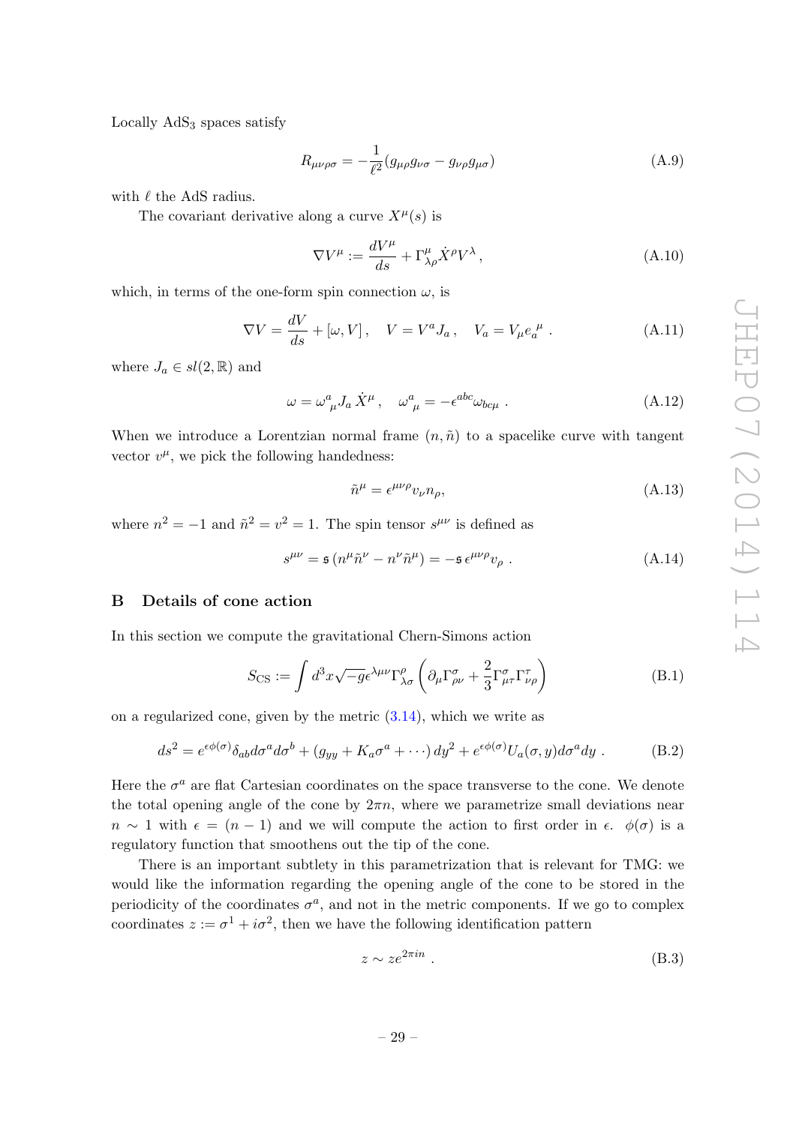Locally  $AdS<sub>3</sub>$  spaces satisfy

<span id="page-30-1"></span>
$$
R_{\mu\nu\rho\sigma} = -\frac{1}{\ell^2} (g_{\mu\rho} g_{\nu\sigma} - g_{\nu\rho} g_{\mu\sigma})
$$
\n(A.9)

with  $\ell$  the AdS radius.

The covariant derivative along a curve  $X^{\mu}(s)$  is

$$
\nabla V^{\mu} := \frac{dV^{\mu}}{ds} + \Gamma^{\mu}_{\lambda\rho} \dot{X}^{\rho} V^{\lambda}, \qquad (A.10)
$$

which, in terms of the one-form spin connection  $\omega$ , is

<span id="page-30-4"></span>
$$
\nabla V = \frac{dV}{ds} + [\omega, V], \quad V = V^a J_a, \quad V_a = V_\mu e_a^{\ \mu} . \tag{A.11}
$$

where  $J_a \in sl(2,\mathbb{R})$  and

$$
\omega = \omega^a_{\ \mu} J_a \dot{X}^\mu \,, \quad \omega^a_{\ \mu} = -\epsilon^{abc} \omega_{bc\mu} \,. \tag{A.12}
$$

When we introduce a Lorentzian normal frame  $(n, \tilde{n})$  to a spacelike curve with tangent vector  $v^{\mu}$ , we pick the following handedness:

$$
\tilde{n}^{\mu} = \epsilon^{\mu\nu\rho} v_{\nu} n_{\rho},\tag{A.13}
$$

where  $n^2 = -1$  and  $\tilde{n}^2 = v^2 = 1$ . The spin tensor  $s^{\mu\nu}$  is defined as

$$
s^{\mu\nu} = \mathfrak{s} \left( n^{\mu} \tilde{n}^{\nu} - n^{\nu} \tilde{n}^{\mu} \right) = -\mathfrak{s} \epsilon^{\mu\nu\rho} v_{\rho} . \tag{A.14}
$$

# <span id="page-30-0"></span>B Details of cone action

In this section we compute the gravitational Chern-Simons action

$$
S_{\text{CS}} := \int d^3x \sqrt{-g} \epsilon^{\lambda \mu \nu} \Gamma^{\rho}_{\lambda \sigma} \left( \partial_{\mu} \Gamma^{\sigma}_{\rho \nu} + \frac{2}{3} \Gamma^{\sigma}_{\mu \tau} \Gamma^{\tau}_{\nu \rho} \right)
$$
(B.1)

on a regularized cone, given by the metric  $(3.14)$ , which we write as

<span id="page-30-3"></span>
$$
ds^{2} = e^{\epsilon \phi(\sigma)} \delta_{ab} d\sigma^{a} d\sigma^{b} + (g_{yy} + K_{a}\sigma^{a} + \cdots) dy^{2} + e^{\epsilon \phi(\sigma)} U_{a}(\sigma, y) d\sigma^{a} dy
$$
 (B.2)

Here the  $\sigma^a$  are flat Cartesian coordinates on the space transverse to the cone. We denote the total opening angle of the cone by  $2\pi n$ , where we parametrize small deviations near  $n \sim 1$  with  $\epsilon = (n-1)$  and we will compute the action to first order in  $\epsilon$ .  $\phi(\sigma)$  is a regulatory function that smoothens out the tip of the cone.

There is an important subtlety in this parametrization that is relevant for TMG: we would like the information regarding the opening angle of the cone to be stored in the periodicity of the coordinates  $\sigma^a$ , and not in the metric components. If we go to complex coordinates  $z := \sigma^1 + i\sigma^2$ , then we have the following identification pattern

<span id="page-30-2"></span>
$$
z \sim z e^{2\pi i n} \tag{B.3}
$$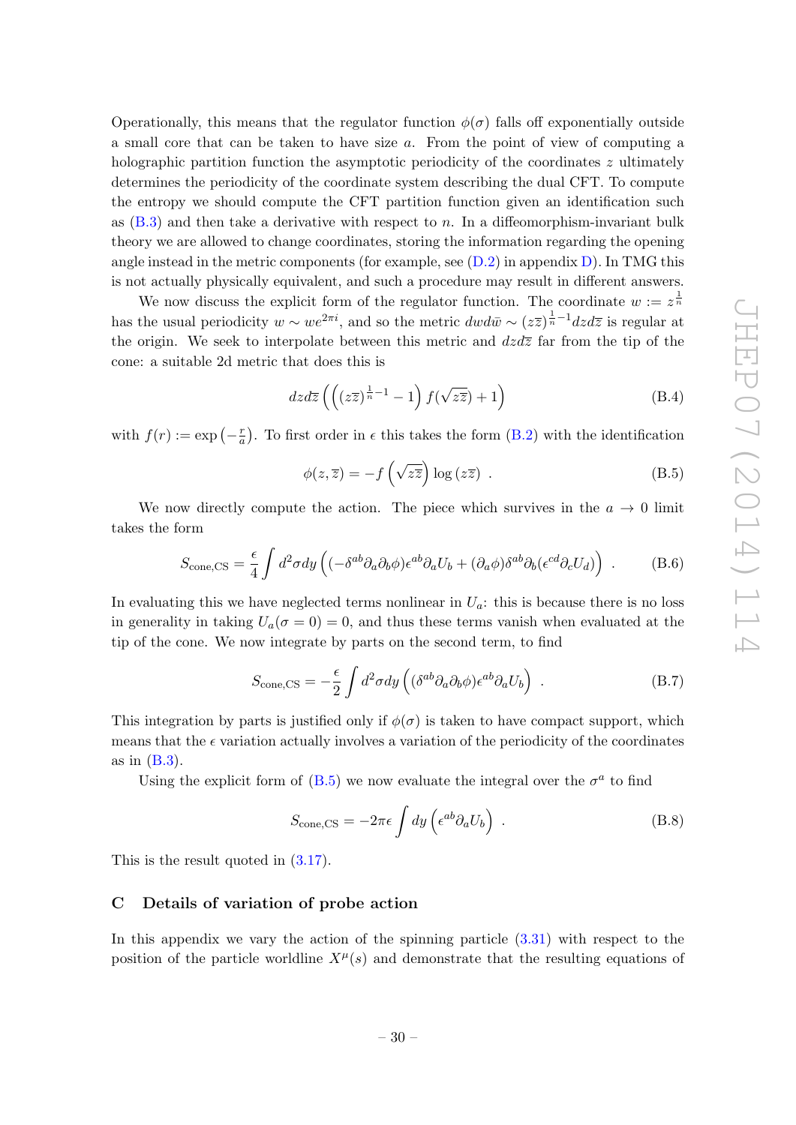Operationally, this means that the regulator function  $\phi(\sigma)$  falls off exponentially outside a small core that can be taken to have size a. From the point of view of computing a holographic partition function the asymptotic periodicity of the coordinates z ultimately determines the periodicity of the coordinate system describing the dual CFT. To compute the entropy we should compute the CFT partition function given an identification such as  $(B.3)$  and then take a derivative with respect to n. In a diffeomorphism-invariant bulk theory we are allowed to change coordinates, storing the information regarding the opening angle instead in the metric components (for example, see  $(D.2)$  in appendix [D\)](#page-34-0). In TMG this is not actually physically equivalent, and such a procedure may result in different answers.

We now discuss the explicit form of the regulator function. The coordinate  $w := z^{\frac{1}{n}}$ has the usual periodicity  $w \sim we^{2\pi i}$ , and so the metric  $dw d\bar{w} \sim (z\overline{z})^{\frac{1}{n}-1} dz d\overline{z}$  is regular at the origin. We seek to interpolate between this metric and  $dzd\overline{z}$  far from the tip of the cone: a suitable 2d metric that does this is

$$
dzd\overline{z}\left(\left((z\overline{z})^{\frac{1}{n}-1}-1\right)f(\sqrt{z\overline{z}})+1\right)
$$
 (B.4)

with  $f(r) := \exp\left(-\frac{r}{a}\right)$  $\frac{r}{a}$ ). To first order in  $\epsilon$  this takes the form [\(B.2\)](#page-30-3) with the identification

<span id="page-31-1"></span>
$$
\phi(z,\overline{z}) = -f\left(\sqrt{z\overline{z}}\right)\log\left(z\overline{z}\right) . \tag{B.5}
$$

We now directly compute the action. The piece which survives in the  $a \rightarrow 0$  limit takes the form

$$
S_{\text{cone,CS}} = \frac{\epsilon}{4} \int d^2 \sigma dy \left( (-\delta^{ab} \partial_a \partial_b \phi) \epsilon^{ab} \partial_a U_b + (\partial_a \phi) \delta^{ab} \partial_b (\epsilon^{cd} \partial_c U_d) \right) . \tag{B.6}
$$

In evaluating this we have neglected terms nonlinear in  $U_a$ : this is because there is no loss in generality in taking  $U_a(\sigma = 0) = 0$ , and thus these terms vanish when evaluated at the tip of the cone. We now integrate by parts on the second term, to find

$$
S_{\text{cone,CS}} = -\frac{\epsilon}{2} \int d^2 \sigma dy \left( (\delta^{ab} \partial_a \partial_b \phi) \epsilon^{ab} \partial_a U_b \right) . \tag{B.7}
$$

This integration by parts is justified only if  $\phi(\sigma)$  is taken to have compact support, which means that the  $\epsilon$  variation actually involves a variation of the periodicity of the coordinates as in  $(B.3)$ .

Using the explicit form of [\(B.5\)](#page-31-1) we now evaluate the integral over the  $\sigma^a$  to find

$$
S_{\text{cone,CS}} = -2\pi\epsilon \int dy \left(\epsilon^{ab}\partial_a U_b\right) \tag{B.8}
$$

This is the result quoted in [\(3.17\)](#page-15-2).

#### <span id="page-31-0"></span>C Details of variation of probe action

In this appendix we vary the action of the spinning particle [\(3.31\)](#page-18-4) with respect to the position of the particle worldline  $X^{\mu}(s)$  and demonstrate that the resulting equations of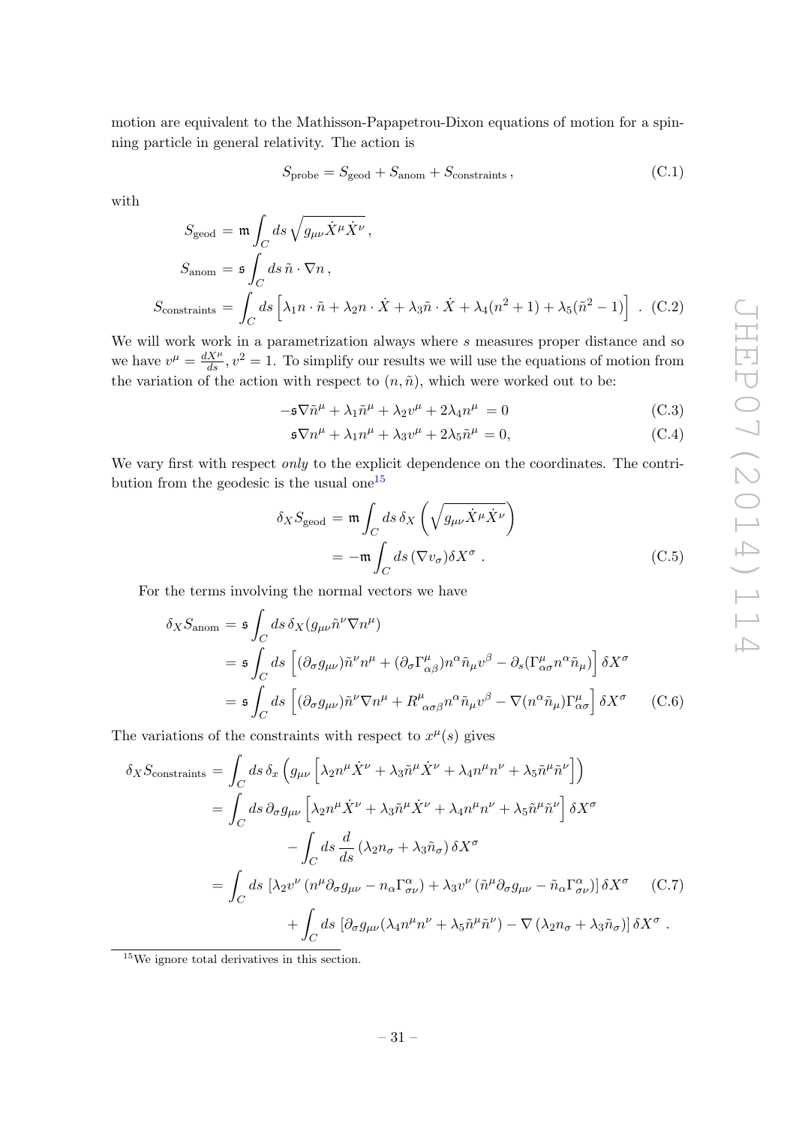motion are equivalent to the Mathisson-Papapetrou-Dixon equations of motion for a spinning particle in general relativity. The action is

$$
S_{\text{probe}} = S_{\text{geod}} + S_{\text{anom}} + S_{\text{constraints}}\,,\tag{C.1}
$$

with

$$
S_{\text{geod}} = \mathfrak{m} \int_C ds \sqrt{g_{\mu\nu} \dot{X}^\mu \dot{X}^\nu},
$$
  
\n
$$
S_{\text{anom}} = \mathfrak{s} \int_C ds \,\tilde{n} \cdot \nabla n,
$$
  
\n
$$
S_{\text{constraints}} = \int_C ds \left[ \lambda_1 n \cdot \tilde{n} + \lambda_2 n \cdot \dot{X} + \lambda_3 \tilde{n} \cdot \dot{X} + \lambda_4 (n^2 + 1) + \lambda_5 (\tilde{n}^2 - 1) \right].
$$
 (C.2)

We will work work in a parametrization always where  $s$  measures proper distance and so we have  $v^{\mu} = \frac{dX^{\mu}}{ds}$ ,  $v^2 = 1$ . To simplify our results we will use the equations of motion from the variation of the action with respect to  $(n, \tilde{n})$ , which were worked out to be:

<span id="page-32-1"></span>
$$
-\mathfrak{s}\nabla \tilde{n}^{\mu} + \lambda_1 \tilde{n}^{\mu} + \lambda_2 v^{\mu} + 2\lambda_4 n^{\mu} = 0
$$
 (C.3)

$$
\mathfrak{s} \nabla n^{\mu} + \lambda_1 n^{\mu} + \lambda_3 v^{\mu} + 2\lambda_5 \tilde{n}^{\mu} = 0, \tag{C.4}
$$

We vary first with respect *only* to the explicit dependence on the coordinates. The contri-bution from the geodesic is the usual one<sup>[15](#page-32-0)</sup>

$$
\delta_X S_{\text{geod}} = \mathfrak{m} \int_C ds \, \delta_X \left( \sqrt{g_{\mu\nu} \dot{X}^\mu \dot{X}^\nu} \right)
$$
  
= 
$$
-\mathfrak{m} \int_C ds \, (\nabla v_\sigma) \delta X^\sigma .
$$
 (C.5)

For the terms involving the normal vectors we have

<span id="page-32-2"></span>
$$
\delta_X S_{\text{anom}} = \mathfrak{s} \int_C ds \, \delta_X (g_{\mu\nu} \tilde{n}^\nu \nabla n^\mu)
$$
  
= 
$$
\mathfrak{s} \int_C ds \, \left[ (\partial_\sigma g_{\mu\nu}) \tilde{n}^\nu n^\mu + (\partial_\sigma \Gamma^\mu_{\alpha\beta}) n^\alpha \tilde{n}_\mu v^\beta - \partial_s (\Gamma^\mu_{\alpha\sigma} n^\alpha \tilde{n}_\mu) \right] \delta X^\sigma
$$
  
= 
$$
\mathfrak{s} \int_C ds \, \left[ (\partial_\sigma g_{\mu\nu}) \tilde{n}^\nu \nabla n^\mu + R^\mu_{\ \alpha\sigma\beta} n^\alpha \tilde{n}_\mu v^\beta - \nabla (n^\alpha \tilde{n}_\mu) \Gamma^\mu_{\alpha\sigma} \right] \delta X^\sigma \qquad (C.6)
$$

The variations of the constraints with respect to  $x^{\mu}(s)$  gives

<span id="page-32-3"></span>
$$
\delta_X S_{\text{constraints}} = \int_C ds \, \delta_x \left( g_{\mu\nu} \left[ \lambda_2 n^{\mu} \dot{X}^{\nu} + \lambda_3 \tilde{n}^{\mu} \dot{X}^{\nu} + \lambda_4 n^{\mu} n^{\nu} + \lambda_5 \tilde{n}^{\mu} \tilde{n}^{\nu} \right] \right)
$$
  
\n
$$
= \int_C ds \, \partial_{\sigma} g_{\mu\nu} \left[ \lambda_2 n^{\mu} \dot{X}^{\nu} + \lambda_3 \tilde{n}^{\mu} \dot{X}^{\nu} + \lambda_4 n^{\mu} n^{\nu} + \lambda_5 \tilde{n}^{\mu} \tilde{n}^{\nu} \right] \delta X^{\sigma}
$$
  
\n
$$
- \int_C ds \, \frac{d}{ds} \left( \lambda_2 n_{\sigma} + \lambda_3 \tilde{n}_{\sigma} \right) \delta X^{\sigma}
$$
  
\n
$$
= \int_C ds \left[ \lambda_2 v^{\nu} \left( n^{\mu} \partial_{\sigma} g_{\mu\nu} - n_{\alpha} \Gamma^{\alpha}_{\sigma\nu} \right) + \lambda_3 v^{\nu} \left( \tilde{n}^{\mu} \partial_{\sigma} g_{\mu\nu} - \tilde{n}_{\alpha} \Gamma^{\alpha}_{\sigma\nu} \right) \right] \delta X^{\sigma} \qquad (C.7)
$$
  
\n
$$
+ \int_C ds \left[ \partial_{\sigma} g_{\mu\nu} (\lambda_4 n^{\mu} n^{\nu} + \lambda_5 \tilde{n}^{\mu} \tilde{n}^{\nu}) - \nabla \left( \lambda_2 n_{\sigma} + \lambda_3 \tilde{n}_{\sigma} \right) \right] \delta X^{\sigma} .
$$

<span id="page-32-0"></span><sup>&</sup>lt;sup>15</sup>We ignore total derivatives in this section.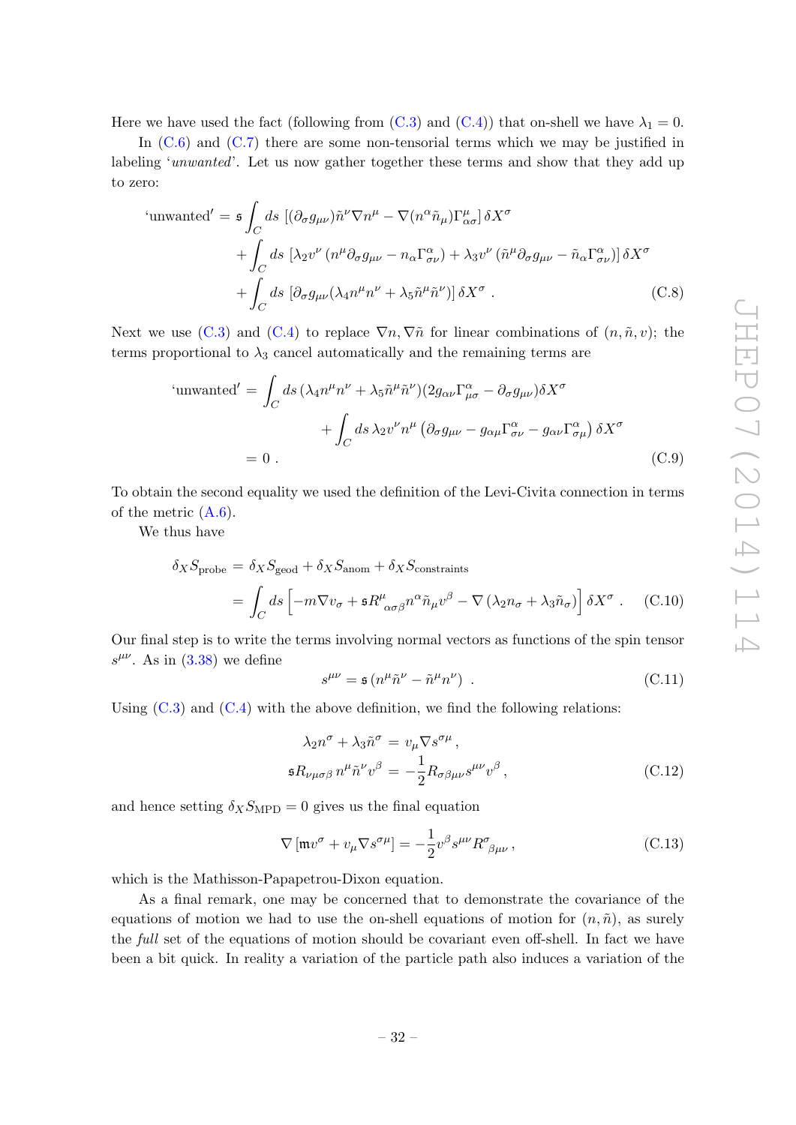Here we have used the fact (following from  $(C.3)$  and  $(C.4)$ ) that on-shell we have  $\lambda_1 = 0$ .

In  $(C.6)$  and  $(C.7)$  there are some non-tensorial terms which we may be justified in labeling 'unwanted'. Let us now gather together these terms and show that they add up to zero:

'unwanted' = 
$$
\mathfrak{s} \int_C ds \left[ (\partial_{\sigma} g_{\mu\nu}) \tilde{n}^{\nu} \nabla n^{\mu} - \nabla (n^{\alpha} \tilde{n}_{\mu}) \Gamma^{\mu}_{\alpha\sigma} \right] \delta X^{\sigma}
$$
  
+  $\int_C ds \left[ \lambda_2 v^{\nu} (n^{\mu} \partial_{\sigma} g_{\mu\nu} - n_{\alpha} \Gamma^{\alpha}_{\sigma\nu}) + \lambda_3 v^{\nu} (\tilde{n}^{\mu} \partial_{\sigma} g_{\mu\nu} - \tilde{n}_{\alpha} \Gamma^{\alpha}_{\sigma\nu}) \right] \delta X^{\sigma}$   
+  $\int_C ds \left[ \partial_{\sigma} g_{\mu\nu} (\lambda_4 n^{\mu} n^{\nu} + \lambda_5 \tilde{n}^{\mu} \tilde{n}^{\nu}) \right] \delta X^{\sigma}$ . (C.8)

Next we use [\(C.3\)](#page-32-1) and [\(C.4\)](#page-32-1) to replace  $\nabla n, \nabla \tilde{n}$  for linear combinations of  $(n, \tilde{n}, v)$ ; the terms proportional to  $\lambda_3$  cancel automatically and the remaining terms are

'unwanted' = 
$$
\int_C ds \left(\lambda_4 n^{\mu} n^{\nu} + \lambda_5 \tilde{n}^{\mu} \tilde{n}^{\nu}\right) \left(2g_{\alpha\nu} \Gamma^{\alpha}_{\mu\sigma} - \partial_{\sigma} g_{\mu\nu}\right) \delta X^{\sigma} + \int_C ds \lambda_2 v^{\nu} n^{\mu} \left(\partial_{\sigma} g_{\mu\nu} - g_{\alpha\mu} \Gamma^{\alpha}_{\sigma\nu} - g_{\alpha\nu} \Gamma^{\alpha}_{\sigma\mu}\right) \delta X^{\sigma} = 0.
$$
 (C.9)

To obtain the second equality we used the definition of the Levi-Civita connection in terms of the metric  $(A.6)$ .

We thus have

$$
\delta_X S_{\text{probe}} = \delta_X S_{\text{geod}} + \delta_X S_{\text{anom}} + \delta_X S_{\text{constraints}}
$$
  
= 
$$
\int_C ds \left[ -m \nabla v_\sigma + \mathfrak{s} R^\mu_{\ \alpha\sigma\beta} n^\alpha \tilde{n}_\mu v^\beta - \nabla (\lambda_2 n_\sigma + \lambda_3 \tilde{n}_\sigma) \right] \delta X^\sigma . \quad (C.10)
$$

Our final step is to write the terms involving normal vectors as functions of the spin tensor  $s^{\mu\nu}$ . As in [\(3.38\)](#page-19-6) we define

$$
s^{\mu\nu} = \mathfrak{s} \left( n^{\mu} \tilde{n}^{\nu} - \tilde{n}^{\mu} n^{\nu} \right) \tag{C.11}
$$

Using  $(C.3)$  and  $(C.4)$  with the above definition, we find the following relations:

<span id="page-33-0"></span>
$$
\lambda_2 n^{\sigma} + \lambda_3 \tilde{n}^{\sigma} = v_{\mu} \nabla s^{\sigma \mu},
$$
  

$$
\mathfrak{s} R_{\nu \mu \sigma \beta} n^{\mu} \tilde{n}^{\nu} v^{\beta} = -\frac{1}{2} R_{\sigma \beta \mu \nu} s^{\mu \nu} v^{\beta},
$$
 (C.12)

and hence setting  $\delta_X S_{\text{MPD}} = 0$  gives us the final equation

$$
\nabla \left[ \mathfrak{m} v^{\sigma} + v_{\mu} \nabla s^{\sigma \mu} \right] = -\frac{1}{2} v^{\beta} s^{\mu \nu} R^{\sigma}{}_{\beta \mu \nu} , \qquad (C.13)
$$

which is the Mathisson-Papapetrou-Dixon equation.

As a final remark, one may be concerned that to demonstrate the covariance of the equations of motion we had to use the on-shell equations of motion for  $(n, \tilde{n})$ , as surely the full set of the equations of motion should be covariant even off-shell. In fact we have been a bit quick. In reality a variation of the particle path also induces a variation of the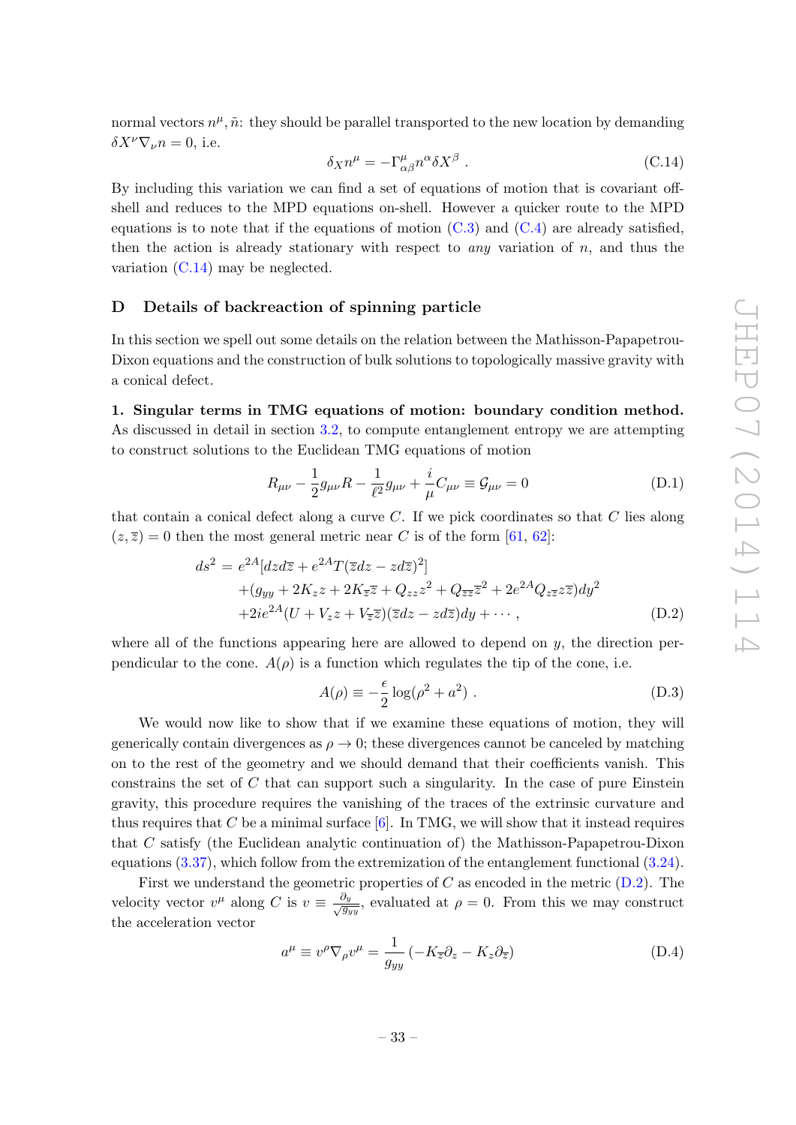normal vectors  $n^{\mu}, \tilde{n}$ : they should be parallel transported to the new location by demanding  $\delta X^{\nu} \nabla_{\nu} n = 0$ , i.e.

<span id="page-34-2"></span>
$$
\delta_X n^{\mu} = -\Gamma^{\mu}_{\alpha\beta} n^{\alpha} \delta X^{\beta} . \tag{C.14}
$$

By including this variation we can find a set of equations of motion that is covariant offshell and reduces to the MPD equations on-shell. However a quicker route to the MPD equations is to note that if the equations of motion  $(C.3)$  and  $(C.4)$  are already satisfied. then the action is already stationary with respect to *any* variation of  $n$ , and thus the variation [\(C.14\)](#page-34-2) may be neglected.

#### <span id="page-34-0"></span>D Details of backreaction of spinning particle

In this section we spell out some details on the relation between the Mathisson-Papapetrou-Dixon equations and the construction of bulk solutions to topologically massive gravity with a conical defect.

1. Singular terms in TMG equations of motion: boundary condition method. As discussed in detail in section [3.2,](#page-14-0) to compute entanglement entropy we are attempting to construct solutions to the Euclidean TMG equations of motion

<span id="page-34-4"></span>
$$
R_{\mu\nu} - \frac{1}{2}g_{\mu\nu}R - \frac{1}{\ell^2}g_{\mu\nu} + \frac{i}{\mu}C_{\mu\nu} \equiv \mathcal{G}_{\mu\nu} = 0
$$
 (D.1)

that contain a conical defect along a curve  $C$ . If we pick coordinates so that  $C$  lies along  $(z,\overline{z})=0$  then the most general metric near C is of the form [\[61,](#page-50-5) [62\]](#page-50-6):

<span id="page-34-1"></span>
$$
ds^{2} = e^{2A} [dz d\overline{z} + e^{2A} T (\overline{z} dz - zd\overline{z})^{2}]
$$
  
+ 
$$
(g_{yy} + 2K_{z}z + 2K_{\overline{z}}\overline{z} + Q_{zz}z^{2} + Q_{\overline{z}\overline{z}}\overline{z}^{2} + 2e^{2A}Q_{z\overline{z}}z\overline{z})dy^{2}
$$
  
+ 
$$
2ie^{2A}(U + V_{z}z + V_{\overline{z}}\overline{z})(\overline{z}dz - zd\overline{z})dy + \cdots,
$$
 (D.2)

where all of the functions appearing here are allowed to depend on  $y$ , the direction perpendicular to the cone.  $A(\rho)$  is a function which regulates the tip of the cone, i.e.

<span id="page-34-5"></span>
$$
A(\rho) \equiv -\frac{\epsilon}{2} \log(\rho^2 + a^2) \tag{D.3}
$$

We would now like to show that if we examine these equations of motion, they will generically contain divergences as  $\rho \rightarrow 0$ ; these divergences cannot be canceled by matching on to the rest of the geometry and we should demand that their coefficients vanish. This constrains the set of  $C$  that can support such a singularity. In the case of pure Einstein gravity, this procedure requires the vanishing of the traces of the extrinsic curvature and thus requires that C be a minimal surface  $[6]$ . In TMG, we will show that it instead requires that C satisfy (the Euclidean analytic continuation of) the Mathisson-Papapetrou-Dixon equations [\(3.37\)](#page-19-3), which follow from the extremization of the entanglement functional [\(3.24\)](#page-17-0).

First we understand the geometric properties of  $C$  as encoded in the metric  $(D.2)$ . The velocity vector  $v^{\mu}$  along C is  $v \equiv \frac{\partial y}{\sqrt{g_{yy}}}$ , evaluated at  $\rho = 0$ . From this we may construct the acceleration vector

<span id="page-34-3"></span>
$$
a^{\mu} \equiv v^{\rho} \nabla_{\rho} v^{\mu} = \frac{1}{g_{yy}} \left( -K_{\overline{z}} \partial_z - K_z \partial_{\overline{z}} \right)
$$
(D.4)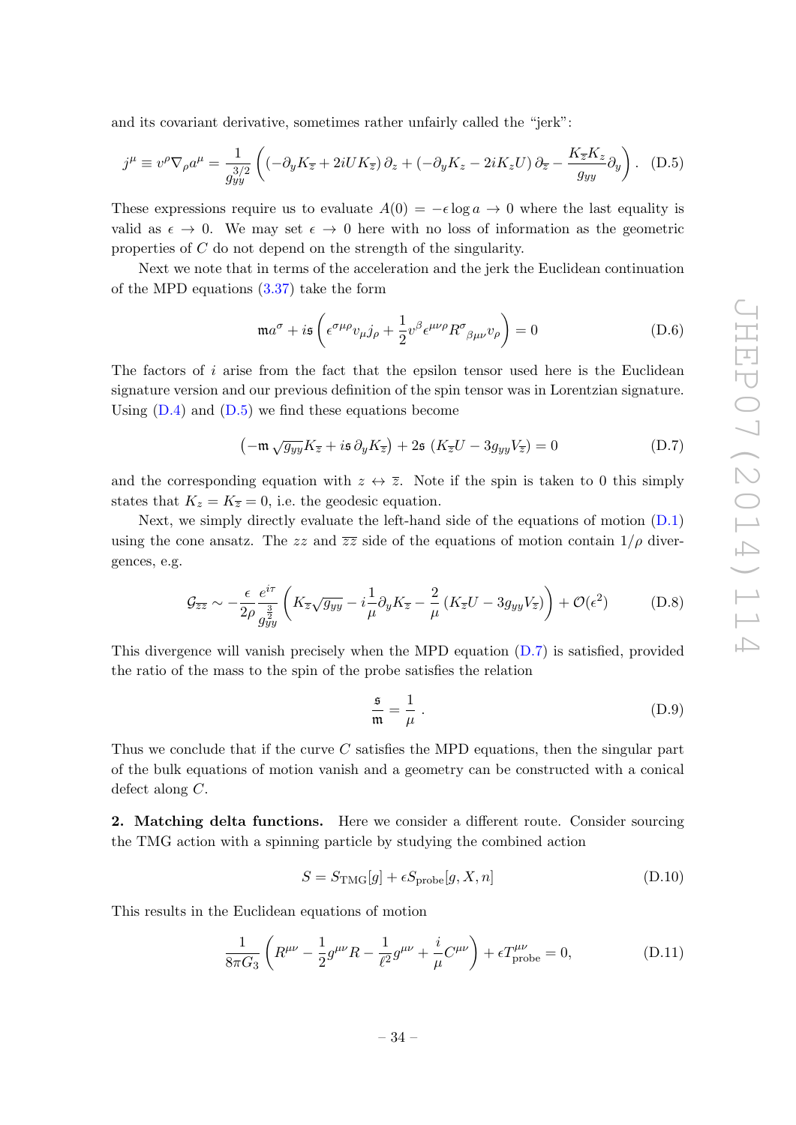and its covariant derivative, sometimes rather unfairly called the "jerk":

<span id="page-35-0"></span>
$$
j^{\mu} \equiv v^{\rho} \nabla_{\rho} a^{\mu} = \frac{1}{g_{yy}^{3/2}} \left( \left( -\partial_y K_{\overline{z}} + 2i U K_{\overline{z}} \right) \partial_z + \left( -\partial_y K_z - 2i K_z U \right) \partial_{\overline{z}} - \frac{K_{\overline{z}} K_z}{g_{yy}} \partial_y \right). \tag{D.5}
$$

These expressions require us to evaluate  $A(0) = -\epsilon \log a \rightarrow 0$  where the last equality is valid as  $\epsilon \to 0$ . We may set  $\epsilon \to 0$  here with no loss of information as the geometric properties of C do not depend on the strength of the singularity.

Next we note that in terms of the acceleration and the jerk the Euclidean continuation of the MPD equations [\(3.37\)](#page-19-3) take the form

$$
\mathfrak{m}a^{\sigma} + i\mathfrak{s} \left( \epsilon^{\sigma\mu\rho} v_{\mu} j_{\rho} + \frac{1}{2} v^{\beta} \epsilon^{\mu\nu\rho} R^{\sigma}{}_{\beta\mu\nu} v_{\rho} \right) = 0 \tag{D.6}
$$

The factors of  $i$  arise from the fact that the epsilon tensor used here is the Euclidean signature version and our previous definition of the spin tensor was in Lorentzian signature. Using  $(D.4)$  and  $(D.5)$  we find these equations become

<span id="page-35-1"></span>
$$
\left(-\mathfrak{m}\sqrt{g_{yy}}K_{\overline{z}}+i\mathfrak{s}\,\partial_y K_{\overline{z}}\right)+2\mathfrak{s}\,\left(K_{\overline{z}}U-3g_{yy}V_{\overline{z}}\right)=0\tag{D.7}
$$

and the corresponding equation with  $z \leftrightarrow \overline{z}$ . Note if the spin is taken to 0 this simply states that  $K_z = K_{\overline{z}} = 0$ , i.e. the geodesic equation.

Next, we simply directly evaluate the left-hand side of the equations of motion [\(D.1\)](#page-34-4) using the cone ansatz. The zz and  $\overline{zz}$  side of the equations of motion contain  $1/\rho$  divergences, e.g.

$$
\mathcal{G}_{\overline{z}\overline{z}} \sim -\frac{\epsilon}{2\rho} \frac{e^{i\tau}}{g_{yy}^{\frac{3}{2}}} \left( K_{\overline{z}} \sqrt{g_{yy}} - i \frac{1}{\mu} \partial_y K_{\overline{z}} - \frac{2}{\mu} \left( K_{\overline{z}} U - 3 g_{yy} V_{\overline{z}} \right) \right) + \mathcal{O}(\epsilon^2)
$$
 (D.8)

This divergence will vanish precisely when the MPD equation [\(D.7\)](#page-35-1) is satisfied, provided the ratio of the mass to the spin of the probe satisfies the relation

$$
\frac{\mathfrak{s}}{\mathfrak{m}} = \frac{1}{\mu} \ . \tag{D.9}
$$

Thus we conclude that if the curve C satisfies the MPD equations, then the singular part of the bulk equations of motion vanish and a geometry can be constructed with a conical defect along C.

2. Matching delta functions. Here we consider a different route. Consider sourcing the TMG action with a spinning particle by studying the combined action

$$
S = S_{\text{TMG}}[g] + \epsilon S_{\text{probe}}[g, X, n] \tag{D.10}
$$

This results in the Euclidean equations of motion

<span id="page-35-2"></span>
$$
\frac{1}{8\pi G_3} \left( R^{\mu\nu} - \frac{1}{2} g^{\mu\nu} R - \frac{1}{\ell^2} g^{\mu\nu} + \frac{i}{\mu} C^{\mu\nu} \right) + \epsilon T^{\mu\nu}_{\text{probe}} = 0, \tag{D.11}
$$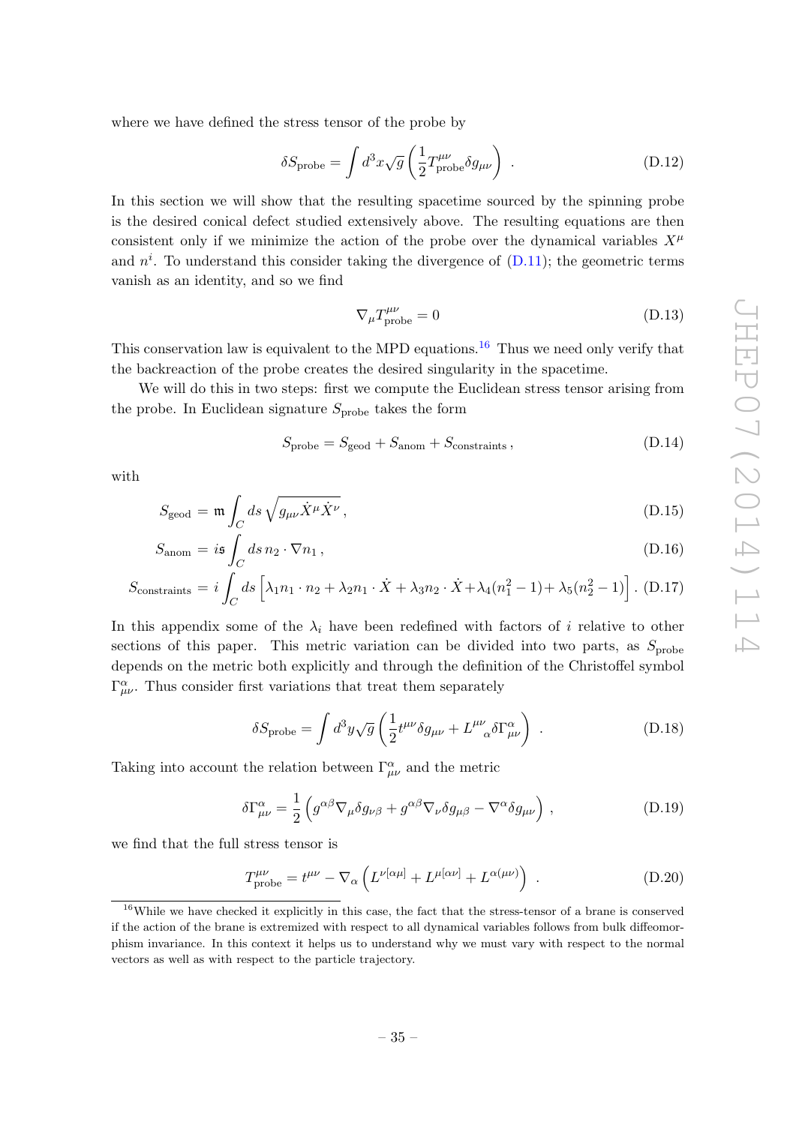where we have defined the stress tensor of the probe by

$$
\delta S_{\text{probe}} = \int d^3x \sqrt{g} \left( \frac{1}{2} T^{\mu\nu}_{\text{probe}} \delta g_{\mu\nu} \right) . \tag{D.12}
$$

In this section we will show that the resulting spacetime sourced by the spinning probe is the desired conical defect studied extensively above. The resulting equations are then consistent only if we minimize the action of the probe over the dynamical variables  $X^{\mu}$ and  $n^i$ . To understand this consider taking the divergence of [\(D.11\)](#page-35-2); the geometric terms vanish as an identity, and so we find

$$
\nabla_{\mu}T^{\mu\nu}_{\text{probe}} = 0 \tag{D.13}
$$

This conservation law is equivalent to the MPD equations.<sup>[16](#page-36-0)</sup> Thus we need only verify that the backreaction of the probe creates the desired singularity in the spacetime.

We will do this in two steps: first we compute the Euclidean stress tensor arising from the probe. In Euclidean signature  $S_{\text{probe}}$  takes the form

$$
S_{\text{probe}} = S_{\text{geod}} + S_{\text{anom}} + S_{\text{constraints}} \,, \tag{D.14}
$$

with

$$
S_{\text{geod}} = \mathfrak{m} \int_C ds \sqrt{g_{\mu\nu} \dot{X}^\mu \dot{X}^\nu},\tag{D.15}
$$

$$
S_{\text{anom}} = i\mathfrak{s} \int_C ds \, n_2 \cdot \nabla n_1 \,, \tag{D.16}
$$

$$
S_{\text{constraints}} = i \int_C ds \left[ \lambda_1 n_1 \cdot n_2 + \lambda_2 n_1 \cdot \dot{X} + \lambda_3 n_2 \cdot \dot{X} + \lambda_4 (n_1^2 - 1) + \lambda_5 (n_2^2 - 1) \right]. \tag{D.17}
$$

In this appendix some of the  $\lambda_i$  have been redefined with factors of i relative to other sections of this paper. This metric variation can be divided into two parts, as  $S_{\text{probe}}$ depends on the metric both explicitly and through the definition of the Christoffel symbol  $\Gamma^{\alpha}_{\mu\nu}$ . Thus consider first variations that treat them separately

<span id="page-36-1"></span>
$$
\delta S_{\text{probe}} = \int d^3 y \sqrt{g} \left( \frac{1}{2} t^{\mu \nu} \delta g_{\mu \nu} + L^{\mu \nu}{}_{\alpha} \delta \Gamma^{\alpha}_{\mu \nu} \right) . \tag{D.18}
$$

Taking into account the relation between  $\Gamma^{\alpha}_{\mu\nu}$  and the metric

$$
\delta\Gamma^{\alpha}_{\mu\nu} = \frac{1}{2} \left( g^{\alpha\beta} \nabla_{\mu} \delta g_{\nu\beta} + g^{\alpha\beta} \nabla_{\nu} \delta g_{\mu\beta} - \nabla^{\alpha} \delta g_{\mu\nu} \right) , \qquad (D.19)
$$

we find that the full stress tensor is

<span id="page-36-2"></span>
$$
T^{\mu\nu}_{\text{probe}} = t^{\mu\nu} - \nabla_{\alpha} \left( L^{\nu[\alpha\mu]} + L^{\mu[\alpha\nu]} + L^{\alpha(\mu\nu)} \right) \,. \tag{D.20}
$$

<span id="page-36-0"></span><sup>&</sup>lt;sup>16</sup>While we have checked it explicitly in this case, the fact that the stress-tensor of a brane is conserved if the action of the brane is extremized with respect to all dynamical variables follows from bulk diffeomorphism invariance. In this context it helps us to understand why we must vary with respect to the normal vectors as well as with respect to the particle trajectory.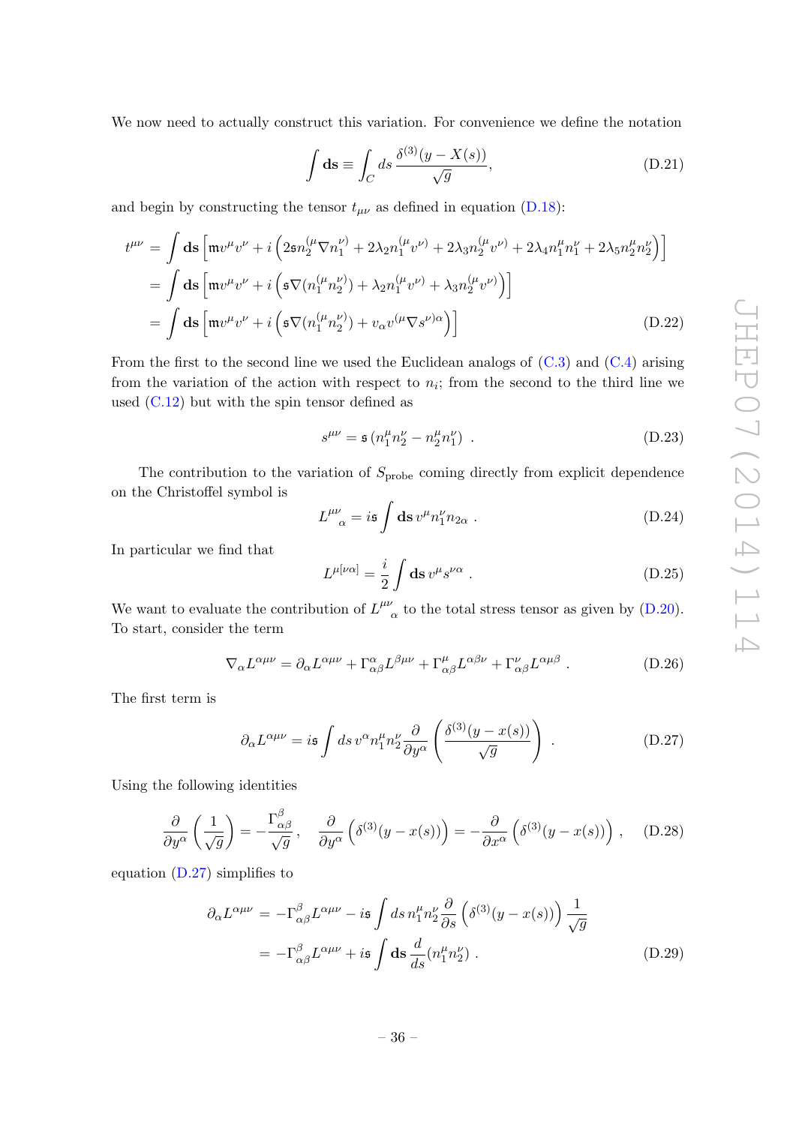We now need to actually construct this variation. For convenience we define the notation

$$
\int \mathbf{ds} \equiv \int_C ds \, \frac{\delta^{(3)}(y - X(s))}{\sqrt{g}},\tag{D.21}
$$

and begin by constructing the tensor  $t_{\mu\nu}$  as defined in equation [\(D.18\)](#page-36-1):

<span id="page-37-2"></span>
$$
t^{\mu\nu} = \int \mathbf{ds} \left[ m v^{\mu} v^{\nu} + i \left( 2 \mathfrak{s} n_2^{(\mu} \nabla n_1^{\nu)} + 2 \lambda_2 n_1^{(\mu} v^{\nu)} + 2 \lambda_3 n_2^{(\mu} v^{\nu)} + 2 \lambda_4 n_1^{\mu} n_1^{\nu} + 2 \lambda_5 n_2^{\mu} n_2^{\nu} \right) \right]
$$
  
= 
$$
\int \mathbf{ds} \left[ m v^{\mu} v^{\nu} + i \left( \mathfrak{s} \nabla (n_1^{(\mu} n_2^{\nu)}) + \lambda_2 n_1^{(\mu} v^{\nu)} + \lambda_3 n_2^{(\mu} v^{\nu)} \right) \right]
$$
  
= 
$$
\int \mathbf{ds} \left[ m v^{\mu} v^{\nu} + i \left( \mathfrak{s} \nabla (n_1^{(\mu} n_2^{\nu)}) + v_\alpha v^{(\mu} \nabla s^{\nu) \alpha} \right) \right]
$$
(D.22)

From the first to the second line we used the Euclidean analogs of  $(C.3)$  and  $(C.4)$  arising from the variation of the action with respect to  $n<sub>i</sub>$ ; from the second to the third line we used  $(C.12)$  but with the spin tensor defined as

$$
s^{\mu\nu} = \mathfrak{s} \left( n_1^{\mu} n_2^{\nu} - n_2^{\mu} n_1^{\nu} \right) \tag{D.23}
$$

The contribution to the variation of  $S_{\text{probe}}$  coming directly from explicit dependence on the Christoffel symbol is

$$
L^{\mu\nu}_{\ \alpha} = i\mathfrak{s} \int \mathrm{d}\mathfrak{s} \, v^{\mu} n_1^{\nu} n_{2\alpha} \ . \tag{D.24}
$$

In particular we find that

$$
L^{\mu[\nu\alpha]} = \frac{i}{2} \int \mathbf{ds} \, v^{\mu} s^{\nu\alpha} \ . \tag{D.25}
$$

We want to evaluate the contribution of  $L^{\mu\nu}$  $\alpha'$  to the total stress tensor as given by [\(D.20\)](#page-36-2). To start, consider the term

<span id="page-37-1"></span>
$$
\nabla_{\alpha} L^{\alpha\mu\nu} = \partial_{\alpha} L^{\alpha\mu\nu} + \Gamma^{\alpha}_{\alpha\beta} L^{\beta\mu\nu} + \Gamma^{\mu}_{\alpha\beta} L^{\alpha\beta\nu} + \Gamma^{\nu}_{\alpha\beta} L^{\alpha\mu\beta} . \tag{D.26}
$$

The first term is

<span id="page-37-0"></span>
$$
\partial_{\alpha}L^{\alpha\mu\nu} = i\mathfrak{s} \int ds \, v^{\alpha} n_1^{\mu} n_2^{\nu} \frac{\partial}{\partial y^{\alpha}} \left( \frac{\delta^{(3)}(y - x(s))}{\sqrt{g}} \right) \,. \tag{D.27}
$$

Using the following identities

$$
\frac{\partial}{\partial y^{\alpha}}\left(\frac{1}{\sqrt{g}}\right) = -\frac{\Gamma^{\beta}_{\alpha\beta}}{\sqrt{g}}, \quad \frac{\partial}{\partial y^{\alpha}}\left(\delta^{(3)}(y-x(s))\right) = -\frac{\partial}{\partial x^{\alpha}}\left(\delta^{(3)}(y-x(s))\right), \quad (D.28)
$$

equation [\(D.27\)](#page-37-0) simplifies to

$$
\partial_{\alpha} L^{\alpha\mu\nu} = -\Gamma^{\beta}_{\alpha\beta} L^{\alpha\mu\nu} - i\mathfrak{s} \int ds \, n_1^{\mu} n_2^{\nu} \frac{\partial}{\partial s} \left( \delta^{(3)}(y - x(s)) \right) \frac{1}{\sqrt{g}}
$$

$$
= -\Gamma^{\beta}_{\alpha\beta} L^{\alpha\mu\nu} + i\mathfrak{s} \int \mathbf{ds} \, \frac{d}{ds} (n_1^{\mu} n_2^{\nu}) . \tag{D.29}
$$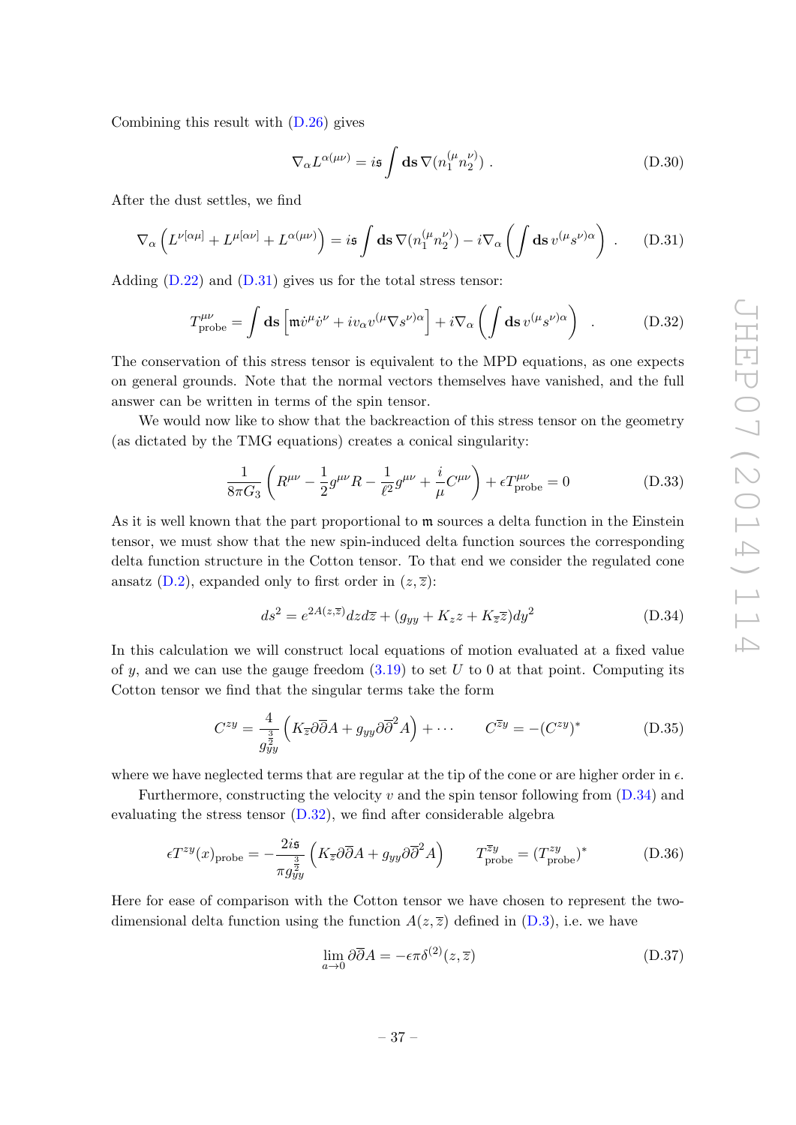Combining this result with  $(D.26)$  gives

$$
\nabla_{\alpha} L^{\alpha(\mu\nu)} = i\mathfrak{s} \int \mathbf{ds} \,\nabla (n_1^{(\mu} n_2^{\nu)}) \,. \tag{D.30}
$$

After the dust settles, we find

<span id="page-38-0"></span>
$$
\nabla_{\alpha} \left( L^{\nu[\alpha\mu]} + L^{\mu[\alpha\nu]} + L^{\alpha(\mu\nu)} \right) = i\mathfrak{s} \int d\mathfrak{s} \,\nabla (n_1^{(\mu} n_2^{\nu)}) - i \nabla_{\alpha} \left( \int d\mathfrak{s} \, v^{(\mu} s^{\nu)\alpha} \right) . \tag{D.31}
$$

Adding  $(D.22)$  and  $(D.31)$  gives us for the total stress tensor:

<span id="page-38-2"></span>
$$
T^{\mu\nu}_{\text{probe}} = \int \mathbf{ds} \left[ \mathfrak{m} \dot{v}^{\mu} \dot{v}^{\nu} + i v_{\alpha} v^{(\mu} \nabla s^{\nu) \alpha} \right] + i \nabla_{\alpha} \left( \int \mathbf{ds} \, v^{(\mu} s^{\nu) \alpha} \right) . \tag{D.32}
$$

The conservation of this stress tensor is equivalent to the MPD equations, as one expects on general grounds. Note that the normal vectors themselves have vanished, and the full answer can be written in terms of the spin tensor.

We would now like to show that the backreaction of this stress tensor on the geometry (as dictated by the TMG equations) creates a conical singularity:

$$
\frac{1}{8\pi G_3} \left( R^{\mu\nu} - \frac{1}{2} g^{\mu\nu} R - \frac{1}{\ell^2} g^{\mu\nu} + \frac{i}{\mu} C^{\mu\nu} \right) + \epsilon T^{\mu\nu}_{\text{probe}} = 0 \tag{D.33}
$$

As it is well known that the part proportional to m sources a delta function in the Einstein tensor, we must show that the new spin-induced delta function sources the corresponding delta function structure in the Cotton tensor. To that end we consider the regulated cone ansatz [\(D.2\)](#page-34-1), expanded only to first order in  $(z, \overline{z})$ :

<span id="page-38-1"></span>
$$
ds^{2} = e^{2A(z,\overline{z})}dzd\overline{z} + (g_{yy} + K_{z}z + K_{\overline{z}}\overline{z})dy^{2}
$$
(D.34)

In this calculation we will construct local equations of motion evaluated at a fixed value of y, and we can use the gauge freedom  $(3.19)$  to set U to 0 at that point. Computing its Cotton tensor we find that the singular terms take the form

$$
C^{zy} = \frac{4}{g_{yy}^{\frac{3}{2}}} \left( K_{\overline{z}} \partial \overline{\partial} A + g_{yy} \partial \overline{\partial}^{2} A \right) + \cdots \qquad C^{\overline{z}y} = -(C^{zy})^{*} \qquad (D.35)
$$

where we have neglected terms that are regular at the tip of the cone or are higher order in  $\epsilon$ .

Furthermore, constructing the velocity  $v$  and the spin tensor following from  $(D.34)$  and evaluating the stress tensor  $(D.32)$ , we find after considerable algebra

$$
\epsilon T^{zy}(x)_{\text{probe}} = -\frac{2i\mathfrak{s}}{\pi g_{yy}^{\frac{3}{2}}} \left( K_{\overline{z}} \partial \overline{\partial} A + g_{yy} \partial \overline{\partial}^2 A \right) \qquad T_{\text{probe}}^{\overline{z}y} = (T_{\text{probe}}^{zy})^* \tag{D.36}
$$

Here for ease of comparison with the Cotton tensor we have chosen to represent the twodimensional delta function using the function  $A(z,\overline{z})$  defined in [\(D.3\)](#page-34-5), i.e. we have

$$
\lim_{a \to 0} \partial \overline{\partial} A = -\epsilon \pi \delta^{(2)}(z, \overline{z})
$$
\n(D.37)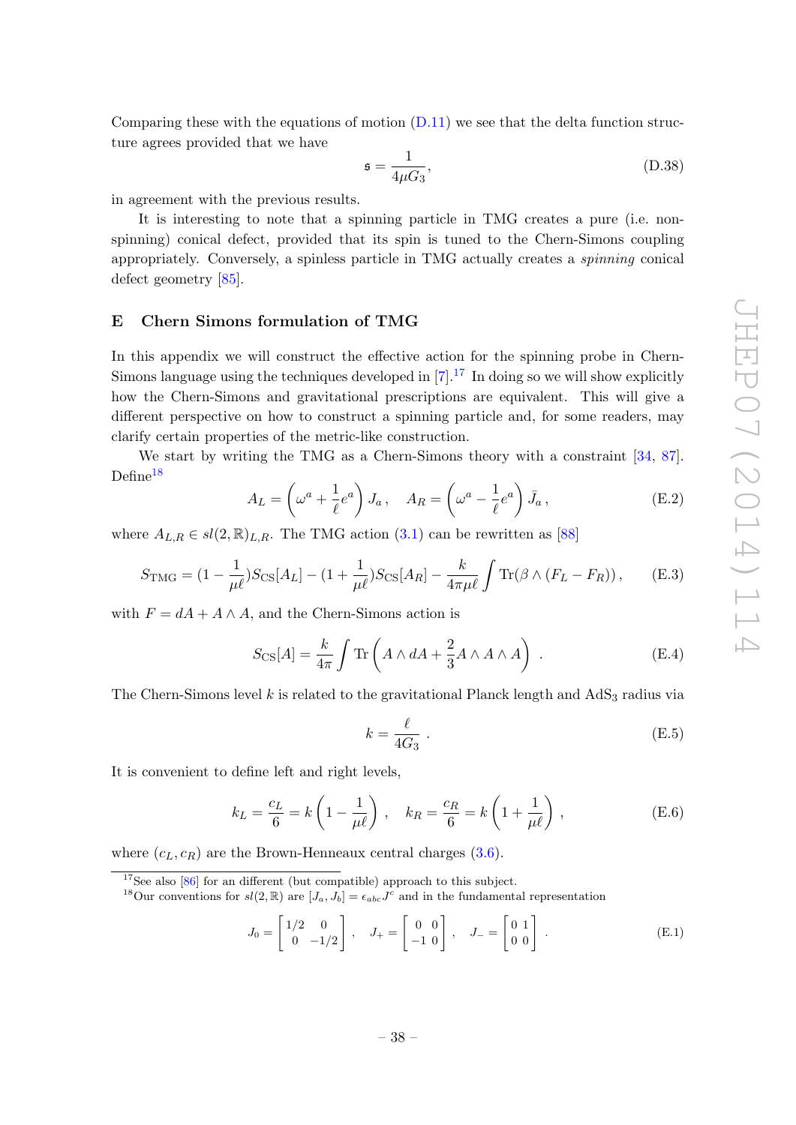Comparing these with the equations of motion  $(D.11)$  we see that the delta function structure agrees provided that we have

$$
\mathfrak{s} = \frac{1}{4\mu G_3},\tag{D.38}
$$

in agreement with the previous results.

It is interesting to note that a spinning particle in TMG creates a pure (i.e. nonspinning) conical defect, provided that its spin is tuned to the Chern-Simons coupling appropriately. Conversely, a spinless particle in TMG actually creates a spinning conical defect geometry [\[85\]](#page-51-12).

#### <span id="page-39-0"></span>E Chern Simons formulation of TMG

In this appendix we will construct the effective action for the spinning probe in Chern-Simons language using the techniques developed in  $[7]$ .<sup>[17](#page-39-1)</sup> In doing so we will show explicitly how the Chern-Simons and gravitational prescriptions are equivalent. This will give a different perspective on how to construct a spinning particle and, for some readers, may clarify certain properties of the metric-like construction.

We start by writing the TMG as a Chern-Simons theory with a constraint [\[34,](#page-49-0) [87\]](#page-51-13).  $Define<sup>18</sup>$  $Define<sup>18</sup>$  $Define<sup>18</sup>$ 

<span id="page-39-4"></span>
$$
A_L = \left(\omega^a + \frac{1}{\ell}e^a\right)J_a, \quad A_R = \left(\omega^a - \frac{1}{\ell}e^a\right)\bar{J}_a,\tag{E.2}
$$

where  $A_{L,R} \in sl(2,\mathbb{R})_{L,R}$ . The TMG action [\(3.1\)](#page-12-4) can be rewritten as [\[88\]](#page-51-14)

<span id="page-39-3"></span>
$$
S_{\rm TMG} = (1 - \frac{1}{\mu \ell}) S_{\rm CS}[A_L] - (1 + \frac{1}{\mu \ell}) S_{\rm CS}[A_R] - \frac{k}{4\pi\mu \ell} \int \text{Tr}(\beta \wedge (F_L - F_R)), \quad (E.3)
$$

with  $F = dA + A \wedge A$ , and the Chern-Simons action is

<span id="page-39-5"></span>
$$
S_{\text{CS}}[A] = \frac{k}{4\pi} \int \text{Tr}\left(A \wedge dA + \frac{2}{3}A \wedge A \wedge A\right) . \tag{E.4}
$$

The Chern-Simons level k is related to the gravitational Planck length and  $AdS_3$  radius via

$$
k = \frac{\ell}{4G_3} \tag{E.5}
$$

It is convenient to define left and right levels,

<span id="page-39-6"></span>
$$
k_L = \frac{c_L}{6} = k \left( 1 - \frac{1}{\mu \ell} \right), \quad k_R = \frac{c_R}{6} = k \left( 1 + \frac{1}{\mu \ell} \right), \tag{E.6}
$$

where  $(c_L, c_R)$  are the Brown-Henneaux central charges [\(3.6\)](#page-12-3).

$$
J_0 = \begin{bmatrix} 1/2 & 0 \\ 0 & -1/2 \end{bmatrix}, \quad J_+ = \begin{bmatrix} 0 & 0 \\ -1 & 0 \end{bmatrix}, \quad J_- = \begin{bmatrix} 0 & 1 \\ 0 & 0 \end{bmatrix}.
$$
 (E.1)

<span id="page-39-1"></span> $17$ See also [\[86\]](#page-51-15) for an different (but compatible) approach to this subject.

<span id="page-39-2"></span><sup>&</sup>lt;sup>18</sup>Our conventions for  $sl(2,\mathbb{R})$  are  $[J_a,J_b] = \epsilon_{abc}J^c$  and in the fundamental representation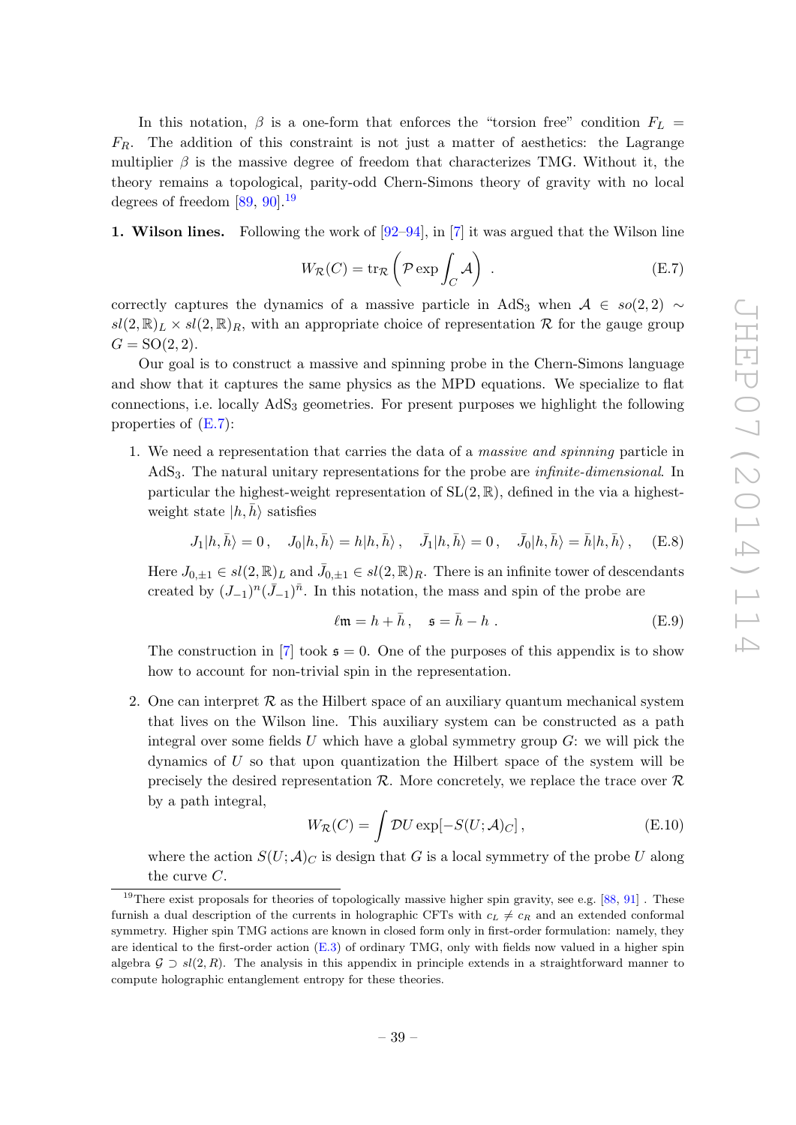In this notation,  $\beta$  is a one-form that enforces the "torsion free" condition  $F_L$  =  $F_R$ . The addition of this constraint is not just a matter of aesthetics: the Lagrange multiplier  $\beta$  is the massive degree of freedom that characterizes TMG. Without it, the theory remains a topological, parity-odd Chern-Simons theory of gravity with no local degrees of freedom  $[89, 90]$  $[89, 90]$ <sup>[19](#page-40-0)</sup>

1. Wilson lines. Following the work of  $[92-94]$  $[92-94]$ , in [\[7\]](#page-47-5) it was argued that the Wilson line

<span id="page-40-1"></span>
$$
W_{\mathcal{R}}(C) = \text{tr}_{\mathcal{R}}\left(\mathcal{P}\exp\int_C \mathcal{A}\right) .
$$
 (E.7)

correctly captures the dynamics of a massive particle in AdS<sub>3</sub> when  $A \in so(2, 2)$  ∼  $sl(2,\mathbb{R})_L \times sl(2,\mathbb{R})_R$ , with an appropriate choice of representation R for the gauge group  $G = SO(2, 2).$ 

Our goal is to construct a massive and spinning probe in the Chern-Simons language and show that it captures the same physics as the MPD equations. We specialize to flat connections, i.e. locally  $AdS<sub>3</sub>$  geometries. For present purposes we highlight the following properties of  $(E.7)$ :

1. We need a representation that carries the data of a massive and spinning particle in AdS3. The natural unitary representations for the probe are infinite-dimensional. In particular the highest-weight representation of  $SL(2, \mathbb{R})$ , defined in the via a highestweight state  $|h, h\rangle$  satisfies

<span id="page-40-2"></span>
$$
J_1|h,\bar{h}\rangle = 0\,,\quad J_0|h,\bar{h}\rangle = h|h,\bar{h}\rangle\,,\quad \bar{J}_1|h,\bar{h}\rangle = 0\,,\quad \bar{J}_0|h,\bar{h}\rangle = \bar{h}|h,\bar{h}\rangle\,,\quad \, (\textrm{E.8})
$$

Here  $J_{0,\pm 1} \in sl(2,\mathbb{R})_L$  and  $\bar{J}_{0,\pm 1} \in sl(2,\mathbb{R})_R$ . There is an infinite tower of descendants created by  $(J_{-1})^n(\bar{J}_{-1})^{\bar{n}}$ . In this notation, the mass and spin of the probe are

<span id="page-40-3"></span>
$$
\ell \mathfrak{m} = h + \bar{h}, \quad \mathfrak{s} = \bar{h} - h. \tag{E.9}
$$

The construction in [\[7\]](#page-47-5) took  $\mathfrak{s} = 0$ . One of the purposes of this appendix is to show how to account for non-trivial spin in the representation.

2. One can interpret  $\mathcal R$  as the Hilbert space of an auxiliary quantum mechanical system that lives on the Wilson line. This auxiliary system can be constructed as a path integral over some fields U which have a global symmetry group  $G$ : we will pick the dynamics of U so that upon quantization the Hilbert space of the system will be precisely the desired representation  $\mathcal{R}$ . More concretely, we replace the trace over  $\mathcal{R}$ by a path integral,

$$
W_{\mathcal{R}}(C) = \int \mathcal{D}U \exp[-S(U; \mathcal{A})_C], \tag{E.10}
$$

where the action  $S(U; A)_{C}$  is design that G is a local symmetry of the probe U along the curve C.

<span id="page-40-0"></span><sup>&</sup>lt;sup>19</sup>There exist proposals for theories of topologically massive higher spin gravity, see e.g.  $[88, 91]$  $[88, 91]$ . These furnish a dual description of the currents in holographic CFTs with  $c<sub>L</sub> \neq c<sub>R</sub>$  and an extended conformal symmetry. Higher spin TMG actions are known in closed form only in first-order formulation: namely, they are identical to the first-order action  $(E.3)$  of ordinary TMG, only with fields now valued in a higher spin algebra  $\mathcal{G} \supset \mathcal{sl}(2,\mathbb{R})$ . The analysis in this appendix in principle extends in a straightforward manner to compute holographic entanglement entropy for these theories.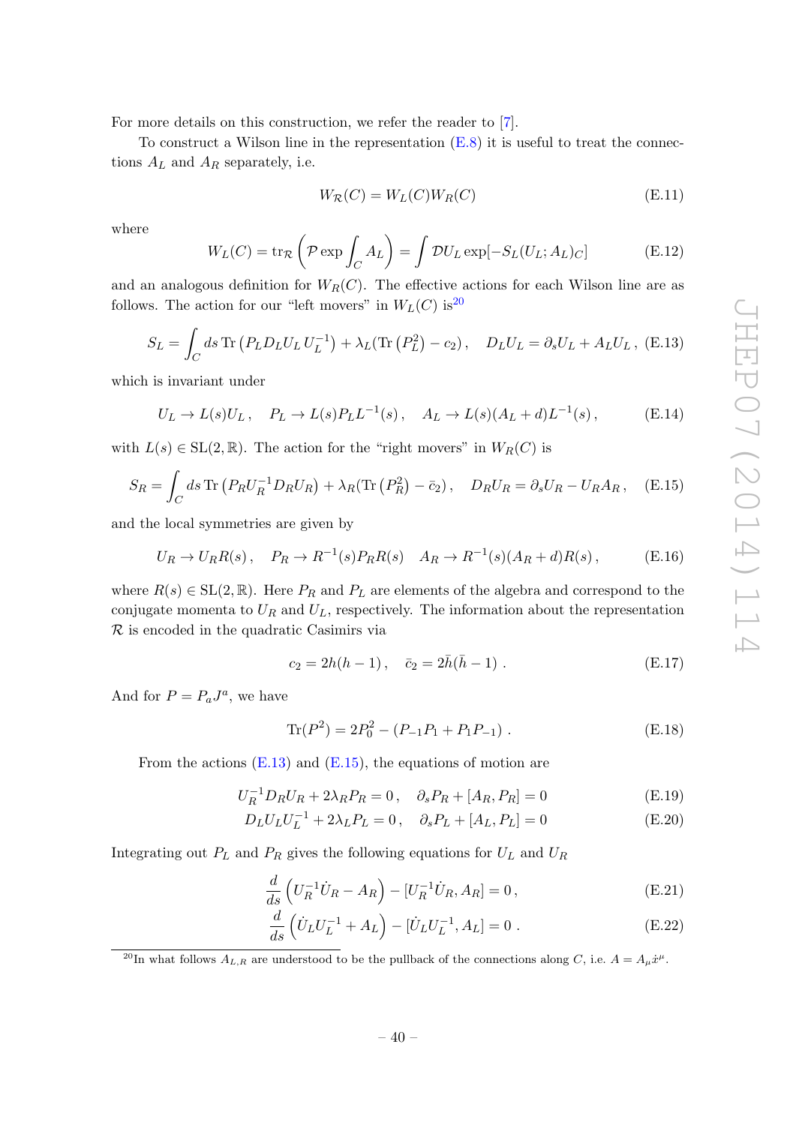For more details on this construction, we refer the reader to [\[7\]](#page-47-5).

To construct a Wilson line in the representation  $(E.8)$  it is useful to treat the connections  $A_L$  and  $A_R$  separately, i.e.

$$
W_{\mathcal{R}}(C) = W_L(C)W_R(C)
$$
\n(E.11)

where

$$
W_L(C) = \text{tr}_{\mathcal{R}}\left(\mathcal{P}\exp\int_C A_L\right) = \int \mathcal{D}U_L \exp[-S_L(U_L; A_L)_C] \tag{E.12}
$$

and an analogous definition for  $W_R(C)$ . The effective actions for each Wilson line are as follows. The action for our "left movers" in  $W_L(C)$  is<sup>[20](#page-41-0)</sup>

<span id="page-41-1"></span>
$$
S_L = \int_C ds \operatorname{Tr} \left( P_L D_L U_L U_L^{-1} \right) + \lambda_L (\operatorname{Tr} \left( P_L^2 \right) - c_2), \quad D_L U_L = \partial_s U_L + A_L U_L, \text{ (E.13)}
$$

which is invariant under

$$
U_L \to L(s)U_L \,, \quad P_L \to L(s)P_L L^{-1}(s) \,, \quad A_L \to L(s)(A_L + d)L^{-1}(s) \,, \tag{E.14}
$$

with  $L(s) \in SL(2, \mathbb{R})$ . The action for the "right movers" in  $W_R(C)$  is

<span id="page-41-2"></span>
$$
S_R = \int_C ds \operatorname{Tr} \left( P_R U_R^{-1} D_R U_R \right) + \lambda_R (\operatorname{Tr} \left( P_R^2 \right) - \bar{c}_2), \quad D_R U_R = \partial_s U_R - U_R A_R, \quad \text{(E.15)}
$$

and the local symmetries are given by

$$
U_R \to U_R R(s) \,, \quad P_R \to R^{-1}(s) P_R R(s) \quad A_R \to R^{-1}(s) (A_R + d) R(s) \,, \tag{E.16}
$$

where  $R(s) \in SL(2, \mathbb{R})$ . Here  $P_R$  and  $P_L$  are elements of the algebra and correspond to the conjugate momenta to  $U_R$  and  $U_L$ , respectively. The information about the representation  $\mathcal R$  is encoded in the quadratic Casimirs via

$$
c_2 = 2h(h-1), \quad \bar{c}_2 = 2\bar{h}(\bar{h}-1) \tag{E.17}
$$

And for  $P = P_a J^a$ , we have

$$
\text{Tr}(P^2) = 2P_0^2 - (P_{-1}P_1 + P_1P_{-1}).\tag{E.18}
$$

From the actions  $(E.13)$  and  $(E.15)$ , the equations of motion are

<span id="page-41-3"></span>
$$
U_R^{-1} D_R U_R + 2\lambda_R P_R = 0, \quad \partial_s P_R + [A_R, P_R] = 0 \tag{E.19}
$$

$$
D_L U_L U_L^{-1} + 2\lambda_L P_L = 0, \quad \partial_s P_L + [A_L, P_L] = 0 \tag{E.20}
$$

Integrating out  $P_L$  and  $P_R$  gives the following equations for  $U_L$  and  $U_R$ 

<span id="page-41-4"></span>
$$
\frac{d}{ds}\left(U_R^{-1}\dot{U}_R - A_R\right) - \left[U_R^{-1}\dot{U}_R, A_R\right] = 0, \tag{E.21}
$$

$$
\frac{d}{ds}\left(\dot{U}_L U_L^{-1} + A_L\right) - [\dot{U}_L U_L^{-1}, A_L] = 0.
$$
\n(E.22)

<span id="page-41-0"></span><sup>20</sup>In what follows  $A_{L,R}$  are understood to be the pullback of the connections along C, i.e.  $A = A_{\mu}\dot{x}^{\mu}$ .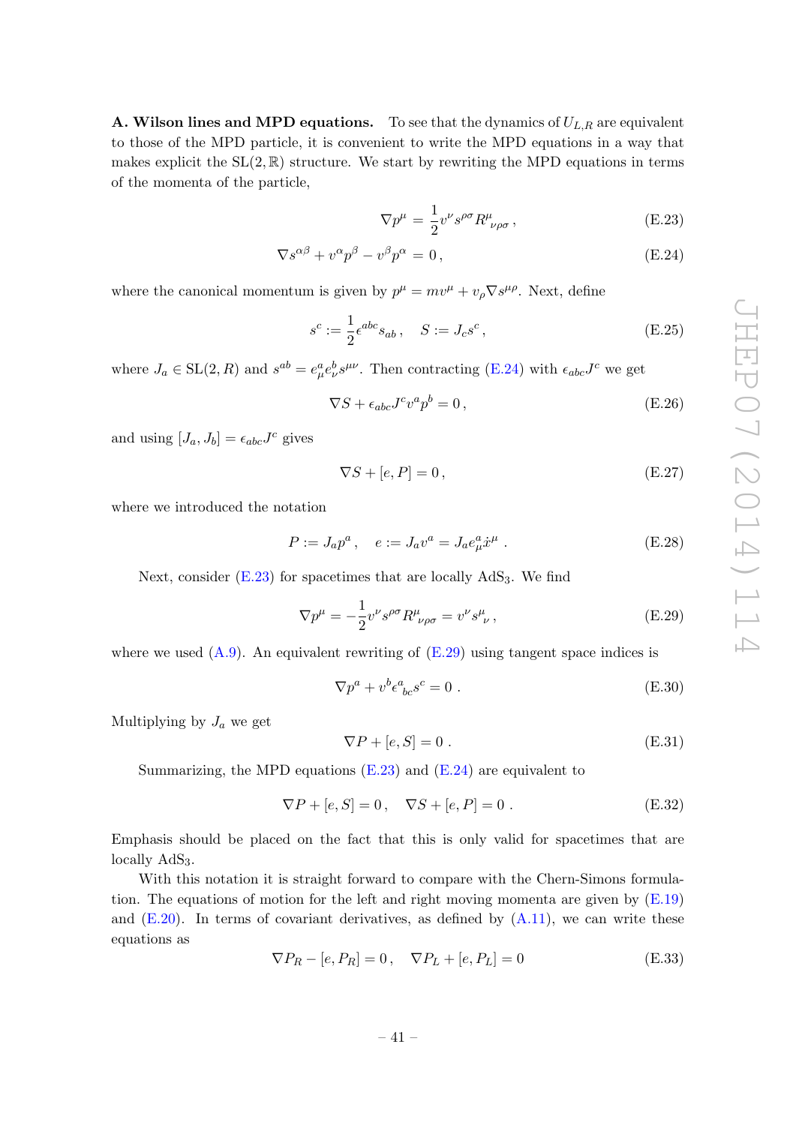**A. Wilson lines and MPD equations.** To see that the dynamics of  $U_{L,R}$  are equivalent to those of the MPD particle, it is convenient to write the MPD equations in a way that makes explicit the  $SL(2,\mathbb{R})$  structure. We start by rewriting the MPD equations in terms of the momenta of the particle,

<span id="page-42-0"></span>
$$
\nabla p^{\mu} = \frac{1}{2} v^{\nu} s^{\rho \sigma} R^{\mu}_{\ \nu \rho \sigma} , \qquad (E.23)
$$

$$
\nabla s^{\alpha\beta} + v^{\alpha} p^{\beta} - v^{\beta} p^{\alpha} = 0, \qquad (E.24)
$$

where the canonical momentum is given by  $p^{\mu} = mv^{\mu} + v_{\rho} \nabla s^{\mu \rho}$ . Next, define

$$
s^{c} := \frac{1}{2} \epsilon^{abc} s_{ab} , \quad S := J_{c} s^{c} , \qquad (E.25)
$$

where  $J_a \in SL(2, R)$  and  $s^{ab} = e^a_\mu e^b_\nu s^{\mu\nu}$ . Then contracting [\(E.24\)](#page-42-0) with  $\epsilon_{abc} J^c$  we get

$$
\nabla S + \epsilon_{abc} J^c v^a p^b = 0, \qquad (E.26)
$$

and using  $[J_a, J_b] = \epsilon_{abc} J^c$  gives

$$
\nabla S + [e, P] = 0,\tag{E.27}
$$

where we introduced the notation

$$
P := J_a p^a \,, \quad e := J_a v^a = J_a e^a_\mu \dot{x}^\mu \,.
$$
 (E.28)

Next, consider  $(E.23)$  for spacetimes that are locally  $AdS<sub>3</sub>$ . We find

<span id="page-42-1"></span>
$$
\nabla p^{\mu} = -\frac{1}{2} v^{\nu} s^{\rho \sigma} R^{\mu}_{\ \nu \rho \sigma} = v^{\nu} s^{\mu}_{\ \nu}, \tag{E.29}
$$

where we used  $(A.9)$ . An equivalent rewriting of  $(E.29)$  using tangent space indices is

$$
\nabla p^a + v^b \epsilon^a_{\ bc} s^c = 0 \tag{E.30}
$$

Multiplying by  $J_a$  we get

$$
\nabla P + [e, S] = 0. \tag{E.31}
$$

Summarizing, the MPD equations  $(E.23)$  and  $(E.24)$  are equivalent to

<span id="page-42-3"></span>
$$
\nabla P + [e, S] = 0, \quad \nabla S + [e, P] = 0.
$$
 (E.32)

Emphasis should be placed on the fact that this is only valid for spacetimes that are locally AdS<sub>3</sub>.

With this notation it is straight forward to compare with the Chern-Simons formulation. The equations of motion for the left and right moving momenta are given by  $(E.19)$ and  $(E.20)$ . In terms of covariant derivatives, as defined by  $(A.11)$ , we can write these equations as

<span id="page-42-2"></span>
$$
\nabla P_R - [e, P_R] = 0, \quad \nabla P_L + [e, P_L] = 0 \tag{E.33}
$$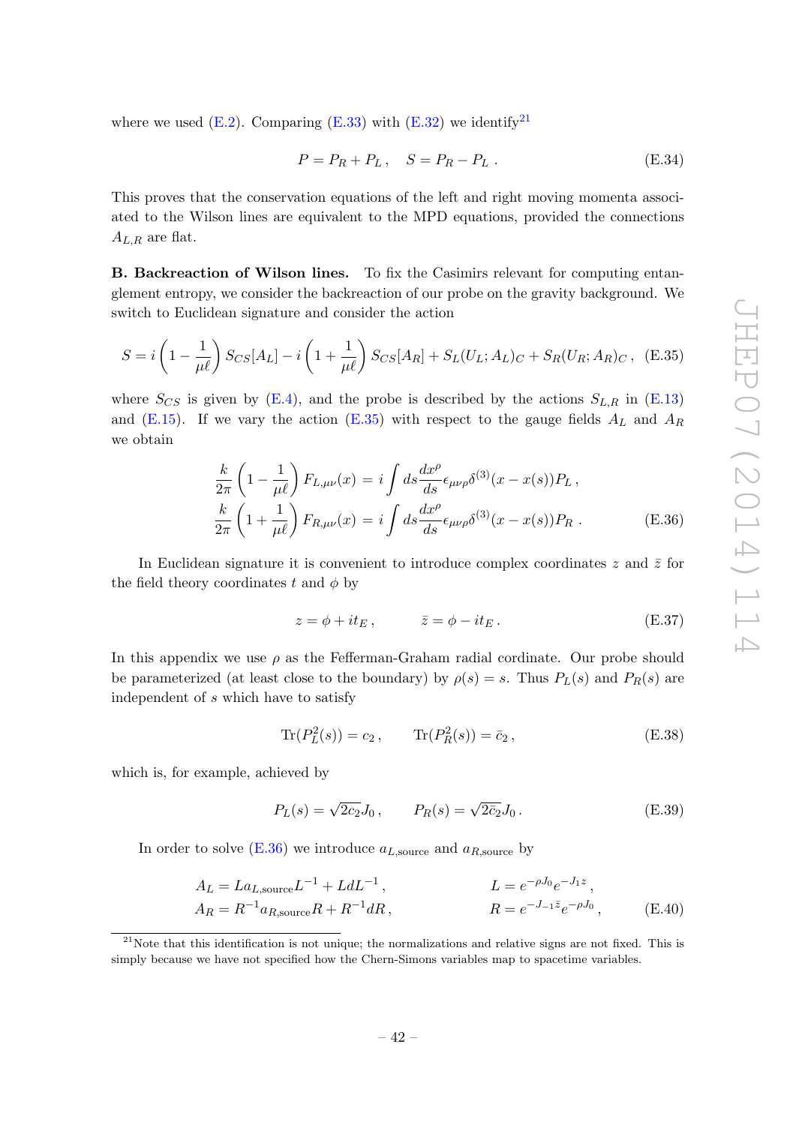where we used  $(E.2)$ . Comparing  $(E.33)$  with  $(E.32)$  we identify<sup>[21](#page-43-0)</sup>

$$
P = P_R + P_L, \quad S = P_R - P_L. \tag{E.34}
$$

This proves that the conservation equations of the left and right moving momenta associated to the Wilson lines are equivalent to the MPD equations, provided the connections  $A_{L,R}$  are flat.

B. Backreaction of Wilson lines. To fix the Casimirs relevant for computing entanglement entropy, we consider the backreaction of our probe on the gravity background. We switch to Euclidean signature and consider the action

<span id="page-43-1"></span>
$$
S = i\left(1 - \frac{1}{\mu\ell}\right)S_{CS}[A_L] - i\left(1 + \frac{1}{\mu\ell}\right)S_{CS}[A_R] + S_L(U_L; A_L)_C + S_R(U_R; A_R)_C\,,\tag{E.35}
$$

where  $S_{CS}$  is given by [\(E.4\)](#page-39-5), and the probe is described by the actions  $S_{L,R}$  in [\(E.13\)](#page-41-1) and [\(E.15\)](#page-41-2). If we vary the action [\(E.35\)](#page-43-1) with respect to the gauge fields  $A_L$  and  $A_R$ we obtain

<span id="page-43-2"></span>
$$
\frac{k}{2\pi} \left(1 - \frac{1}{\mu\ell}\right) F_{L,\mu\nu}(x) = i \int ds \frac{dx^{\rho}}{ds} \epsilon_{\mu\nu\rho} \delta^{(3)}(x - x(s)) P_L,
$$
\n
$$
\frac{k}{2\pi} \left(1 + \frac{1}{\mu\ell}\right) F_{R,\mu\nu}(x) = i \int ds \frac{dx^{\rho}}{ds} \epsilon_{\mu\nu\rho} \delta^{(3)}(x - x(s)) P_R.
$$
\n(E.36)

In Euclidean signature it is convenient to introduce complex coordinates  $z$  and  $\bar{z}$  for the field theory coordinates t and  $\phi$  by

$$
z = \phi + it_E, \qquad \bar{z} = \phi - it_E. \tag{E.37}
$$

In this appendix we use  $\rho$  as the Fefferman-Graham radial cordinate. Our probe should be parameterized (at least close to the boundary) by  $\rho(s) = s$ . Thus  $P_L(s)$  and  $P_R(s)$  are independent of s which have to satisfy

$$
\text{Tr}(P_L^2(s)) = c_2, \qquad \text{Tr}(P_R^2(s)) = \bar{c}_2, \tag{E.38}
$$

which is, for example, achieved by

$$
P_L(s) = \sqrt{2c_2} J_0, \qquad P_R(s) = \sqrt{2c_2} J_0.
$$
 (E.39)

In order to solve  $(E.36)$  we introduce  $a_{L,\text{source}}$  and  $a_{R,\text{source}}$  by

$$
A_L = La_{L, \text{source}} L^{-1} + L d L^{-1},
$$
  
\n
$$
L = e^{-\rho J_0} e^{-J_1 z},
$$
  
\n
$$
R = e^{-J_{-1} \bar{z}} e^{-\rho J_0},
$$
  
\n(E.40)

<span id="page-43-0"></span> $21$ Note that this identification is not unique; the normalizations and relative signs are not fixed. This is simply because we have not specified how the Chern-Simons variables map to spacetime variables.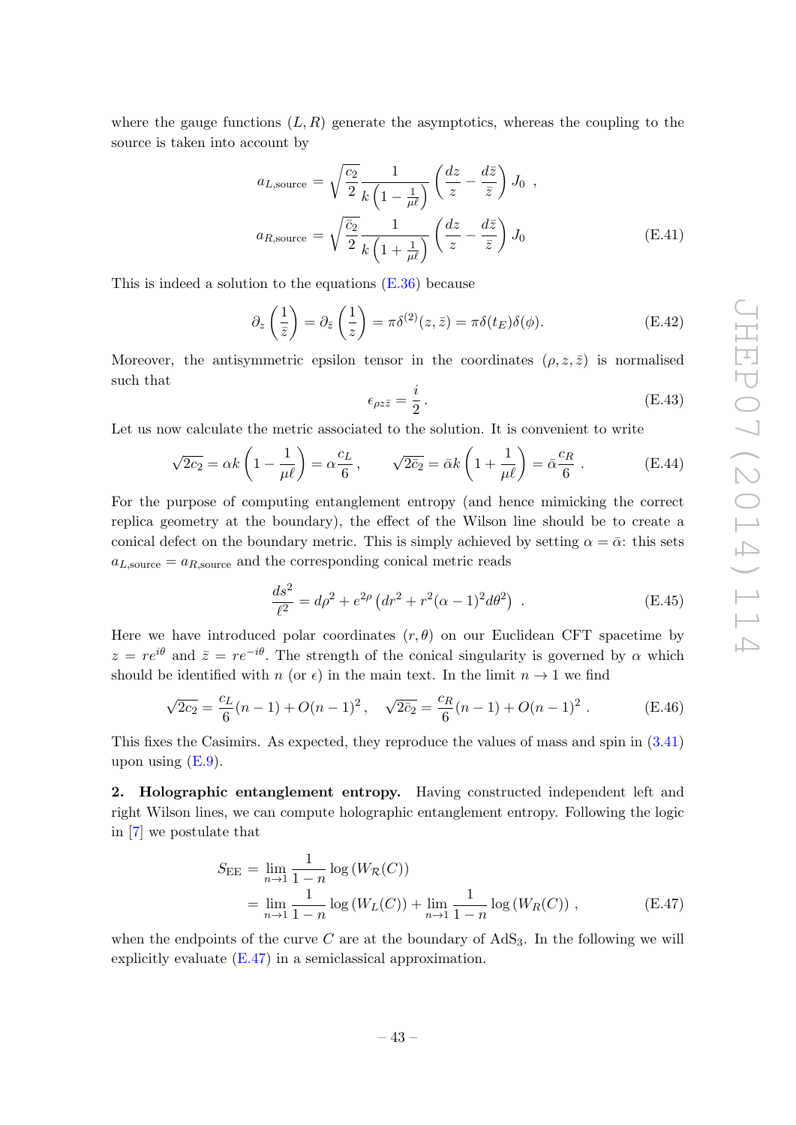where the gauge functions  $(L, R)$  generate the asymptotics, whereas the coupling to the source is taken into account by

$$
a_{L,\text{source}} = \sqrt{\frac{c_2}{2}} \frac{1}{k \left(1 - \frac{1}{\mu \ell}\right)} \left(\frac{dz}{z} - \frac{d\bar{z}}{\bar{z}}\right) J_0 ,
$$
  

$$
a_{R,\text{source}} = \sqrt{\frac{\bar{c}_2}{2}} \frac{1}{k \left(1 + \frac{1}{\mu \ell}\right)} \left(\frac{dz}{z} - \frac{d\bar{z}}{\bar{z}}\right) J_0
$$
 (E.41)

This is indeed a solution to the equations  $(E.36)$  because

$$
\partial_z \left( \frac{1}{\bar{z}} \right) = \partial_{\bar{z}} \left( \frac{1}{z} \right) = \pi \delta^{(2)}(z, \bar{z}) = \pi \delta(t_E) \delta(\phi). \tag{E.42}
$$

Moreover, the antisymmetric epsilon tensor in the coordinates  $(\rho, z, \bar{z})$  is normalised such that

$$
\epsilon_{\rho z\bar{z}} = \frac{i}{2} \,. \tag{E.43}
$$

Let us now calculate the metric associated to the solution. It is convenient to write

$$
\sqrt{2c_2} = \alpha k \left( 1 - \frac{1}{\mu \ell} \right) = \alpha \frac{c_L}{6}, \qquad \sqrt{2c_2} = \bar{\alpha} k \left( 1 + \frac{1}{\mu \ell} \right) = \bar{\alpha} \frac{c_R}{6} . \tag{E.44}
$$

For the purpose of computing entanglement entropy (and hence mimicking the correct replica geometry at the boundary), the effect of the Wilson line should be to create a conical defect on the boundary metric. This is simply achieved by setting  $\alpha = \bar{\alpha}$ : this sets  $a_{L,\text{source}} = a_{R,\text{source}}$  and the corresponding conical metric reads

$$
\frac{ds^2}{\ell^2} = d\rho^2 + e^{2\rho} \left( dr^2 + r^2 (\alpha - 1)^2 d\theta^2 \right) . \tag{E.45}
$$

Here we have introduced polar coordinates  $(r, \theta)$  on our Euclidean CFT spacetime by  $z = re^{i\theta}$  and  $\bar{z} = re^{-i\theta}$ . The strength of the conical singularity is governed by  $\alpha$  which should be identified with n (or  $\epsilon$ ) in the main text. In the limit  $n \to 1$  we find

<span id="page-44-1"></span>
$$
\sqrt{2c_2} = \frac{c_L}{6}(n-1) + O(n-1)^2, \quad \sqrt{2\bar{c}_2} = \frac{c_R}{6}(n-1) + O(n-1)^2.
$$
 (E.46)

This fixes the Casimirs. As expected, they reproduce the values of mass and spin in [\(3.41\)](#page-19-5) upon using  $(E.9)$ .

2. Holographic entanglement entropy. Having constructed independent left and right Wilson lines, we can compute holographic entanglement entropy. Following the logic in [\[7\]](#page-47-5) we postulate that

<span id="page-44-0"></span>
$$
S_{\text{EE}} = \lim_{n \to 1} \frac{1}{1 - n} \log (W_{\mathcal{R}}(C))
$$
  
= 
$$
\lim_{n \to 1} \frac{1}{1 - n} \log (W_L(C)) + \lim_{n \to 1} \frac{1}{1 - n} \log (W_R(C)),
$$
 (E.47)

when the endpoints of the curve C are at the boundary of  $AdS_3$ . In the following we will explicitly evaluate [\(E.47\)](#page-44-0) in a semiclassical approximation.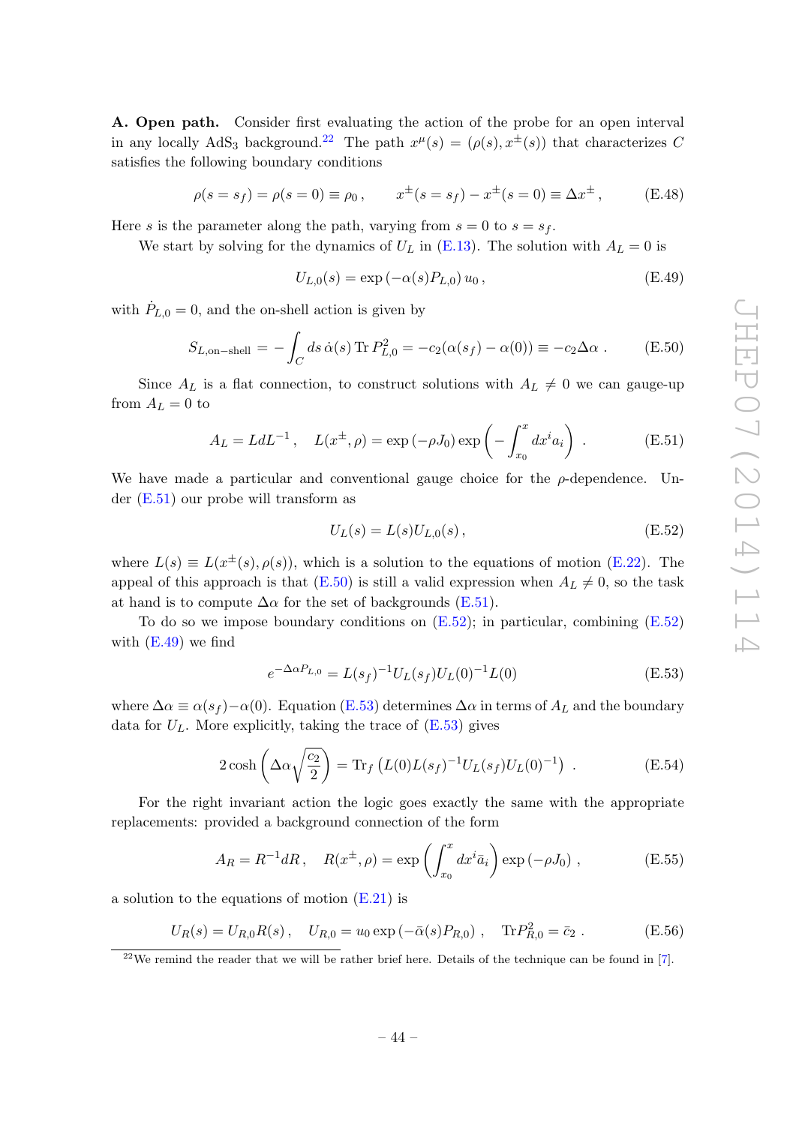A. Open path. Consider first evaluating the action of the probe for an open interval in any locally AdS<sub>3</sub> background.<sup>[22](#page-45-0)</sup> The path  $x^{\mu}(s) = (\rho(s), x^{\pm}(s))$  that characterizes C satisfies the following boundary conditions

$$
\rho(s = s_f) = \rho(s = 0) \equiv \rho_0, \qquad x^{\pm}(s = s_f) - x^{\pm}(s = 0) \equiv \Delta x^{\pm},
$$
\n(E.48)

Here s is the parameter along the path, varying from  $s = 0$  to  $s = s_f$ .

We start by solving for the dynamics of  $U_L$  in [\(E.13\)](#page-41-1). The solution with  $A_L = 0$  is

<span id="page-45-4"></span>
$$
U_{L,0}(s) = \exp(-\alpha(s)P_{L,0}) u_0, \qquad (E.49)
$$

with  $\dot{P}_{L,0} = 0$ , and the on-shell action is given by

<span id="page-45-2"></span>
$$
S_{L,\text{on-shell}} = -\int_C ds \,\dot{\alpha}(s) \operatorname{Tr} P_{L,0}^2 = -c_2(\alpha(s_f) - \alpha(0)) \equiv -c_2 \Delta \alpha . \tag{E.50}
$$

Since  $A_L$  is a flat connection, to construct solutions with  $A_L \neq 0$  we can gauge-up from  $A_L = 0$  to

<span id="page-45-1"></span>
$$
A_L = L dL^{-1}, \quad L(x^{\pm}, \rho) = \exp(-\rho J_0) \exp\left(-\int_{x_0}^x dx^i a_i\right) . \tag{E.51}
$$

We have made a particular and conventional gauge choice for the  $\rho$ -dependence. Under [\(E.51\)](#page-45-1) our probe will transform as

<span id="page-45-3"></span>
$$
U_L(s) = L(s)U_{L,0}(s) , \t\t (E.52)
$$

where  $L(s) \equiv L(x^{\pm}(s), \rho(s))$ , which is a solution to the equations of motion [\(E.22\)](#page-41-4). The appeal of this approach is that  $(E.50)$  is still a valid expression when  $A_L \neq 0$ , so the task at hand is to compute  $\Delta \alpha$  for the set of backgrounds [\(E.51\)](#page-45-1).

To do so we impose boundary conditions on  $(E.52)$ ; in particular, combining  $(E.52)$ with  $(E.49)$  we find

<span id="page-45-5"></span>
$$
e^{-\Delta\alpha P_{L,0}} = L(s_f)^{-1} U_L(s_f) U_L(0)^{-1} L(0)
$$
\n(E.53)

where  $\Delta \alpha \equiv \alpha(s_f) - \alpha(0)$ . Equation [\(E.53\)](#page-45-5) determines  $\Delta \alpha$  in terms of  $A_L$  and the boundary data for  $U_L$ . More explicitly, taking the trace of  $(E.53)$  gives

<span id="page-45-6"></span>
$$
2\cosh\left(\Delta\alpha\sqrt{\frac{c_2}{2}}\right) = \text{Tr}_f\left(L(0)L(s_f)^{-1}U_L(s_f)U_L(0)^{-1}\right) \tag{E.54}
$$

For the right invariant action the logic goes exactly the same with the appropriate replacements: provided a background connection of the form

<span id="page-45-7"></span>
$$
A_R = R^{-1} dR, \quad R(x^{\pm}, \rho) = \exp\left(\int_{x_0}^x dx^i \bar{a}_i\right) \exp(-\rho J_0) , \qquad (E.55)
$$

a solution to the equations of motion [\(E.21\)](#page-41-4) is

$$
U_R(s) = U_{R,0}R(s), \quad U_{R,0} = u_0 \exp(-\bar{\alpha}(s)P_{R,0}), \quad \text{Tr}P_{R,0}^2 = \bar{c}_2.
$$
 (E.56)

<span id="page-45-0"></span><sup>&</sup>lt;sup>22</sup>We remind the reader that we will be rather brief here. Details of the technique can be found in  $[7]$ .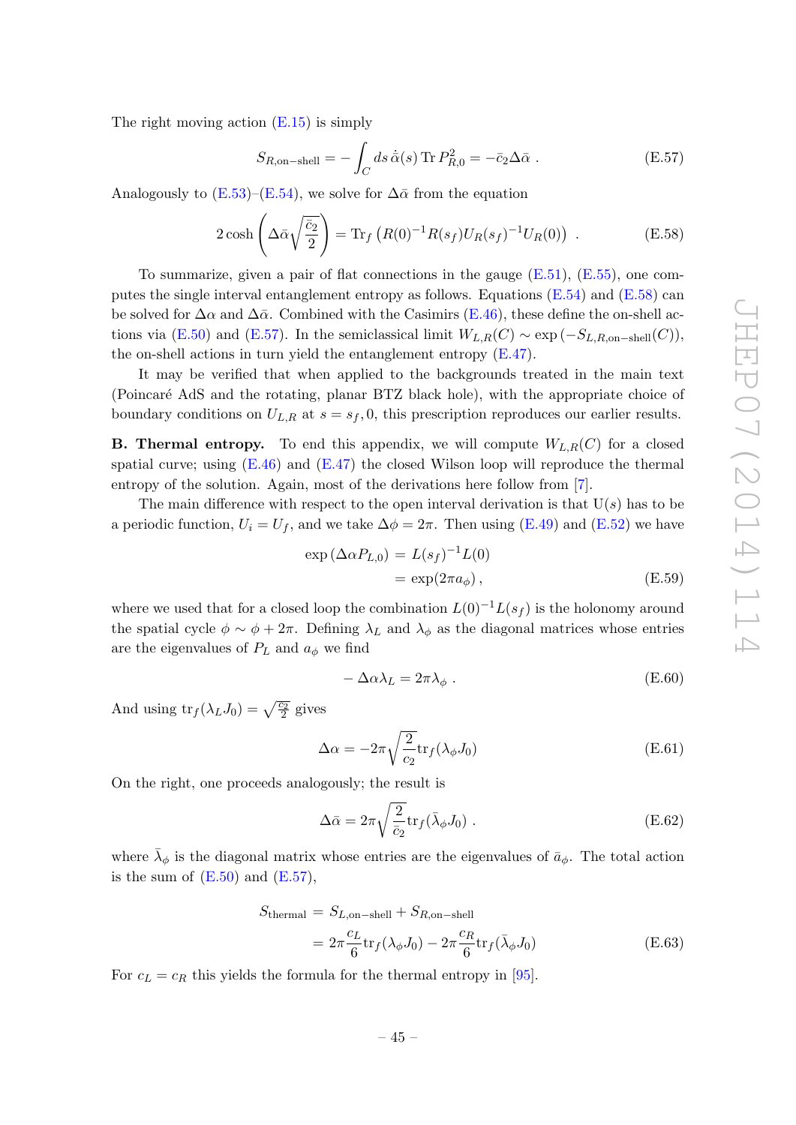The right moving action  $(E.15)$  is simply

<span id="page-46-1"></span>
$$
S_{R,\text{on-shell}} = -\int_C ds \,\dot{\bar{\alpha}}(s) \,\text{Tr}\, P_{R,0}^2 = -\bar{c}_2 \Delta \bar{\alpha} \,. \tag{E.57}
$$

Analogously to  $(E.53)$ – $(E.54)$ , we solve for  $\Delta\bar{\alpha}$  from the equation

<span id="page-46-0"></span>
$$
2\cosh\left(\Delta\bar{\alpha}\sqrt{\frac{\bar{c}_2}{2}}\right) = \text{Tr}_f\left(R(0)^{-1}R(s_f)U_R(s_f)^{-1}U_R(0)\right) \ . \tag{E.58}
$$

To summarize, given a pair of flat connections in the gauge  $(E.51)$ ,  $(E.55)$ , one computes the single interval entanglement entropy as follows. Equations  $(E.54)$  and  $(E.58)$  can be solved for  $\Delta \alpha$  and  $\Delta \bar{\alpha}$ . Combined with the Casimirs [\(E.46\)](#page-44-1), these define the on-shell ac-tions via [\(E.50\)](#page-45-2) and [\(E.57\)](#page-46-1). In the semiclassical limit  $W_{L,R}(C) \sim \exp(-S_{L,R,\text{on-shell}}(C)),$ the on-shell actions in turn yield the entanglement entropy [\(E.47\)](#page-44-0).

It may be verified that when applied to the backgrounds treated in the main text (Poincaré AdS and the rotating, planar BTZ black hole), with the appropriate choice of boundary conditions on  $U_{L,R}$  at  $s = s_f, 0$ , this prescription reproduces our earlier results.

**B. Thermal entropy.** To end this appendix, we will compute  $W_{L,R}(C)$  for a closed spatial curve; using  $(E.46)$  and  $(E.47)$  the closed Wilson loop will reproduce the thermal entropy of the solution. Again, most of the derivations here follow from [\[7\]](#page-47-5).

The main difference with respect to the open interval derivation is that  $U(s)$  has to be a periodic function,  $U_i = U_f$ , and we take  $\Delta \phi = 2\pi$ . Then using [\(E.49\)](#page-45-4) and [\(E.52\)](#page-45-3) we have

$$
\exp(\Delta \alpha P_{L,0}) = L(s_f)^{-1} L(0)
$$
  
= 
$$
\exp(2\pi a_{\phi}), \qquad (E.59)
$$

where we used that for a closed loop the combination  $L(0)^{-1}L(s_f)$  is the holonomy around the spatial cycle  $\phi \sim \phi + 2\pi$ . Defining  $\lambda_L$  and  $\lambda_\phi$  as the diagonal matrices whose entries are the eigenvalues of  $P_L$  and  $a_{\phi}$  we find

$$
-\Delta \alpha \lambda_L = 2\pi \lambda_\phi \ . \tag{E.60}
$$

And using  $\text{tr}_f(\lambda_L J_0) = \sqrt{\frac{c_2}{2}}$  gives

$$
\Delta \alpha = -2\pi \sqrt{\frac{2}{c_2}} \text{tr}_f(\lambda_\phi J_0)
$$
 (E.61)

On the right, one proceeds analogously; the result is

$$
\Delta \bar{\alpha} = 2\pi \sqrt{\frac{2}{\bar{c}_2}} \text{tr}_f(\bar{\lambda}_\phi J_0) \tag{E.62}
$$

where  $\bar{\lambda}_{\phi}$  is the diagonal matrix whose entries are the eigenvalues of  $\bar{a}_{\phi}$ . The total action is the sum of  $(E.50)$  and  $(E.57)$ ,

<span id="page-46-2"></span>
$$
S_{\text{thermal}} = S_{L,\text{on-shell}} + S_{R,\text{on-shell}}
$$
  
= 
$$
2\pi \frac{c_L}{6} \text{tr}_f(\lambda_\phi J_0) - 2\pi \frac{c_R}{6} \text{tr}_f(\bar{\lambda}_\phi J_0)
$$
 (E.63)

For  $c_L = c_R$  this yields the formula for the thermal entropy in [\[95\]](#page-52-1).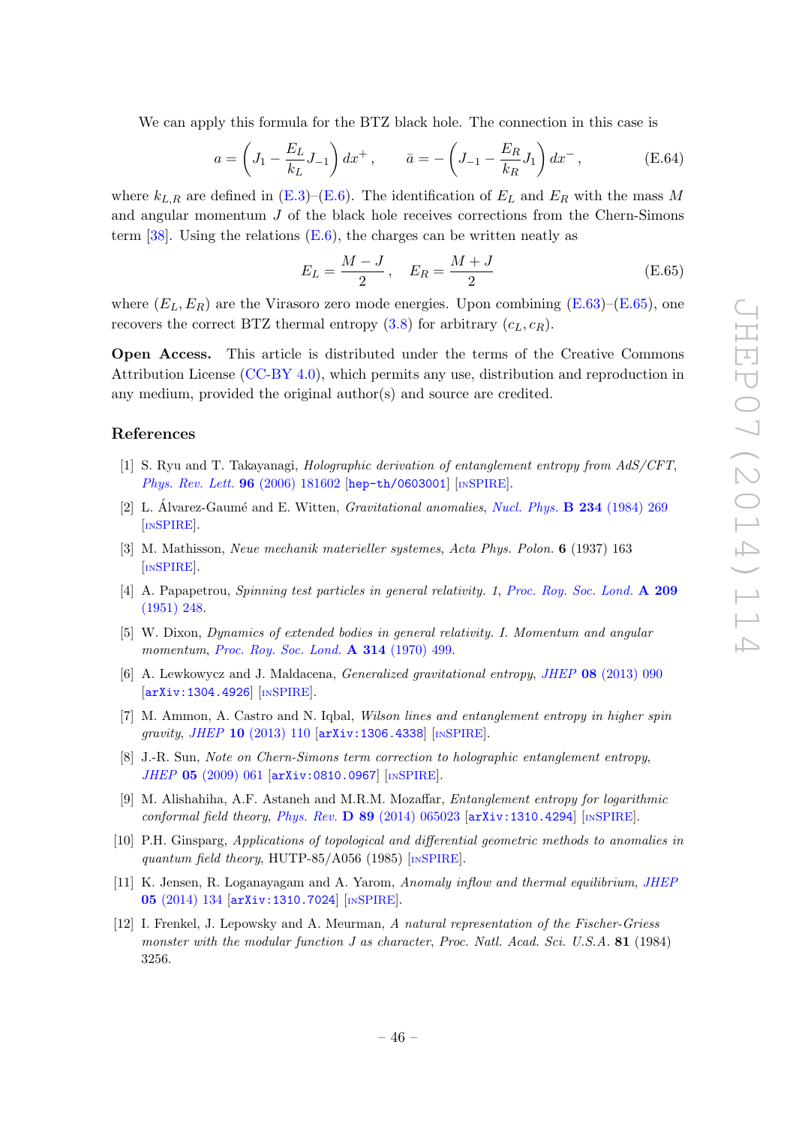We can apply this formula for the BTZ black hole. The connection in this case is

$$
a = \left(J_1 - \frac{E_L}{k_L}J_{-1}\right)dx^+, \qquad \bar{a} = -\left(J_{-1} - \frac{E_R}{k_R}J_1\right)dx^-, \tag{E.64}
$$

where  $k_{L,R}$  are defined in [\(E.3\)](#page-39-3)–[\(E.6\)](#page-39-6). The identification of  $E_L$  and  $E_R$  with the mass M and angular momentum  $J$  of the black hole receives corrections from the Chern-Simons term  $[38]$ . Using the relations  $(E.6)$ , the charges can be written neatly as

<span id="page-47-11"></span>
$$
E_L = \frac{M - J}{2}, \quad E_R = \frac{M + J}{2}
$$
 (E.65)

where  $(E_L, E_R)$  are the Virasoro zero mode energies. Upon combining  $(E.63)$ – $(E.65)$ , one recovers the correct BTZ thermal entropy  $(3.8)$  for arbitrary  $(c_L, c_R)$ .

Open Access. This article is distributed under the terms of the Creative Commons Attribution License [\(CC-BY 4.0\)](http://creativecommons.org/licenses/by/4.0/), which permits any use, distribution and reproduction in any medium, provided the original author(s) and source are credited.

## References

- <span id="page-47-0"></span>[1] S. Ryu and T. Takayanagi, Holographic derivation of entanglement entropy from AdS/CFT, [Phys. Rev. Lett.](http://dx.doi.org/10.1103/PhysRevLett.96.181602) 96 (2006) 181602 [[hep-th/0603001](http://arxiv.org/abs/hep-th/0603001)] [IN[SPIRE](http://inspirehep.net/search?p=find+EPRINT+hep-th/0603001)].
- <span id="page-47-1"></span>[2] L. Álvarez-Gaumé and E. Witten, *Gravitational anomalies*, *[Nucl. Phys.](http://dx.doi.org/10.1016/0550-3213(84)90066-X)* **B** 234 (1984) 269 [IN[SPIRE](http://inspirehep.net/search?p=find+J+Nucl.Phys.,B234,269)].
- <span id="page-47-2"></span>[3] M. Mathisson, Neue mechanik materieller systemes, Acta Phys. Polon. 6 (1937) 163 [IN[SPIRE](http://inspirehep.net/search?p=find+J+ActaPhys.Polon.,6,163)].
- [4] A. Papapetrou, Spinning test particles in general relativity. 1, [Proc. Roy. Soc. Lond.](http://dx.doi.org/10.1098/rspa.1951.0200) A 209 [\(1951\) 248.](http://dx.doi.org/10.1098/rspa.1951.0200)
- <span id="page-47-3"></span>[5] W. Dixon, Dynamics of extended bodies in general relativity. I. Momentum and angular momentum, [Proc. Roy. Soc. Lond.](http://dx.doi.org/10.1098/rspa.1970.0020) A 314 (1970) 499.
- <span id="page-47-4"></span>[6] A. Lewkowycz and J. Maldacena, Generalized gravitational entropy, JHEP 08 [\(2013\) 090](http://dx.doi.org/10.1007/JHEP08(2013)090) [[arXiv:1304.4926](http://arxiv.org/abs/1304.4926)] [IN[SPIRE](http://inspirehep.net/search?p=find+EPRINT+arXiv:1304.4926)].
- <span id="page-47-5"></span>[7] M. Ammon, A. Castro and N. Iqbal, Wilson lines and entanglement entropy in higher spin gravity, JHEP 10 [\(2013\) 110](http://dx.doi.org/10.1007/JHEP10(2013)110) [[arXiv:1306.4338](http://arxiv.org/abs/1306.4338)] [IN[SPIRE](http://inspirehep.net/search?p=find+EPRINT+arXiv:1306.4338)].
- <span id="page-47-6"></span>[8] J.-R. Sun, Note on Chern-Simons term correction to holographic entanglement entropy, JHEP 05 [\(2009\) 061](http://dx.doi.org/10.1088/1126-6708/2009/05/061) [[arXiv:0810.0967](http://arxiv.org/abs/0810.0967)] [IN[SPIRE](http://inspirehep.net/search?p=find+EPRINT+arXiv:0810.0967)].
- <span id="page-47-7"></span>[9] M. Alishahiha, A.F. Astaneh and M.R.M. Mozaffar, Entanglement entropy for logarithmic conformal field theory, Phys. Rev. D 89 [\(2014\) 065023](http://dx.doi.org/10.1103/PhysRevD.89.065023)  $\left[$ [arXiv:1310.4294](http://arxiv.org/abs/1310.4294) $\right]$  [IN[SPIRE](http://inspirehep.net/search?p=find+EPRINT+arXiv:1310.4294)].
- <span id="page-47-8"></span>[10] P.H. Ginsparg, Applications of topological and differential geometric methods to anomalies in quantum field theory, HUTP-85/A056 (1985) [IN[SPIRE](http://inspirehep.net/search?p=find+R+HUTP-85/A056)].
- <span id="page-47-9"></span>[11] K. Jensen, R. Loganayagam and A. Yarom, Anomaly inflow and thermal equilibrium, [JHEP](http://dx.doi.org/10.1007/JHEP05(2014)134) 05 [\(2014\) 134](http://dx.doi.org/10.1007/JHEP05(2014)134) [[arXiv:1310.7024](http://arxiv.org/abs/1310.7024)] [IN[SPIRE](http://inspirehep.net/search?p=find+EPRINT+arXiv:1310.7024)].
- <span id="page-47-10"></span>[12] I. Frenkel, J. Lepowsky and A. Meurman, A natural representation of the Fischer-Griess monster with the modular function J as character, Proc. Natl. Acad. Sci. U.S.A. 81 (1984) 3256.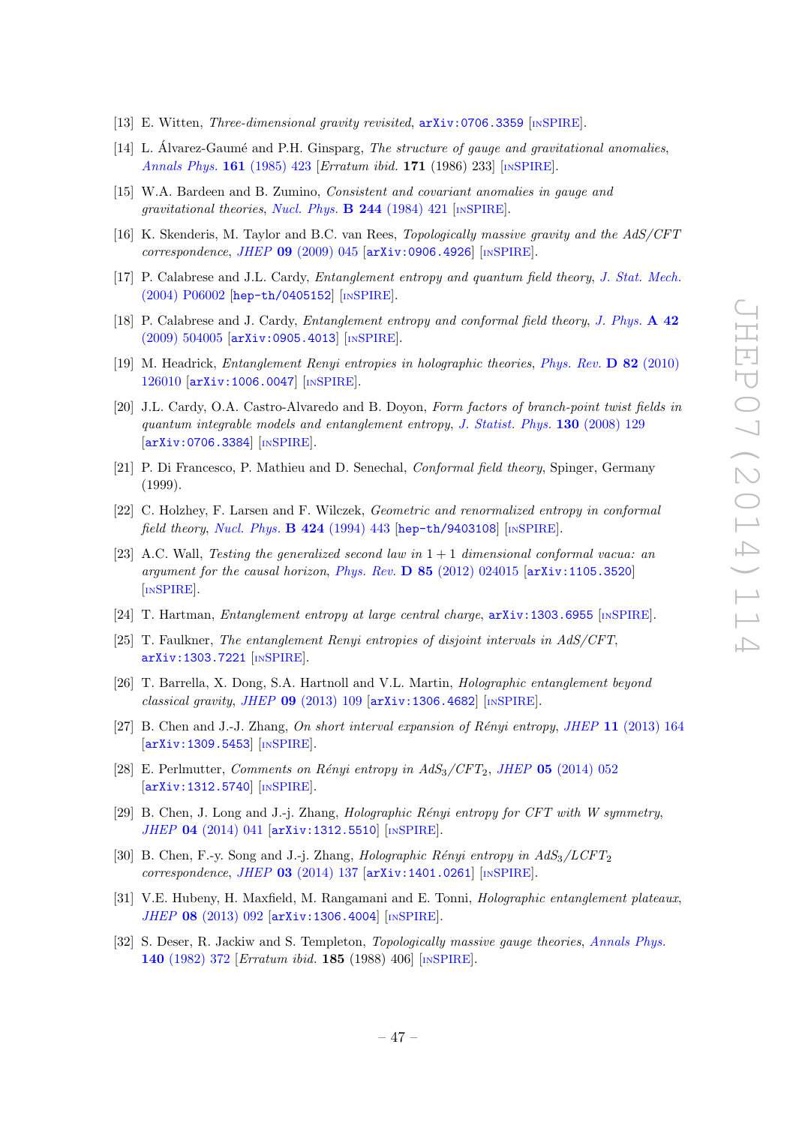- <span id="page-48-0"></span>[13] E. Witten, Three-dimensional gravity revisited, [arXiv:0706.3359](http://arxiv.org/abs/0706.3359) [IN[SPIRE](http://inspirehep.net/search?p=find+EPRINT+arXiv:0706.3359)].
- <span id="page-48-1"></span>[14] L. Álvarez-Gaumé and P.H. Ginsparg, *The structure of gauge and gravitational anomalies*, [Annals Phys.](http://dx.doi.org/10.1016/0003-4916(85)90087-9) 161 (1985) 423 [Erratum ibid. 171 (1986) 233] [IN[SPIRE](http://inspirehep.net/search?p=find+J+AnnalsPhys.,161,423)].
- <span id="page-48-2"></span>[15] W.A. Bardeen and B. Zumino, Consistent and covariant anomalies in gauge and gravitational theories, [Nucl. Phys.](http://dx.doi.org/10.1016/0550-3213(84)90322-5)  $\bf{B}$  244 (1984) 421 [IN[SPIRE](http://inspirehep.net/search?p=find+J+Nucl.Phys.,B244,421)].
- <span id="page-48-3"></span>[16] K. Skenderis, M. Taylor and B.C. van Rees, Topologically massive gravity and the AdS/CFT correspondence, JHEP 09 [\(2009\) 045](http://dx.doi.org/10.1088/1126-6708/2009/09/045) [[arXiv:0906.4926](http://arxiv.org/abs/0906.4926)] [IN[SPIRE](http://inspirehep.net/search?p=find+EPRINT+arXiv:0906.4926)].
- <span id="page-48-4"></span>[17] P. Calabrese and J.L. Cardy, Entanglement entropy and quantum field theory, [J. Stat. Mech.](http://dx.doi.org/10.1088/1742-5468/2004/06/P06002) [\(2004\) P06002](http://dx.doi.org/10.1088/1742-5468/2004/06/P06002) [[hep-th/0405152](http://arxiv.org/abs/hep-th/0405152)] [IN[SPIRE](http://inspirehep.net/search?p=find+EPRINT+hep-th/0405152)].
- [18] P. Calabrese and J. Cardy, Entanglement entropy and conformal field theory, [J. Phys.](http://dx.doi.org/10.1088/1751-8113/42/50/504005) A 42 [\(2009\) 504005](http://dx.doi.org/10.1088/1751-8113/42/50/504005) [[arXiv:0905.4013](http://arxiv.org/abs/0905.4013)] [IN[SPIRE](http://inspirehep.net/search?p=find+EPRINT+arXiv:0905.4013)].
- <span id="page-48-5"></span>[19] M. Headrick, Entanglement Renyi entropies in holographic theories, [Phys. Rev.](http://dx.doi.org/10.1103/PhysRevD.82.126010) D 82 (2010) [126010](http://dx.doi.org/10.1103/PhysRevD.82.126010) [[arXiv:1006.0047](http://arxiv.org/abs/1006.0047)] [IN[SPIRE](http://inspirehep.net/search?p=find+EPRINT+arXiv:1006.0047)].
- <span id="page-48-6"></span>[20] J.L. Cardy, O.A. Castro-Alvaredo and B. Doyon, Form factors of branch-point twist fields in quantum integrable models and entanglement entropy, [J. Statist. Phys.](http://dx.doi.org/10.1007/s10955-007-9422-x) 130 (2008) 129 [[arXiv:0706.3384](http://arxiv.org/abs/0706.3384)] [IN[SPIRE](http://inspirehep.net/search?p=find+EPRINT+arXiv:0706.3384)].
- <span id="page-48-7"></span>[21] P. Di Francesco, P. Mathieu and D. Senechal, Conformal field theory, Spinger, Germany (1999).
- <span id="page-48-8"></span>[22] C. Holzhey, F. Larsen and F. Wilczek, Geometric and renormalized entropy in conformal field theory, [Nucl. Phys.](http://dx.doi.org/10.1016/0550-3213(94)90402-2) B 424 (1994) 443 [[hep-th/9403108](http://arxiv.org/abs/hep-th/9403108)] [IN[SPIRE](http://inspirehep.net/search?p=find+EPRINT+hep-th/9403108)].
- <span id="page-48-9"></span>[23] A.C. Wall, Testing the generalized second law in  $1+1$  dimensional conformal vacua: an argument for the causal horizon, Phys. Rev.  $\bf{D} 85$  [\(2012\) 024015](http://dx.doi.org/10.1103/PhysRevD.85.024015) [[arXiv:1105.3520](http://arxiv.org/abs/1105.3520)] [IN[SPIRE](http://inspirehep.net/search?p=find+EPRINT+arXiv:1105.3520)].
- <span id="page-48-10"></span>[24] T. Hartman, Entanglement entropy at large central charge,  $arXiv:1303.6955$  [IN[SPIRE](http://inspirehep.net/search?p=find+EPRINT+arXiv:1303.6955)].
- <span id="page-48-17"></span>[25] T. Faulkner, The entanglement Renyi entropies of disjoint intervals in AdS/CFT, [arXiv:1303.7221](http://arxiv.org/abs/1303.7221) [IN[SPIRE](http://inspirehep.net/search?p=find+EPRINT+arXiv:1303.7221)].
- <span id="page-48-12"></span>[26] T. Barrella, X. Dong, S.A. Hartnoll and V.L. Martin, Holographic entanglement beyond classical gravity, JHEP 09 [\(2013\) 109](http://dx.doi.org/10.1007/JHEP09(2013)109) [[arXiv:1306.4682](http://arxiv.org/abs/1306.4682)] [IN[SPIRE](http://inspirehep.net/search?p=find+EPRINT+arXiv:1306.4682)].
- <span id="page-48-14"></span>[27] B. Chen and J.-J. Zhang, On short interval expansion of Rényi entropy, JHEP 11 [\(2013\) 164](http://dx.doi.org/10.1007/JHEP11(2013)164) [[arXiv:1309.5453](http://arxiv.org/abs/1309.5453)] [IN[SPIRE](http://inspirehep.net/search?p=find+EPRINT+arXiv:1309.5453)].
- <span id="page-48-13"></span>[28] E. Perlmutter, Comments on Rényi entropy in  $AdS_3/CFT_2$ , JHEP 05 [\(2014\) 052](http://dx.doi.org/10.1007/JHEP05(2014)052) [[arXiv:1312.5740](http://arxiv.org/abs/1312.5740)] [IN[SPIRE](http://inspirehep.net/search?p=find+EPRINT+arXiv:1312.5740)].
- [29] B. Chen, J. Long and J.-j. Zhang, *Holographic Rényi entropy for CFT with W symmetry*, JHEP 04 [\(2014\) 041](http://dx.doi.org/10.1007/JHEP04(2014)041) [[arXiv:1312.5510](http://arxiv.org/abs/1312.5510)] [IN[SPIRE](http://inspirehep.net/search?p=find+EPRINT+arXiv:1312.5510)].
- <span id="page-48-11"></span>[30] B. Chen, F.-y. Song and J.-j. Zhang, *Holographic Rényi entropy in AdS<sub>3</sub>/LCFT<sub>2</sub>*  $correspondence, JHEP$  03 [\(2014\) 137](http://dx.doi.org/10.1007/JHEP03(2014)137)  $\text{arXiv:1401.0261}$  $\text{arXiv:1401.0261}$  $\text{arXiv:1401.0261}$   $\text{InSPIRE}.$  $\text{InSPIRE}.$  $\text{InSPIRE}.$
- <span id="page-48-16"></span>[31] V.E. Hubeny, H. Maxfield, M. Rangamani and E. Tonni, Holographic entanglement plateaux, JHEP 08 [\(2013\) 092](http://dx.doi.org/10.1007/JHEP08(2013)092) [[arXiv:1306.4004](http://arxiv.org/abs/1306.4004)] [IN[SPIRE](http://inspirehep.net/search?p=find+EPRINT+arXiv:1306.4004)].
- <span id="page-48-15"></span>[32] S. Deser, R. Jackiw and S. Templeton, *Topologically massive gauge theories*, *[Annals Phys.](http://dx.doi.org/10.1016/0003-4916(82)90164-6)* 140 [\(1982\) 372](http://dx.doi.org/10.1016/0003-4916(82)90164-6) [Erratum ibid. 185 (1988) 406] [IN[SPIRE](http://inspirehep.net/search?p=find+J+AnnalsPhys.,140,372)].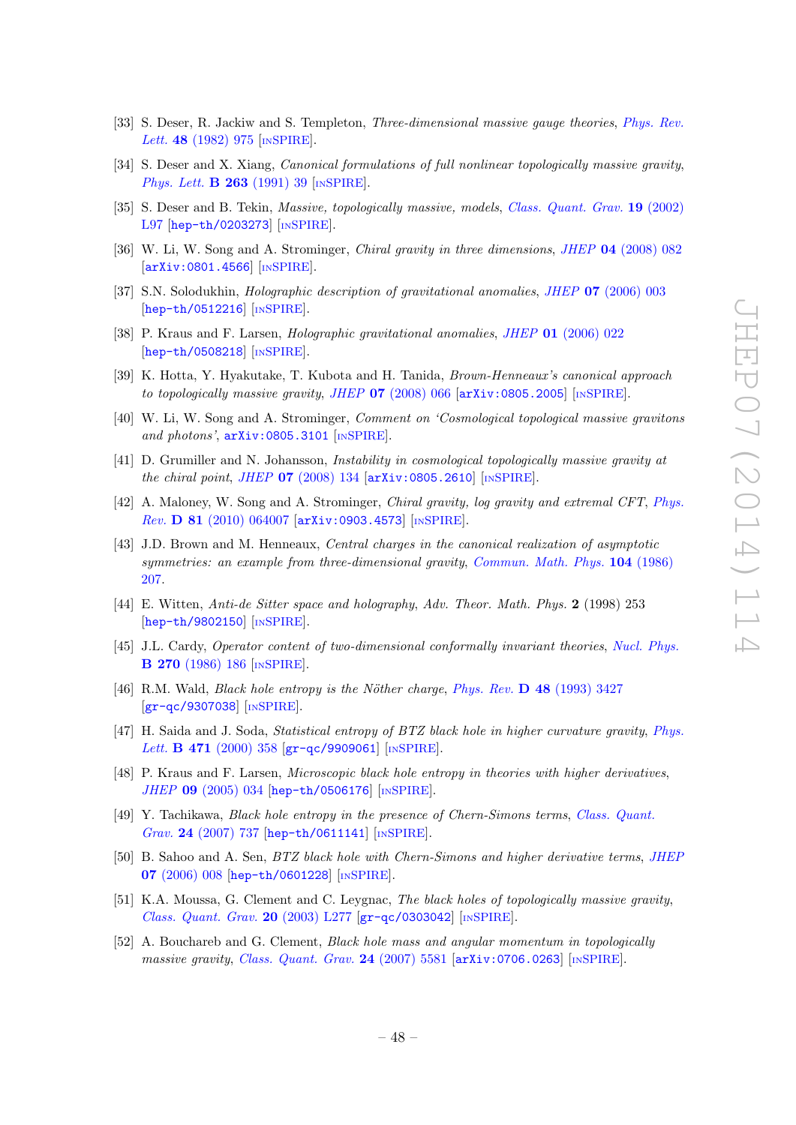- [33] S. Deser, R. Jackiw and S. Templeton, *Three-dimensional massive gauge theories*, *[Phys. Rev.](http://dx.doi.org/10.1103/PhysRevLett.48.975)* Lett. **48** [\(1982\) 975](http://dx.doi.org/10.1103/PhysRevLett.48.975) [IN[SPIRE](http://inspirehep.net/search?p=find+J+Phys.Rev.Lett.,48,975)].
- <span id="page-49-0"></span>[34] S. Deser and X. Xiang, *Canonical formulations of full nonlinear topologically massive gravity*, [Phys. Lett.](http://dx.doi.org/10.1016/0370-2693(91)91704-Y) **B 263** (1991) 39 [IN[SPIRE](http://inspirehep.net/search?p=find+J+Phys.Lett.,B263,39)].
- <span id="page-49-1"></span>[35] S. Deser and B. Tekin, Massive, topologically massive, models, [Class. Quant. Grav.](http://dx.doi.org/10.1088/0264-9381/19/11/101) 19 (2002) [L97](http://dx.doi.org/10.1088/0264-9381/19/11/101) [[hep-th/0203273](http://arxiv.org/abs/hep-th/0203273)] [IN[SPIRE](http://inspirehep.net/search?p=find+EPRINT+hep-th/0203273)].
- <span id="page-49-2"></span>[36] W. Li, W. Song and A. Strominger, *Chiral gravity in three dimensions*, *JHEP* 04 [\(2008\) 082](http://dx.doi.org/10.1088/1126-6708/2008/04/082) [[arXiv:0801.4566](http://arxiv.org/abs/0801.4566)] [IN[SPIRE](http://inspirehep.net/search?p=find+EPRINT+arXiv:0801.4566)].
- <span id="page-49-3"></span>[37] S.N. Solodukhin, *Holographic description of gravitational anomalies*, *JHEP* **07** [\(2006\) 003](http://dx.doi.org/10.1088/1126-6708/2006/07/003) [[hep-th/0512216](http://arxiv.org/abs/hep-th/0512216)] [IN[SPIRE](http://inspirehep.net/search?p=find+EPRINT+hep-th/0512216)].
- <span id="page-49-8"></span>[38] P. Kraus and F. Larsen, *Holographic gravitational anomalies, JHEP* 01 [\(2006\) 022](http://dx.doi.org/10.1088/1126-6708/2006/01/022) [[hep-th/0508218](http://arxiv.org/abs/hep-th/0508218)] [IN[SPIRE](http://inspirehep.net/search?p=find+EPRINT+hep-th/0508218)].
- <span id="page-49-4"></span>[39] K. Hotta, Y. Hyakutake, T. Kubota and H. Tanida, Brown-Henneaux's canonical approach to topologically massive gravity, JHEP  $07$  [\(2008\) 066](http://dx.doi.org/10.1088/1126-6708/2008/07/066) [[arXiv:0805.2005](http://arxiv.org/abs/0805.2005)] [IN[SPIRE](http://inspirehep.net/search?p=find+EPRINT+arXiv:0805.2005)].
- <span id="page-49-6"></span>[40] W. Li, W. Song and A. Strominger, Comment on 'Cosmological topological massive gravitons and photons',  $arXiv:0805.3101$  [IN[SPIRE](http://inspirehep.net/search?p=find+EPRINT+arXiv:0805.3101)].
- [41] D. Grumiller and N. Johansson, Instability in cosmological topologically massive gravity at the chiral point, JHEP  $07$  [\(2008\) 134](http://dx.doi.org/10.1088/1126-6708/2008/07/134)  $\left[$ [arXiv:0805.2610](http://arxiv.org/abs/0805.2610) $\right]$   $\left[$ IN[SPIRE](http://inspirehep.net/search?p=find+EPRINT+arXiv:0805.2610) $\right]$ .
- <span id="page-49-7"></span>[42] A. Maloney, W. Song and A. Strominger, Chiral gravity, log gravity and extremal CFT, [Phys.](http://dx.doi.org/10.1103/PhysRevD.81.064007) Rev. D 81 [\(2010\) 064007](http://dx.doi.org/10.1103/PhysRevD.81.064007) [[arXiv:0903.4573](http://arxiv.org/abs/0903.4573)] [IN[SPIRE](http://inspirehep.net/search?p=find+EPRINT+arXiv:0903.4573)].
- <span id="page-49-5"></span>[43] J.D. Brown and M. Henneaux, Central charges in the canonical realization of asymptotic symmetries: an example from three-dimensional gravity, [Commun. Math. Phys.](http://dx.doi.org/10.1007/BF01211590) 104 (1986) [207.](http://dx.doi.org/10.1007/BF01211590)
- <span id="page-49-9"></span>[44] E. Witten, Anti-de Sitter space and holography, Adv. Theor. Math. Phys. 2 (1998) 253 [[hep-th/9802150](http://arxiv.org/abs/hep-th/9802150)] [IN[SPIRE](http://inspirehep.net/search?p=find+EPRINT+hep-th/9802150)].
- <span id="page-49-10"></span>[45] J.L. Cardy, Operator content of two-dimensional conformally invariant theories, [Nucl. Phys.](http://dx.doi.org/10.1016/0550-3213(86)90552-3) B 270 [\(1986\) 186](http://dx.doi.org/10.1016/0550-3213(86)90552-3) [IN[SPIRE](http://inspirehep.net/search?p=find+J+Nucl.Phys.,B270,186)].
- <span id="page-49-11"></span>[46] R.M. Wald, *Black hole entropy is the Nöther charge, Phys. Rev.*  $\bf{D}$  48 [\(1993\) 3427](http://dx.doi.org/10.1103/PhysRevD.48.R3427) [[gr-qc/9307038](http://arxiv.org/abs/gr-qc/9307038)] [IN[SPIRE](http://inspirehep.net/search?p=find+EPRINT+gr-qc/9307038)].
- [47] H. Saida and J. Soda, Statistical entropy of BTZ black hole in higher curvature gravity, [Phys.](http://dx.doi.org/10.1016/S0370-2693(99)01405-7) Lett. **B** 471 [\(2000\) 358](http://dx.doi.org/10.1016/S0370-2693(99)01405-7)  $|gr-qc/9909061|$  $|gr-qc/9909061|$  $|gr-qc/9909061|$   $[$ IN[SPIRE](http://inspirehep.net/search?p=find+EPRINT+gr-qc/9909061)].
- <span id="page-49-15"></span>[48] P. Kraus and F. Larsen, Microscopic black hole entropy in theories with higher derivatives, JHEP 09 [\(2005\) 034](http://dx.doi.org/10.1088/1126-6708/2005/09/034) [[hep-th/0506176](http://arxiv.org/abs/hep-th/0506176)] [IN[SPIRE](http://inspirehep.net/search?p=find+EPRINT+hep-th/0506176)].
- <span id="page-49-14"></span>[49] Y. Tachikawa, Black hole entropy in the presence of Chern-Simons terms, [Class. Quant.](http://dx.doi.org/10.1088/0264-9381/24/3/014) Grav. 24 [\(2007\) 737](http://dx.doi.org/10.1088/0264-9381/24/3/014) [[hep-th/0611141](http://arxiv.org/abs/hep-th/0611141)] [IN[SPIRE](http://inspirehep.net/search?p=find+EPRINT+hep-th/0611141)].
- <span id="page-49-12"></span>[50] B. Sahoo and A. Sen, BTZ black hole with Chern-Simons and higher derivative terms, [JHEP](http://dx.doi.org/10.1088/1126-6708/2006/07/008) 07 [\(2006\) 008](http://dx.doi.org/10.1088/1126-6708/2006/07/008) [[hep-th/0601228](http://arxiv.org/abs/hep-th/0601228)] [IN[SPIRE](http://inspirehep.net/search?p=find+EPRINT+hep-th/0601228)].
- <span id="page-49-13"></span>[51] K.A. Moussa, G. Clement and C. Leygnac, The black holes of topologically massive gravity, [Class. Quant. Grav.](http://dx.doi.org/10.1088/0264-9381/20/24/L01) 20 (2003) L277 [[gr-qc/0303042](http://arxiv.org/abs/gr-qc/0303042)] [IN[SPIRE](http://inspirehep.net/search?p=find+EPRINT+gr-qc/0303042)].
- [52] A. Bouchareb and G. Clement, *Black hole mass and angular momentum in topologically* massive gravity, [Class. Quant. Grav.](http://dx.doi.org/10.1088/0264-9381/24/22/018) 24 (2007) 5581  $\text{arXiv:0706.0263}$  $\text{arXiv:0706.0263}$  $\text{arXiv:0706.0263}$  [IN[SPIRE](http://inspirehep.net/search?p=find+EPRINT+arXiv:0706.0263)].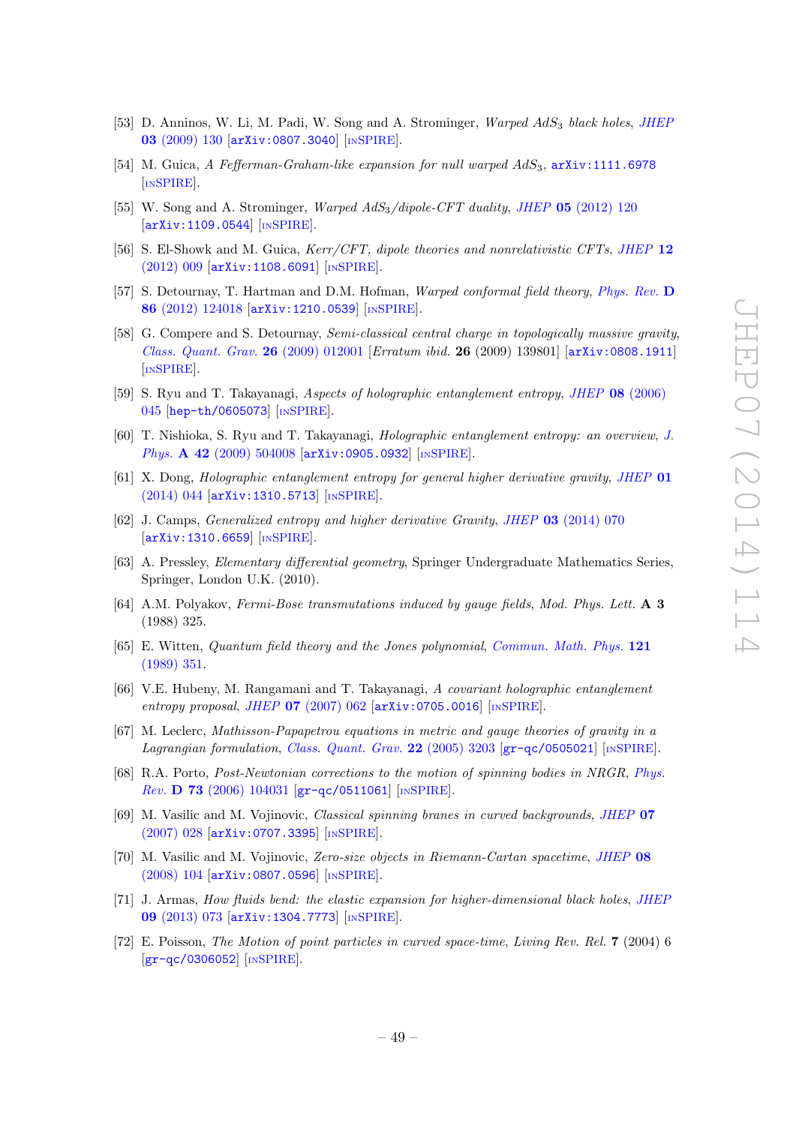- <span id="page-50-0"></span>[53] D. Anninos, W. Li, M. Padi, W. Song and A. Strominger, Warped AdS<sub>3</sub> black holes, [JHEP](http://dx.doi.org/10.1088/1126-6708/2009/03/130) 03 [\(2009\) 130](http://dx.doi.org/10.1088/1126-6708/2009/03/130) [[arXiv:0807.3040](http://arxiv.org/abs/0807.3040)] [IN[SPIRE](http://inspirehep.net/search?p=find+EPRINT+arXiv:0807.3040)].
- <span id="page-50-1"></span>[54] M. Guica, A Fefferman-Graham-like expansion for null warped AdS<sub>3</sub>, [arXiv:1111.6978](http://arxiv.org/abs/1111.6978) [IN[SPIRE](http://inspirehep.net/search?p=find+EPRINT+arXiv:1111.6978)].
- [55] W. Song and A. Strominger, *Warped AdS<sub>3</sub>/dipole-CFT duality, JHEP* 05 [\(2012\) 120](http://dx.doi.org/10.1007/JHEP05(2012)120) [[arXiv:1109.0544](http://arxiv.org/abs/1109.0544)] [IN[SPIRE](http://inspirehep.net/search?p=find+EPRINT+arXiv:1109.0544)].
- [56] S. El-Showk and M. Guica, *Kerr/CFT*, dipole theories and nonrelativistic CFTs, [JHEP](http://dx.doi.org/10.1007/JHEP12(2012)009) 12 [\(2012\) 009](http://dx.doi.org/10.1007/JHEP12(2012)009) [[arXiv:1108.6091](http://arxiv.org/abs/1108.6091)] [IN[SPIRE](http://inspirehep.net/search?p=find+EPRINT+arXiv:1108.6091)].
- <span id="page-50-14"></span>[57] S. Detournay, T. Hartman and D.M. Hofman, Warped conformal field theory, [Phys. Rev.](http://dx.doi.org/10.1103/PhysRevD.86.124018) D 86 [\(2012\) 124018](http://dx.doi.org/10.1103/PhysRevD.86.124018) [[arXiv:1210.0539](http://arxiv.org/abs/1210.0539)] [IN[SPIRE](http://inspirehep.net/search?p=find+EPRINT+arXiv:1210.0539)].
- <span id="page-50-2"></span>[58] G. Compere and S. Detournay, Semi-classical central charge in topologically massive gravity, [Class. Quant. Grav.](http://dx.doi.org/10.1088/0264-9381/26/1/012001) 26 (2009) 012001 [Erratum ibid. 26 (2009) 139801] [[arXiv:0808.1911](http://arxiv.org/abs/0808.1911)] [IN[SPIRE](http://inspirehep.net/search?p=find+EPRINT+arXiv:0808.1911)].
- <span id="page-50-3"></span>[59] S. Ryu and T. Takayanagi, Aspects of holographic entanglement entropy, JHEP 08 [\(2006\)](http://dx.doi.org/10.1088/1126-6708/2006/08/045) [045](http://dx.doi.org/10.1088/1126-6708/2006/08/045) [[hep-th/0605073](http://arxiv.org/abs/hep-th/0605073)] [IN[SPIRE](http://inspirehep.net/search?p=find+EPRINT+hep-th/0605073)].
- <span id="page-50-4"></span>[60] T. Nishioka, S. Ryu and T. Takayanagi, Holographic entanglement entropy: an overview, [J.](http://dx.doi.org/10.1088/1751-8113/42/50/504008) Phys. A 42 [\(2009\) 504008](http://dx.doi.org/10.1088/1751-8113/42/50/504008) [[arXiv:0905.0932](http://arxiv.org/abs/0905.0932)] [IN[SPIRE](http://inspirehep.net/search?p=find+EPRINT+arXiv:0905.0932)].
- <span id="page-50-5"></span>[61] X. Dong, Holographic entanglement entropy for general higher derivative gravity, [JHEP](http://dx.doi.org/10.1007/JHEP01(2014)044) 01 [\(2014\) 044](http://dx.doi.org/10.1007/JHEP01(2014)044) [[arXiv:1310.5713](http://arxiv.org/abs/1310.5713)] [IN[SPIRE](http://inspirehep.net/search?p=find+EPRINT+arXiv:1310.5713)].
- <span id="page-50-6"></span>[62] J. Camps, Generalized entropy and higher derivative Gravity, JHEP 03 [\(2014\) 070](http://dx.doi.org/10.1007/JHEP03(2014)070) [[arXiv:1310.6659](http://arxiv.org/abs/1310.6659)] [IN[SPIRE](http://inspirehep.net/search?p=find+EPRINT+arXiv:1310.6659)].
- <span id="page-50-7"></span>[63] A. Pressley, Elementary differential geometry, Springer Undergraduate Mathematics Series, Springer, London U.K. (2010).
- <span id="page-50-8"></span>[64] A.M. Polyakov, Fermi-Bose transmutations induced by gauge fields, Mod. Phys. Lett. A 3 (1988) 325.
- <span id="page-50-9"></span>[65] E. Witten, Quantum field theory and the Jones polynomial, [Commun. Math. Phys.](http://dx.doi.org/10.1007/BF01217730) 121 [\(1989\) 351.](http://dx.doi.org/10.1007/BF01217730)
- <span id="page-50-10"></span>[66] V.E. Hubeny, M. Rangamani and T. Takayanagi, A covariant holographic entanglement entropy proposal, JHEP  $07$  [\(2007\) 062](http://dx.doi.org/10.1088/1126-6708/2007/07/062)  $\ar{xiv:0705.0016}$  [IN[SPIRE](http://inspirehep.net/search?p=find+EPRINT+arXiv:0705.0016)].
- <span id="page-50-11"></span>[67] M. Leclerc, Mathisson-Papapetrou equations in metric and gauge theories of gravity in a Lagrangian formulation, [Class. Quant. Grav.](http://dx.doi.org/10.1088/0264-9381/22/16/006) 22 (2005) 3203 [[gr-qc/0505021](http://arxiv.org/abs/gr-qc/0505021)] [IN[SPIRE](http://inspirehep.net/search?p=find+EPRINT+gr-qc/0505021)].
- [68] R.A. Porto, Post-Newtonian corrections to the motion of spinning bodies in NRGR, [Phys.](http://dx.doi.org/10.1103/PhysRevD.73.104031) Rev. D 73 [\(2006\) 104031](http://dx.doi.org/10.1103/PhysRevD.73.104031) [[gr-qc/0511061](http://arxiv.org/abs/gr-qc/0511061)] [IN[SPIRE](http://inspirehep.net/search?p=find+EPRINT+gr-qc/0511061)].
- [69] M. Vasilic and M. Vojinovic, Classical spinning branes in curved backgrounds, [JHEP](http://dx.doi.org/10.1088/1126-6708/2007/07/028) 07 [\(2007\) 028](http://dx.doi.org/10.1088/1126-6708/2007/07/028) [[arXiv:0707.3395](http://arxiv.org/abs/0707.3395)] [IN[SPIRE](http://inspirehep.net/search?p=find+EPRINT+arXiv:0707.3395)].
- [70] M. Vasilic and M. Vojinovic, Zero-size objects in Riemann-Cartan spacetime, [JHEP](http://dx.doi.org/10.1088/1126-6708/2008/08/104) 08 [\(2008\) 104](http://dx.doi.org/10.1088/1126-6708/2008/08/104) [[arXiv:0807.0596](http://arxiv.org/abs/0807.0596)] [IN[SPIRE](http://inspirehep.net/search?p=find+EPRINT+arXiv:0807.0596)].
- <span id="page-50-12"></span>[71] J. Armas, How fluids bend: the elastic expansion for higher-dimensional black holes, [JHEP](http://dx.doi.org/10.1007/JHEP09(2013)073) 09 [\(2013\) 073](http://dx.doi.org/10.1007/JHEP09(2013)073) [[arXiv:1304.7773](http://arxiv.org/abs/1304.7773)] [IN[SPIRE](http://inspirehep.net/search?p=find+EPRINT+arXiv:1304.7773)].
- <span id="page-50-13"></span>[72] E. Poisson, The Motion of point particles in curved space-time, Living Rev. Rel. 7 (2004) 6  $\left[\frac{\text{gr}-\text{gc}}{0306052}\right]$   $\left[\frac{\text{INSPIRE}}{10000000}\right]$  $\left[\frac{\text{INSPIRE}}{10000000}\right]$  $\left[\frac{\text{INSPIRE}}{10000000}\right]$ .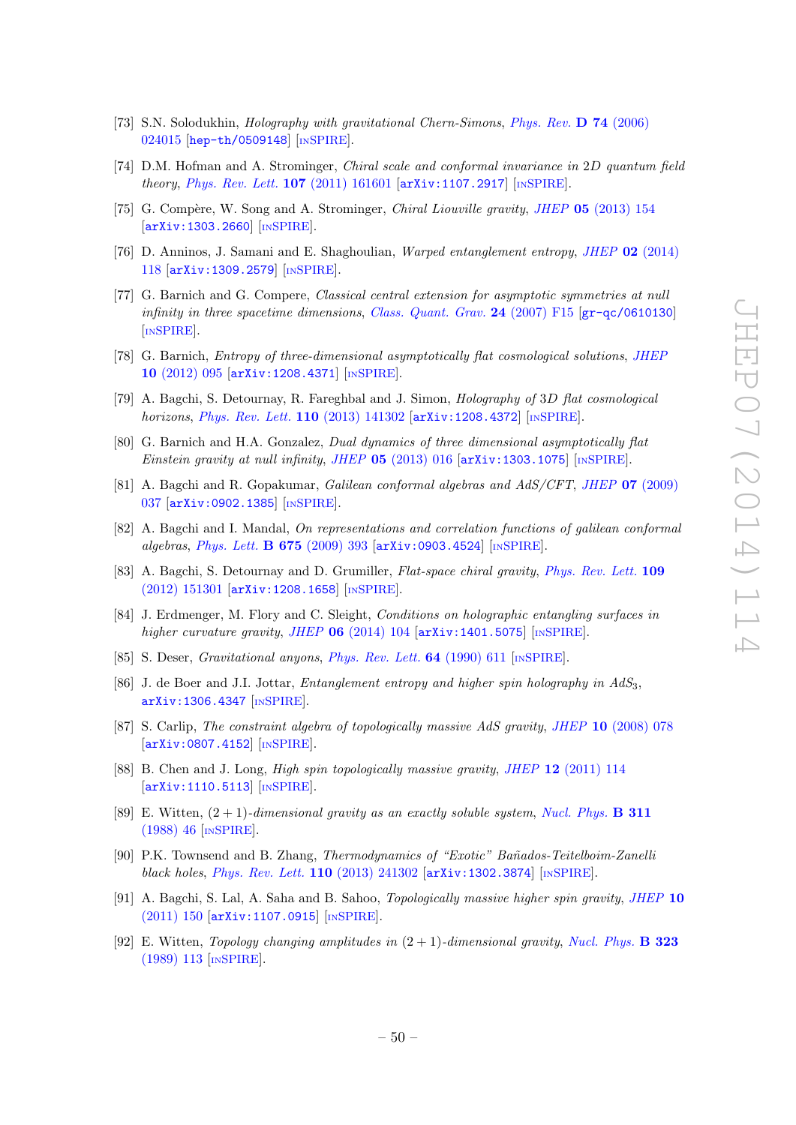- <span id="page-51-0"></span>[73] S.N. Solodukhin, Holography with gravitational Chern-Simons, [Phys. Rev.](http://dx.doi.org/10.1103/PhysRevD.74.024015) D 74 (2006) [024015](http://dx.doi.org/10.1103/PhysRevD.74.024015) [[hep-th/0509148](http://arxiv.org/abs/hep-th/0509148)] [IN[SPIRE](http://inspirehep.net/search?p=find+EPRINT+hep-th/0509148)].
- <span id="page-51-1"></span>[74] D.M. Hofman and A. Strominger, Chiral scale and conformal invariance in 2D quantum field theory, [Phys. Rev. Lett.](http://dx.doi.org/10.1103/PhysRevLett.107.161601) 107 (2011) 161601 [[arXiv:1107.2917](http://arxiv.org/abs/1107.2917)] [IN[SPIRE](http://inspirehep.net/search?p=find+EPRINT+arXiv:1107.2917)].
- <span id="page-51-9"></span>[75] G. Compère, W. Song and A. Strominger, *Chiral Liouville gravity*, *JHEP* 05 [\(2013\) 154](http://dx.doi.org/10.1007/JHEP05(2013)154) [[arXiv:1303.2660](http://arxiv.org/abs/1303.2660)] [IN[SPIRE](http://inspirehep.net/search?p=find+EPRINT+arXiv:1303.2660)].
- <span id="page-51-10"></span>[76] D. Anninos, J. Samani and E. Shaghoulian, Warped entanglement entropy, JHEP 02 [\(2014\)](http://dx.doi.org/10.1007/JHEP02(2014)118) [118](http://dx.doi.org/10.1007/JHEP02(2014)118) [[arXiv:1309.2579](http://arxiv.org/abs/1309.2579)] [IN[SPIRE](http://inspirehep.net/search?p=find+EPRINT+arXiv:1309.2579)].
- <span id="page-51-2"></span>[77] G. Barnich and G. Compere, Classical central extension for asymptotic symmetries at null infinity in three spacetime dimensions, [Class. Quant. Grav.](http://dx.doi.org/10.1088/0264-9381/24/5/F01) 24 (2007) F15  $\left[\text{gr-qc/0610130}\right]$  $\left[\text{gr-qc/0610130}\right]$  $\left[\text{gr-qc/0610130}\right]$ [IN[SPIRE](http://inspirehep.net/search?p=find+EPRINT+gr-qc/0610130)].
- <span id="page-51-3"></span>[78] G. Barnich, Entropy of three-dimensional asymptotically flat cosmological solutions, [JHEP](http://dx.doi.org/10.1007/JHEP10(2012)095) 10 [\(2012\) 095](http://dx.doi.org/10.1007/JHEP10(2012)095) [[arXiv:1208.4371](http://arxiv.org/abs/1208.4371)] [IN[SPIRE](http://inspirehep.net/search?p=find+EPRINT+arXiv:1208.4371)].
- <span id="page-51-4"></span>[79] A. Bagchi, S. Detournay, R. Fareghbal and J. Simon, Holography of 3D flat cosmological horizons, *[Phys. Rev. Lett.](http://dx.doi.org/10.1103/PhysRevLett.110.141302)* **110** (2013) 141302 [[arXiv:1208.4372](http://arxiv.org/abs/1208.4372)] [IN[SPIRE](http://inspirehep.net/search?p=find+EPRINT+arXiv:1208.4372)].
- <span id="page-51-5"></span>[80] G. Barnich and H.A. Gonzalez, Dual dynamics of three dimensional asymptotically flat Einstein gravity at null infinity, JHEP  $05$  [\(2013\) 016](http://dx.doi.org/10.1007/JHEP05(2013)016)  $\left[$ [arXiv:1303.1075](http://arxiv.org/abs/1303.1075) $\right]$   $\left[$ IN[SPIRE](http://inspirehep.net/search?p=find+EPRINT+arXiv:1303.1075) $\right]$ .
- <span id="page-51-6"></span>[81] A. Bagchi and R. Gopakumar, Galilean conformal algebras and AdS/CFT, JHEP 07 [\(2009\)](http://dx.doi.org/10.1088/1126-6708/2009/07/037) [037](http://dx.doi.org/10.1088/1126-6708/2009/07/037) [[arXiv:0902.1385](http://arxiv.org/abs/0902.1385)] [IN[SPIRE](http://inspirehep.net/search?p=find+EPRINT+arXiv:0902.1385)].
- <span id="page-51-7"></span>[82] A. Bagchi and I. Mandal, On representations and correlation functions of galilean conformal algebras, [Phys. Lett.](http://dx.doi.org/10.1016/j.physletb.2009.04.030) B 675 (2009) 393 [[arXiv:0903.4524](http://arxiv.org/abs/0903.4524)] [IN[SPIRE](http://inspirehep.net/search?p=find+EPRINT+arXiv:0903.4524)].
- <span id="page-51-8"></span>[83] A. Bagchi, S. Detournay and D. Grumiller, Flat-space chiral gravity, [Phys. Rev. Lett.](http://dx.doi.org/10.1103/PhysRevLett.109.151301) 109 [\(2012\) 151301](http://dx.doi.org/10.1103/PhysRevLett.109.151301) [[arXiv:1208.1658](http://arxiv.org/abs/1208.1658)] [IN[SPIRE](http://inspirehep.net/search?p=find+EPRINT+arXiv:1208.1658)].
- <span id="page-51-11"></span>[84] J. Erdmenger, M. Flory and C. Sleight, Conditions on holographic entangling surfaces in higher curvature gravity, JHEP  $06$  [\(2014\) 104](http://dx.doi.org/10.1007/JHEP06(2014)104)  $\text{arXiv:1401.5075}$  $\text{arXiv:1401.5075}$  $\text{arXiv:1401.5075}$  [IN[SPIRE](http://inspirehep.net/search?p=find+EPRINT+arXiv:1401.5075)].
- <span id="page-51-12"></span>[85] S. Deser, Gravitational anyons, [Phys. Rev. Lett.](http://dx.doi.org/10.1103/PhysRevLett.64.611) 64 (1990) 611 [IN[SPIRE](http://inspirehep.net/search?p=find+J+Phys.Rev.Lett.,64,611)].
- <span id="page-51-15"></span>[86] J. de Boer and J.I. Jottar, *Entanglement entropy and higher spin holography in AdS<sub>3</sub>*, [arXiv:1306.4347](http://arxiv.org/abs/1306.4347) [IN[SPIRE](http://inspirehep.net/search?p=find+EPRINT+arXiv:1306.4347)].
- <span id="page-51-13"></span>[87] S. Carlip, *The constraint algebra of topologically massive AdS gravity, JHEP* 10 [\(2008\) 078](http://dx.doi.org/10.1088/1126-6708/2008/10/078) [[arXiv:0807.4152](http://arxiv.org/abs/0807.4152)] [IN[SPIRE](http://inspirehep.net/search?p=find+EPRINT+arXiv:0807.4152)].
- <span id="page-51-14"></span>[88] B. Chen and J. Long, *High spin topologically massive gravity, JHEP* 12 [\(2011\) 114](http://dx.doi.org/10.1007/JHEP12(2011)114) [[arXiv:1110.5113](http://arxiv.org/abs/1110.5113)] [IN[SPIRE](http://inspirehep.net/search?p=find+EPRINT+arXiv:1110.5113)].
- <span id="page-51-16"></span>[89] E. Witten,  $(2 + 1)$ -dimensional gravity as an exactly soluble system, [Nucl. Phys.](http://dx.doi.org/10.1016/0550-3213(88)90143-5) **B** 311 [\(1988\) 46](http://dx.doi.org/10.1016/0550-3213(88)90143-5) [IN[SPIRE](http://inspirehep.net/search?p=find+J+Nucl.Phys.,B311,46)].
- <span id="page-51-17"></span>[90] P.K. Townsend and B. Zhang, Thermodynamics of "Exotic" Bañados-Teitelboim-Zanelli black holes, [Phys. Rev. Lett.](http://dx.doi.org/10.1103/PhysRevLett.110.241302) 110 (2013) 241302 [[arXiv:1302.3874](http://arxiv.org/abs/1302.3874)] [IN[SPIRE](http://inspirehep.net/search?p=find+EPRINT+arXiv:1302.3874)].
- <span id="page-51-19"></span>[91] A. Bagchi, S. Lal, A. Saha and B. Sahoo, Topologically massive higher spin gravity, [JHEP](http://dx.doi.org/10.1007/JHEP10(2011)150) 10 [\(2011\) 150](http://dx.doi.org/10.1007/JHEP10(2011)150) [[arXiv:1107.0915](http://arxiv.org/abs/1107.0915)] [IN[SPIRE](http://inspirehep.net/search?p=find+EPRINT+arXiv:1107.0915)].
- <span id="page-51-18"></span>[92] E. Witten, Topology changing amplitudes in  $(2 + 1)$ -dimensional gravity, [Nucl. Phys.](http://dx.doi.org/10.1016/0550-3213(89)90591-9) **B** 323 [\(1989\) 113](http://dx.doi.org/10.1016/0550-3213(89)90591-9) [IN[SPIRE](http://inspirehep.net/search?p=find+J+Nucl.Phys.,B323,113)].